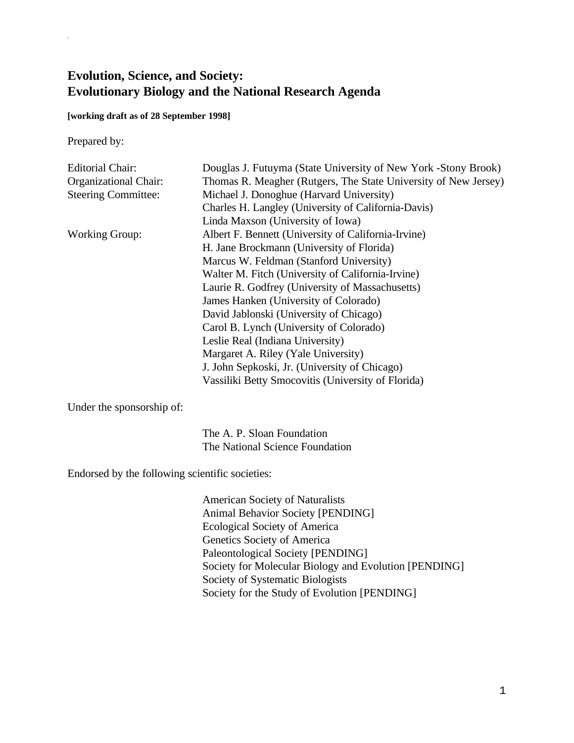# **Evolution, Science, and Society: Evolutionary Biology and the National Research Agenda**

**[working draft as of 28 September 1998]**

Prepared by:

.

| <b>Editorial Chair:</b>    | Douglas J. Futuyma (State University of New York -Stony Brook)  |
|----------------------------|-----------------------------------------------------------------|
| Organizational Chair:      | Thomas R. Meagher (Rutgers, The State University of New Jersey) |
| <b>Steering Committee:</b> | Michael J. Donoghue (Harvard University)                        |
|                            | Charles H. Langley (University of California-Davis)             |
|                            | Linda Maxson (University of Iowa)                               |
| <b>Working Group:</b>      | Albert F. Bennett (University of California-Irvine)             |
|                            | H. Jane Brockmann (University of Florida)                       |
|                            | Marcus W. Feldman (Stanford University)                         |
|                            | Walter M. Fitch (University of California-Irvine)               |
|                            | Laurie R. Godfrey (University of Massachusetts)                 |
|                            | James Hanken (University of Colorado)                           |
|                            | David Jablonski (University of Chicago)                         |
|                            | Carol B. Lynch (University of Colorado)                         |
|                            | Leslie Real (Indiana University)                                |
|                            | Margaret A. Riley (Yale University)                             |
|                            | J. John Sepkoski, Jr. (University of Chicago)                   |
|                            | Vassiliki Betty Smocovitis (University of Florida)              |

Under the sponsorship of:

The A. P. Sloan Foundation The National Science Foundation

Endorsed by the following scientific societies:

American Society of Naturalists Animal Behavior Society [PENDING] Ecological Society of America Genetics Society of America Paleontological Society [PENDING] Society for Molecular Biology and Evolution [PENDING] Society of Systematic Biologists Society for the Study of Evolution [PENDING]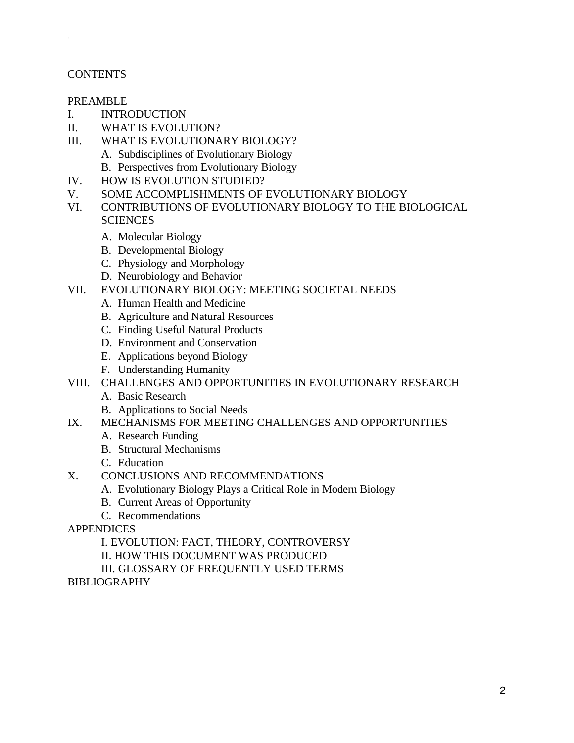## **CONTENTS**

.

PREAMBLE

- I. INTRODUCTION
- II. WHAT IS EVOLUTION?
- III. WHAT IS EVOLUTIONARY BIOLOGY?
	- A. Subdisciplines of Evolutionary Biology
	- B. Perspectives from Evolutionary Biology
- IV. HOW IS EVOLUTION STUDIED?
- V. SOME ACCOMPLISHMENTS OF EVOLUTIONARY BIOLOGY
- VI. CONTRIBUTIONS OF EVOLUTIONARY BIOLOGY TO THE BIOLOGICAL **SCIENCES** 
	- A. Molecular Biology
	- B. Developmental Biology
	- C. Physiology and Morphology
	- D. Neurobiology and Behavior

## VII. EVOLUTIONARY BIOLOGY: MEETING SOCIETAL NEEDS

- A. Human Health and Medicine
- B. Agriculture and Natural Resources
- C. Finding Useful Natural Products
- D. Environment and Conservation
- E. Applications beyond Biology
- F. Understanding Humanity

## VIII. CHALLENGES AND OPPORTUNITIES IN EVOLUTIONARY RESEARCH

- A. Basic Research
- B. Applications to Social Needs

## IX. MECHANISMS FOR MEETING CHALLENGES AND OPPORTUNITIES

- A. Research Funding
- B. Structural Mechanisms
- C. Education
- X. CONCLUSIONS AND RECOMMENDATIONS
	- A. Evolutionary Biology Plays a Critical Role in Modern Biology
	- B. Current Areas of Opportunity
	- C. Recommendations

APPENDICES

I. EVOLUTION: FACT, THEORY, CONTROVERSY

II. HOW THIS DOCUMENT WAS PRODUCED

III. GLOSSARY OF FREQUENTLY USED TERMS

BIBLIOGRAPHY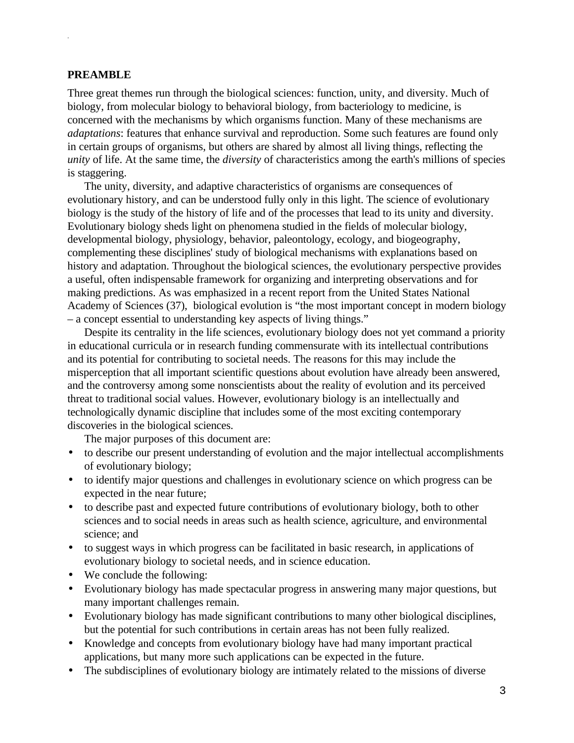### **PREAMBLE**

.

Three great themes run through the biological sciences: function, unity, and diversity. Much of biology, from molecular biology to behavioral biology, from bacteriology to medicine, is concerned with the mechanisms by which organisms function. Many of these mechanisms are *adaptations*: features that enhance survival and reproduction. Some such features are found only in certain groups of organisms, but others are shared by almost all living things, reflecting the *unity* of life. At the same time, the *diversity* of characteristics among the earth's millions of species is staggering.

The unity, diversity, and adaptive characteristics of organisms are consequences of evolutionary history, and can be understood fully only in this light. The science of evolutionary biology is the study of the history of life and of the processes that lead to its unity and diversity. Evolutionary biology sheds light on phenomena studied in the fields of molecular biology, developmental biology, physiology, behavior, paleontology, ecology, and biogeography, complementing these disciplines' study of biological mechanisms with explanations based on history and adaptation. Throughout the biological sciences, the evolutionary perspective provides a useful, often indispensable framework for organizing and interpreting observations and for making predictions. As was emphasized in a recent report from the United States National Academy of Sciences (37), biological evolution is "the most important concept in modern biology – a concept essential to understanding key aspects of living things."

Despite its centrality in the life sciences, evolutionary biology does not yet command a priority in educational curricula or in research funding commensurate with its intellectual contributions and its potential for contributing to societal needs. The reasons for this may include the misperception that all important scientific questions about evolution have already been answered, and the controversy among some nonscientists about the reality of evolution and its perceived threat to traditional social values. However, evolutionary biology is an intellectually and technologically dynamic discipline that includes some of the most exciting contemporary discoveries in the biological sciences.

The major purposes of this document are:

- to describe our present understanding of evolution and the major intellectual accomplishments of evolutionary biology;
- to identify major questions and challenges in evolutionary science on which progress can be expected in the near future;
- to describe past and expected future contributions of evolutionary biology, both to other sciences and to social needs in areas such as health science, agriculture, and environmental science; and
- to suggest ways in which progress can be facilitated in basic research, in applications of evolutionary biology to societal needs, and in science education.
- We conclude the following:
- Evolutionary biology has made spectacular progress in answering many major questions, but many important challenges remain.
- Evolutionary biology has made significant contributions to many other biological disciplines, but the potential for such contributions in certain areas has not been fully realized.
- Knowledge and concepts from evolutionary biology have had many important practical applications, but many more such applications can be expected in the future.
- The subdisciplines of evolutionary biology are intimately related to the missions of diverse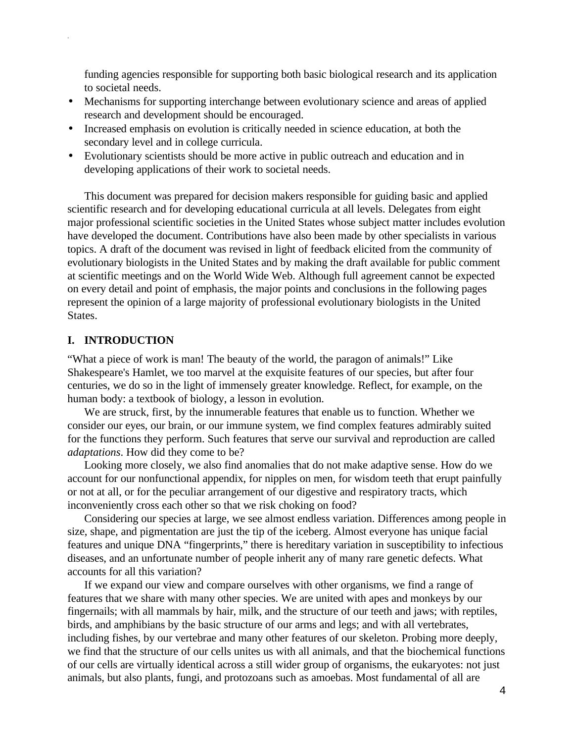funding agencies responsible for supporting both basic biological research and its application to societal needs.

- Mechanisms for supporting interchange between evolutionary science and areas of applied research and development should be encouraged.
- Increased emphasis on evolution is critically needed in science education, at both the secondary level and in college curricula.
- Evolutionary scientists should be more active in public outreach and education and in developing applications of their work to societal needs.

This document was prepared for decision makers responsible for guiding basic and applied scientific research and for developing educational curricula at all levels. Delegates from eight major professional scientific societies in the United States whose subject matter includes evolution have developed the document. Contributions have also been made by other specialists in various topics. A draft of the document was revised in light of feedback elicited from the community of evolutionary biologists in the United States and by making the draft available for public comment at scientific meetings and on the World Wide Web. Although full agreement cannot be expected on every detail and point of emphasis, the major points and conclusions in the following pages represent the opinion of a large majority of professional evolutionary biologists in the United States.

### **I. INTRODUCTION**

.

"What a piece of work is man! The beauty of the world, the paragon of animals!" Like Shakespeare's Hamlet, we too marvel at the exquisite features of our species, but after four centuries, we do so in the light of immensely greater knowledge. Reflect, for example, on the human body: a textbook of biology, a lesson in evolution.

We are struck, first, by the innumerable features that enable us to function. Whether we consider our eyes, our brain, or our immune system, we find complex features admirably suited for the functions they perform. Such features that serve our survival and reproduction are called *adaptations*. How did they come to be?

Looking more closely, we also find anomalies that do not make adaptive sense. How do we account for our nonfunctional appendix, for nipples on men, for wisdom teeth that erupt painfully or not at all, or for the peculiar arrangement of our digestive and respiratory tracts, which inconveniently cross each other so that we risk choking on food?

Considering our species at large, we see almost endless variation. Differences among people in size, shape, and pigmentation are just the tip of the iceberg. Almost everyone has unique facial features and unique DNA "fingerprints," there is hereditary variation in susceptibility to infectious diseases, and an unfortunate number of people inherit any of many rare genetic defects. What accounts for all this variation?

If we expand our view and compare ourselves with other organisms, we find a range of features that we share with many other species. We are united with apes and monkeys by our fingernails; with all mammals by hair, milk, and the structure of our teeth and jaws; with reptiles, birds, and amphibians by the basic structure of our arms and legs; and with all vertebrates, including fishes, by our vertebrae and many other features of our skeleton. Probing more deeply, we find that the structure of our cells unites us with all animals, and that the biochemical functions of our cells are virtually identical across a still wider group of organisms, the eukaryotes: not just animals, but also plants, fungi, and protozoans such as amoebas. Most fundamental of all are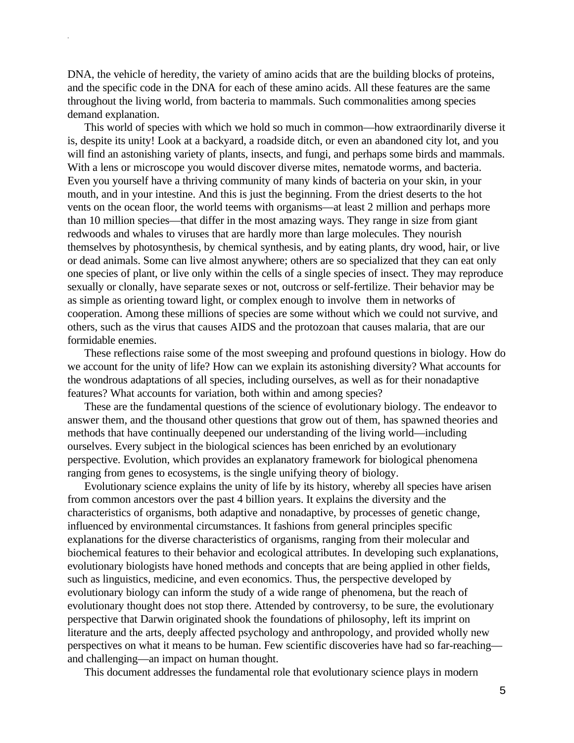DNA, the vehicle of heredity, the variety of amino acids that are the building blocks of proteins, and the specific code in the DNA for each of these amino acids. All these features are the same throughout the living world, from bacteria to mammals. Such commonalities among species demand explanation.

.

This world of species with which we hold so much in common—how extraordinarily diverse it is, despite its unity! Look at a backyard, a roadside ditch, or even an abandoned city lot, and you will find an astonishing variety of plants, insects, and fungi, and perhaps some birds and mammals. With a lens or microscope you would discover diverse mites, nematode worms, and bacteria. Even you yourself have a thriving community of many kinds of bacteria on your skin, in your mouth, and in your intestine. And this is just the beginning. From the driest deserts to the hot vents on the ocean floor, the world teems with organisms—at least 2 million and perhaps more than 10 million species—that differ in the most amazing ways. They range in size from giant redwoods and whales to viruses that are hardly more than large molecules. They nourish themselves by photosynthesis, by chemical synthesis, and by eating plants, dry wood, hair, or live or dead animals. Some can live almost anywhere; others are so specialized that they can eat only one species of plant, or live only within the cells of a single species of insect. They may reproduce sexually or clonally, have separate sexes or not, outcross or self-fertilize. Their behavior may be as simple as orienting toward light, or complex enough to involve them in networks of cooperation. Among these millions of species are some without which we could not survive, and others, such as the virus that causes AIDS and the protozoan that causes malaria, that are our formidable enemies.

These reflections raise some of the most sweeping and profound questions in biology. How do we account for the unity of life? How can we explain its astonishing diversity? What accounts for the wondrous adaptations of all species, including ourselves, as well as for their nonadaptive features? What accounts for variation, both within and among species?

These are the fundamental questions of the science of evolutionary biology. The endeavor to answer them, and the thousand other questions that grow out of them, has spawned theories and methods that have continually deepened our understanding of the living world—including ourselves. Every subject in the biological sciences has been enriched by an evolutionary perspective. Evolution, which provides an explanatory framework for biological phenomena ranging from genes to ecosystems, is the single unifying theory of biology.

Evolutionary science explains the unity of life by its history, whereby all species have arisen from common ancestors over the past 4 billion years. It explains the diversity and the characteristics of organisms, both adaptive and nonadaptive, by processes of genetic change, influenced by environmental circumstances. It fashions from general principles specific explanations for the diverse characteristics of organisms, ranging from their molecular and biochemical features to their behavior and ecological attributes. In developing such explanations, evolutionary biologists have honed methods and concepts that are being applied in other fields, such as linguistics, medicine, and even economics. Thus, the perspective developed by evolutionary biology can inform the study of a wide range of phenomena, but the reach of evolutionary thought does not stop there. Attended by controversy, to be sure, the evolutionary perspective that Darwin originated shook the foundations of philosophy, left its imprint on literature and the arts, deeply affected psychology and anthropology, and provided wholly new perspectives on what it means to be human. Few scientific discoveries have had so far-reaching and challenging—an impact on human thought.

This document addresses the fundamental role that evolutionary science plays in modern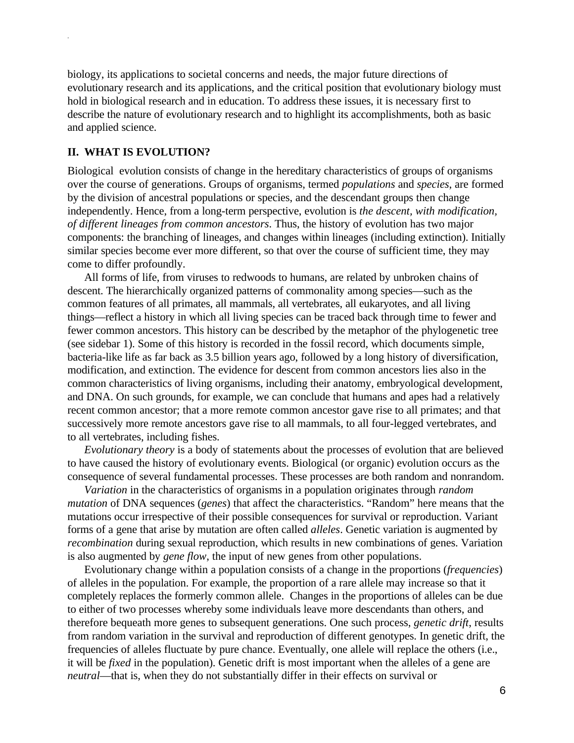biology, its applications to societal concerns and needs, the major future directions of evolutionary research and its applications, and the critical position that evolutionary biology must hold in biological research and in education. To address these issues, it is necessary first to describe the nature of evolutionary research and to highlight its accomplishments, both as basic and applied science.

### **II. WHAT IS EVOLUTION?**

.

Biological evolution consists of change in the hereditary characteristics of groups of organisms over the course of generations. Groups of organisms, termed *populations* and *species*, are formed by the division of ancestral populations or species, and the descendant groups then change independently. Hence, from a long-term perspective, evolution is *the descent, with modification, of different lineages from common ancestors*. Thus, the history of evolution has two major components: the branching of lineages, and changes within lineages (including extinction). Initially similar species become ever more different, so that over the course of sufficient time, they may come to differ profoundly.

All forms of life, from viruses to redwoods to humans, are related by unbroken chains of descent. The hierarchically organized patterns of commonality among species—such as the common features of all primates, all mammals, all vertebrates, all eukaryotes, and all living things—reflect a history in which all living species can be traced back through time to fewer and fewer common ancestors. This history can be described by the metaphor of the phylogenetic tree (see sidebar 1). Some of this history is recorded in the fossil record, which documents simple, bacteria-like life as far back as 3.5 billion years ago, followed by a long history of diversification, modification, and extinction. The evidence for descent from common ancestors lies also in the common characteristics of living organisms, including their anatomy, embryological development, and DNA. On such grounds, for example, we can conclude that humans and apes had a relatively recent common ancestor; that a more remote common ancestor gave rise to all primates; and that successively more remote ancestors gave rise to all mammals, to all four-legged vertebrates, and to all vertebrates, including fishes.

*Evolutionary theory* is a body of statements about the processes of evolution that are believed to have caused the history of evolutionary events. Biological (or organic) evolution occurs as the consequence of several fundamental processes. These processes are both random and nonrandom.

*Variation* in the characteristics of organisms in a population originates through *random mutation* of DNA sequences (*genes*) that affect the characteristics. "Random" here means that the mutations occur irrespective of their possible consequences for survival or reproduction. Variant forms of a gene that arise by mutation are often called *alleles*. Genetic variation is augmented by *recombination* during sexual reproduction, which results in new combinations of genes. Variation is also augmented by *gene flow*, the input of new genes from other populations.

Evolutionary change within a population consists of a change in the proportions (*frequencies*) of alleles in the population. For example, the proportion of a rare allele may increase so that it completely replaces the formerly common allele. Changes in the proportions of alleles can be due to either of two processes whereby some individuals leave more descendants than others, and therefore bequeath more genes to subsequent generations. One such process, *genetic drift*, results from random variation in the survival and reproduction of different genotypes. In genetic drift, the frequencies of alleles fluctuate by pure chance. Eventually, one allele will replace the others (i.e., it will be *fixed* in the population). Genetic drift is most important when the alleles of a gene are *neutral*—that is, when they do not substantially differ in their effects on survival or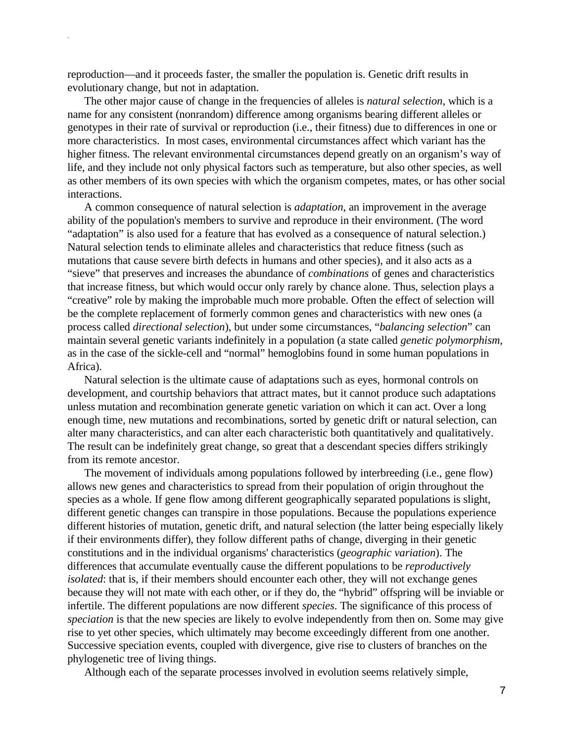reproduction—and it proceeds faster, the smaller the population is. Genetic drift results in evolutionary change, but not in adaptation.

.

The other major cause of change in the frequencies of alleles is *natural selection*, which is a name for any consistent (nonrandom) difference among organisms bearing different alleles or genotypes in their rate of survival or reproduction (i.e., their fitness) due to differences in one or more characteristics. In most cases, environmental circumstances affect which variant has the higher fitness. The relevant environmental circumstances depend greatly on an organism's way of life, and they include not only physical factors such as temperature, but also other species, as well as other members of its own species with which the organism competes, mates, or has other social interactions.

A common consequence of natural selection is *adaptation*, an improvement in the average ability of the population's members to survive and reproduce in their environment. (The word "adaptation" is also used for a feature that has evolved as a consequence of natural selection.) Natural selection tends to eliminate alleles and characteristics that reduce fitness (such as mutations that cause severe birth defects in humans and other species), and it also acts as a "sieve" that preserves and increases the abundance of *combinations* of genes and characteristics that increase fitness, but which would occur only rarely by chance alone. Thus, selection plays a "creative" role by making the improbable much more probable. Often the effect of selection will be the complete replacement of formerly common genes and characteristics with new ones (a process called *directional selection*), but under some circumstances, "*balancing selection*" can maintain several genetic variants indefinitely in a population (a state called *genetic polymorphism*, as in the case of the sickle-cell and "normal" hemoglobins found in some human populations in Africa).

Natural selection is the ultimate cause of adaptations such as eyes, hormonal controls on development, and courtship behaviors that attract mates, but it cannot produce such adaptations unless mutation and recombination generate genetic variation on which it can act. Over a long enough time, new mutations and recombinations, sorted by genetic drift or natural selection, can alter many characteristics, and can alter each characteristic both quantitatively and qualitatively. The result can be indefinitely great change, so great that a descendant species differs strikingly from its remote ancestor.

The movement of individuals among populations followed by interbreeding (i.e., gene flow) allows new genes and characteristics to spread from their population of origin throughout the species as a whole. If gene flow among different geographically separated populations is slight, different genetic changes can transpire in those populations. Because the populations experience different histories of mutation, genetic drift, and natural selection (the latter being especially likely if their environments differ), they follow different paths of change, diverging in their genetic constitutions and in the individual organisms' characteristics (*geographic variation*). The differences that accumulate eventually cause the different populations to be *reproductively isolated*: that is, if their members should encounter each other, they will not exchange genes because they will not mate with each other, or if they do, the "hybrid" offspring will be inviable or infertile. The different populations are now different *species*. The significance of this process of *speciation* is that the new species are likely to evolve independently from then on. Some may give rise to yet other species, which ultimately may become exceedingly different from one another. Successive speciation events, coupled with divergence, give rise to clusters of branches on the phylogenetic tree of living things.

Although each of the separate processes involved in evolution seems relatively simple,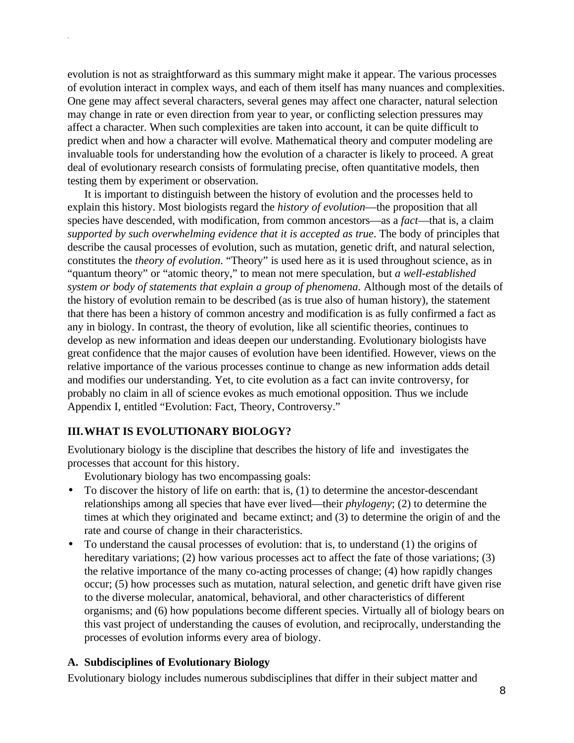evolution is not as straightforward as this summary might make it appear. The various processes of evolution interact in complex ways, and each of them itself has many nuances and complexities. One gene may affect several characters, several genes may affect one character, natural selection may change in rate or even direction from year to year, or conflicting selection pressures may affect a character. When such complexities are taken into account, it can be quite difficult to predict when and how a character will evolve. Mathematical theory and computer modeling are invaluable tools for understanding how the evolution of a character is likely to proceed. A great deal of evolutionary research consists of formulating precise, often quantitative models, then testing them by experiment or observation.

It is important to distinguish between the history of evolution and the processes held to explain this history. Most biologists regard the *history of evolution*—the proposition that all species have descended, with modification, from common ancestors—as a *fact*—that is, a claim *supported by such overwhelming evidence that it is accepted as true*. The body of principles that describe the causal processes of evolution, such as mutation, genetic drift, and natural selection, constitutes the *theory of evolution*. "Theory" is used here as it is used throughout science, as in "quantum theory" or "atomic theory," to mean not mere speculation, but *a well-established system or body of statements that explain a group of phenomena*. Although most of the details of the history of evolution remain to be described (as is true also of human history), the statement that there has been a history of common ancestry and modification is as fully confirmed a fact as any in biology. In contrast, the theory of evolution, like all scientific theories, continues to develop as new information and ideas deepen our understanding. Evolutionary biologists have great confidence that the major causes of evolution have been identified. However, views on the relative importance of the various processes continue to change as new information adds detail and modifies our understanding. Yet, to cite evolution as a fact can invite controversy, for probably no claim in all of science evokes as much emotional opposition. Thus we include Appendix I, entitled "Evolution: Fact, Theory, Controversy."

## **III.WHAT IS EVOLUTIONARY BIOLOGY?**

.

Evolutionary biology is the discipline that describes the history of life and investigates the processes that account for this history.

Evolutionary biology has two encompassing goals:

- To discover the history of life on earth: that is, (1) to determine the ancestor-descendant relationships among all species that have ever lived—their *phylogeny*; (2) to determine the times at which they originated and became extinct; and (3) to determine the origin of and the rate and course of change in their characteristics.
- To understand the causal processes of evolution: that is, to understand (1) the origins of hereditary variations; (2) how various processes act to affect the fate of those variations; (3) the relative importance of the many co-acting processes of change; (4) how rapidly changes occur; (5) how processes such as mutation, natural selection, and genetic drift have given rise to the diverse molecular, anatomical, behavioral, and other characteristics of different organisms; and (6) how populations become different species. Virtually all of biology bears on this vast project of understanding the causes of evolution, and reciprocally, understanding the processes of evolution informs every area of biology.

### **A. Subdisciplines of Evolutionary Biology**

Evolutionary biology includes numerous subdisciplines that differ in their subject matter and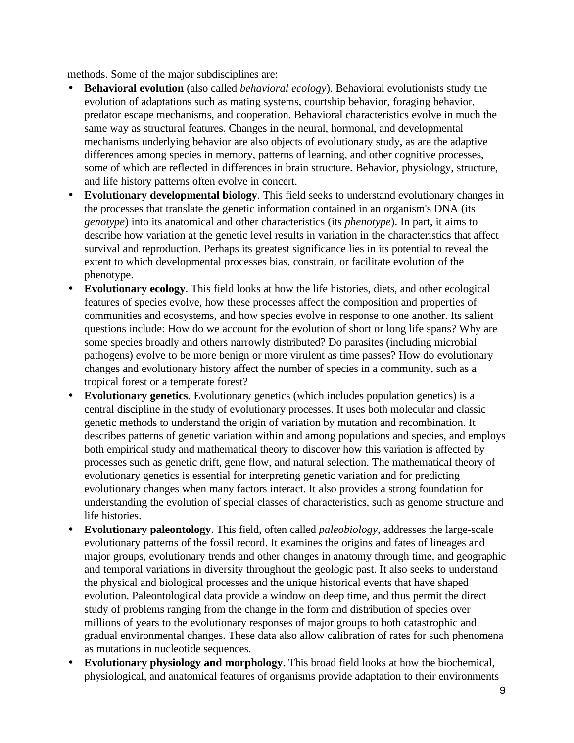methods. Some of the major subdisciplines are:

.

- **Behavioral evolution** (also called *behavioral ecology*). Behavioral evolutionists study the evolution of adaptations such as mating systems, courtship behavior, foraging behavior, predator escape mechanisms, and cooperation. Behavioral characteristics evolve in much the same way as structural features. Changes in the neural, hormonal, and developmental mechanisms underlying behavior are also objects of evolutionary study, as are the adaptive differences among species in memory, patterns of learning, and other cognitive processes, some of which are reflected in differences in brain structure. Behavior, physiology, structure, and life history patterns often evolve in concert.
- **Evolutionary developmental biology**. This field seeks to understand evolutionary changes in the processes that translate the genetic information contained in an organism's DNA (its *genotype*) into its anatomical and other characteristics (its *phenotype*). In part, it aims to describe how variation at the genetic level results in variation in the characteristics that affect survival and reproduction. Perhaps its greatest significance lies in its potential to reveal the extent to which developmental processes bias, constrain, or facilitate evolution of the phenotype.
- **Evolutionary ecology**. This field looks at how the life histories, diets, and other ecological features of species evolve, how these processes affect the composition and properties of communities and ecosystems, and how species evolve in response to one another. Its salient questions include: How do we account for the evolution of short or long life spans? Why are some species broadly and others narrowly distributed? Do parasites (including microbial pathogens) evolve to be more benign or more virulent as time passes? How do evolutionary changes and evolutionary history affect the number of species in a community, such as a tropical forest or a temperate forest?
- **Evolutionary genetics**. Evolutionary genetics (which includes population genetics) is a central discipline in the study of evolutionary processes. It uses both molecular and classic genetic methods to understand the origin of variation by mutation and recombination. It describes patterns of genetic variation within and among populations and species, and employs both empirical study and mathematical theory to discover how this variation is affected by processes such as genetic drift, gene flow, and natural selection. The mathematical theory of evolutionary genetics is essential for interpreting genetic variation and for predicting evolutionary changes when many factors interact. It also provides a strong foundation for understanding the evolution of special classes of characteristics, such as genome structure and life histories.
- **Evolutionary paleontology**. This field, often called *paleobiology*, addresses the large-scale evolutionary patterns of the fossil record. It examines the origins and fates of lineages and major groups, evolutionary trends and other changes in anatomy through time, and geographic and temporal variations in diversity throughout the geologic past. It also seeks to understand the physical and biological processes and the unique historical events that have shaped evolution. Paleontological data provide a window on deep time, and thus permit the direct study of problems ranging from the change in the form and distribution of species over millions of years to the evolutionary responses of major groups to both catastrophic and gradual environmental changes. These data also allow calibration of rates for such phenomena as mutations in nucleotide sequences.
- **Evolutionary physiology and morphology**. This broad field looks at how the biochemical, physiological, and anatomical features of organisms provide adaptation to their environments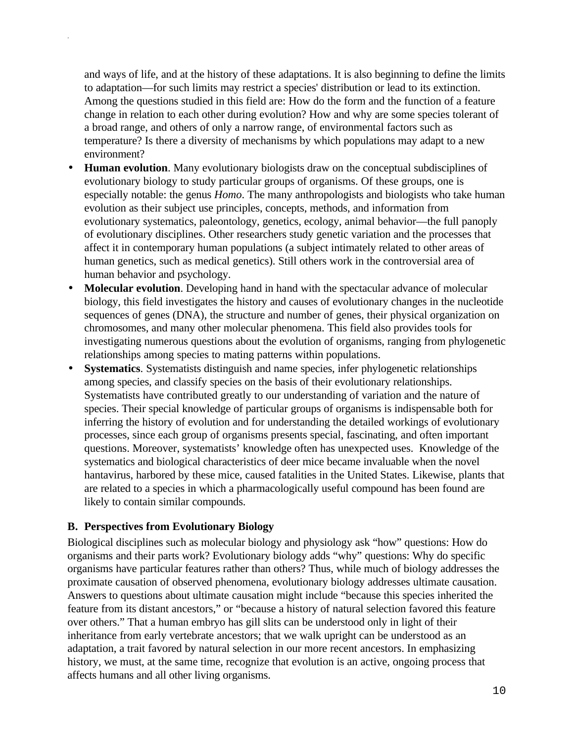and ways of life, and at the history of these adaptations. It is also beginning to define the limits to adaptation—for such limits may restrict a species' distribution or lead to its extinction. Among the questions studied in this field are: How do the form and the function of a feature change in relation to each other during evolution? How and why are some species tolerant of a broad range, and others of only a narrow range, of environmental factors such as temperature? Is there a diversity of mechanisms by which populations may adapt to a new environment?

- **Human evolution**. Many evolutionary biologists draw on the conceptual subdisciplines of evolutionary biology to study particular groups of organisms. Of these groups, one is especially notable: the genus *Homo*. The many anthropologists and biologists who take human evolution as their subject use principles, concepts, methods, and information from evolutionary systematics, paleontology, genetics, ecology, animal behavior—the full panoply of evolutionary disciplines. Other researchers study genetic variation and the processes that affect it in contemporary human populations (a subject intimately related to other areas of human genetics, such as medical genetics). Still others work in the controversial area of human behavior and psychology.
- **Molecular evolution**. Developing hand in hand with the spectacular advance of molecular biology, this field investigates the history and causes of evolutionary changes in the nucleotide sequences of genes (DNA), the structure and number of genes, their physical organization on chromosomes, and many other molecular phenomena. This field also provides tools for investigating numerous questions about the evolution of organisms, ranging from phylogenetic relationships among species to mating patterns within populations.
- **Systematics**. Systematists distinguish and name species, infer phylogenetic relationships among species, and classify species on the basis of their evolutionary relationships. Systematists have contributed greatly to our understanding of variation and the nature of species. Their special knowledge of particular groups of organisms is indispensable both for inferring the history of evolution and for understanding the detailed workings of evolutionary processes, since each group of organisms presents special, fascinating, and often important questions. Moreover, systematists' knowledge often has unexpected uses. Knowledge of the systematics and biological characteristics of deer mice became invaluable when the novel hantavirus, harbored by these mice, caused fatalities in the United States. Likewise, plants that are related to a species in which a pharmacologically useful compound has been found are likely to contain similar compounds.

## **B. Perspectives from Evolutionary Biology**

.

Biological disciplines such as molecular biology and physiology ask "how" questions: How do organisms and their parts work? Evolutionary biology adds "why" questions: Why do specific organisms have particular features rather than others? Thus, while much of biology addresses the proximate causation of observed phenomena, evolutionary biology addresses ultimate causation. Answers to questions about ultimate causation might include "because this species inherited the feature from its distant ancestors," or "because a history of natural selection favored this feature over others." That a human embryo has gill slits can be understood only in light of their inheritance from early vertebrate ancestors; that we walk upright can be understood as an adaptation, a trait favored by natural selection in our more recent ancestors. In emphasizing history, we must, at the same time, recognize that evolution is an active, ongoing process that affects humans and all other living organisms.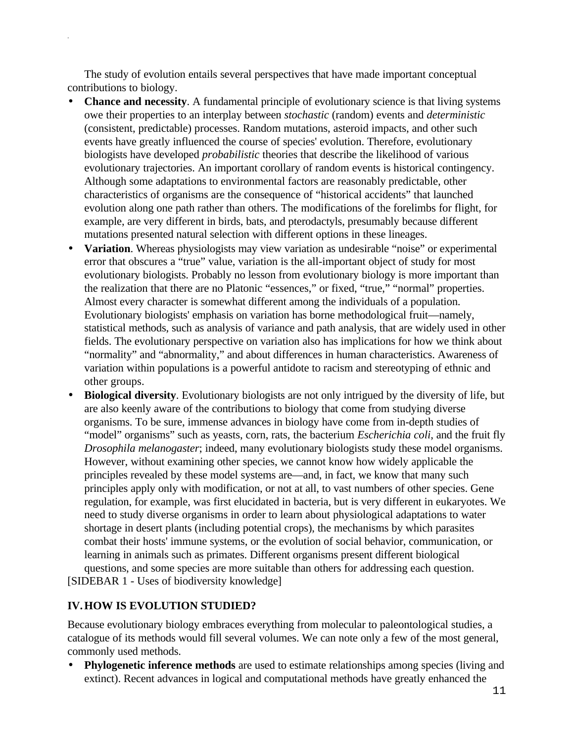The study of evolution entails several perspectives that have made important conceptual contributions to biology.

- **Chance and necessity**. A fundamental principle of evolutionary science is that living systems owe their properties to an interplay between *stochastic* (random) events and *deterministic* (consistent, predictable) processes. Random mutations, asteroid impacts, and other such events have greatly influenced the course of species' evolution. Therefore, evolutionary biologists have developed *probabilistic* theories that describe the likelihood of various evolutionary trajectories. An important corollary of random events is historical contingency. Although some adaptations to environmental factors are reasonably predictable, other characteristics of organisms are the consequence of "historical accidents" that launched evolution along one path rather than others. The modifications of the forelimbs for flight, for example, are very different in birds, bats, and pterodactyls, presumably because different mutations presented natural selection with different options in these lineages.
- **Variation**. Whereas physiologists may view variation as undesirable "noise" or experimental error that obscures a "true" value, variation is the all-important object of study for most evolutionary biologists. Probably no lesson from evolutionary biology is more important than the realization that there are no Platonic "essences," or fixed, "true," "normal" properties. Almost every character is somewhat different among the individuals of a population. Evolutionary biologists' emphasis on variation has borne methodological fruit—namely, statistical methods, such as analysis of variance and path analysis, that are widely used in other fields. The evolutionary perspective on variation also has implications for how we think about "normality" and "abnormality," and about differences in human characteristics. Awareness of variation within populations is a powerful antidote to racism and stereotyping of ethnic and other groups.
- **Biological diversity**. Evolutionary biologists are not only intrigued by the diversity of life, but are also keenly aware of the contributions to biology that come from studying diverse organisms. To be sure, immense advances in biology have come from in-depth studies of "model" organisms" such as yeasts, corn, rats, the bacterium *Escherichia coli*, and the fruit fly *Drosophila melanogaster*; indeed, many evolutionary biologists study these model organisms. However, without examining other species, we cannot know how widely applicable the principles revealed by these model systems are—and, in fact, we know that many such principles apply only with modification, or not at all, to vast numbers of other species. Gene regulation, for example, was first elucidated in bacteria, but is very different in eukaryotes. We need to study diverse organisms in order to learn about physiological adaptations to water shortage in desert plants (including potential crops), the mechanisms by which parasites combat their hosts' immune systems, or the evolution of social behavior, communication, or learning in animals such as primates. Different organisms present different biological questions, and some species are more suitable than others for addressing each question.

[SIDEBAR 1 - Uses of biodiversity knowledge]

## **IV.HOW IS EVOLUTION STUDIED?**

.

Because evolutionary biology embraces everything from molecular to paleontological studies, a catalogue of its methods would fill several volumes. We can note only a few of the most general, commonly used methods.

**Phylogenetic inference methods** are used to estimate relationships among species (living and extinct). Recent advances in logical and computational methods have greatly enhanced the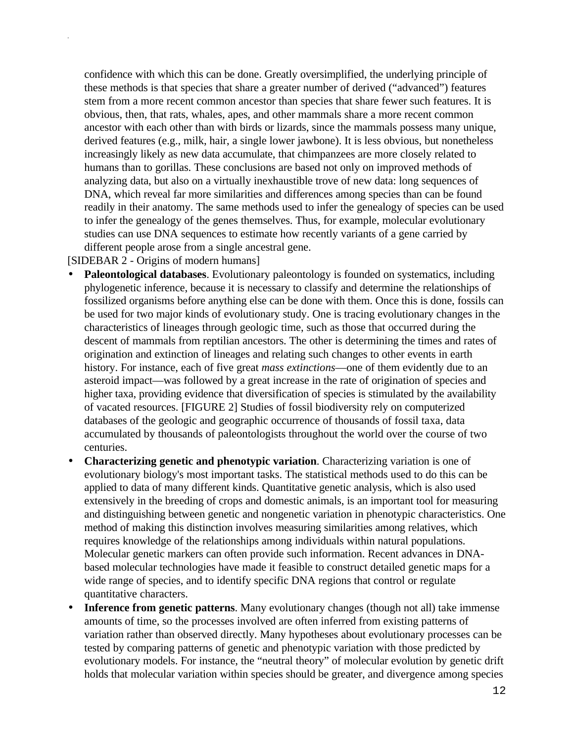confidence with which this can be done. Greatly oversimplified, the underlying principle of these methods is that species that share a greater number of derived ("advanced") features stem from a more recent common ancestor than species that share fewer such features. It is obvious, then, that rats, whales, apes, and other mammals share a more recent common ancestor with each other than with birds or lizards, since the mammals possess many unique, derived features (e.g., milk, hair, a single lower jawbone). It is less obvious, but nonetheless increasingly likely as new data accumulate, that chimpanzees are more closely related to humans than to gorillas. These conclusions are based not only on improved methods of analyzing data, but also on a virtually inexhaustible trove of new data: long sequences of DNA, which reveal far more similarities and differences among species than can be found readily in their anatomy. The same methods used to infer the genealogy of species can be used to infer the genealogy of the genes themselves. Thus, for example, molecular evolutionary studies can use DNA sequences to estimate how recently variants of a gene carried by different people arose from a single ancestral gene.

[SIDEBAR 2 - Origins of modern humans]

.

- **Paleontological databases**. Evolutionary paleontology is founded on systematics, including phylogenetic inference, because it is necessary to classify and determine the relationships of fossilized organisms before anything else can be done with them. Once this is done, fossils can be used for two major kinds of evolutionary study. One is tracing evolutionary changes in the characteristics of lineages through geologic time, such as those that occurred during the descent of mammals from reptilian ancestors. The other is determining the times and rates of origination and extinction of lineages and relating such changes to other events in earth history. For instance, each of five great *mass extinctions*—one of them evidently due to an asteroid impact—was followed by a great increase in the rate of origination of species and higher taxa, providing evidence that diversification of species is stimulated by the availability of vacated resources. [FIGURE 2] Studies of fossil biodiversity rely on computerized databases of the geologic and geographic occurrence of thousands of fossil taxa, data accumulated by thousands of paleontologists throughout the world over the course of two centuries.
- **Characterizing genetic and phenotypic variation**. Characterizing variation is one of evolutionary biology's most important tasks. The statistical methods used to do this can be applied to data of many different kinds. Quantitative genetic analysis, which is also used extensively in the breeding of crops and domestic animals, is an important tool for measuring and distinguishing between genetic and nongenetic variation in phenotypic characteristics. One method of making this distinction involves measuring similarities among relatives, which requires knowledge of the relationships among individuals within natural populations. Molecular genetic markers can often provide such information. Recent advances in DNAbased molecular technologies have made it feasible to construct detailed genetic maps for a wide range of species, and to identify specific DNA regions that control or regulate quantitative characters.
- **Inference from genetic patterns**. Many evolutionary changes (though not all) take immense amounts of time, so the processes involved are often inferred from existing patterns of variation rather than observed directly. Many hypotheses about evolutionary processes can be tested by comparing patterns of genetic and phenotypic variation with those predicted by evolutionary models. For instance, the "neutral theory" of molecular evolution by genetic drift holds that molecular variation within species should be greater, and divergence among species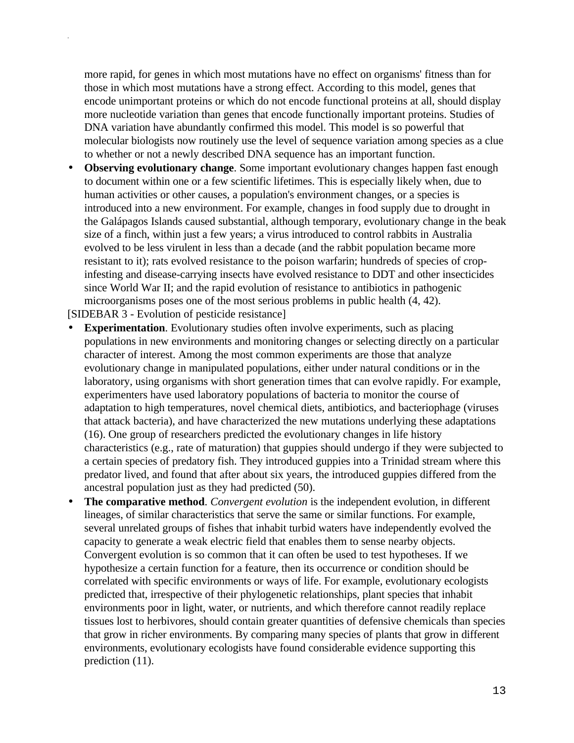more rapid, for genes in which most mutations have no effect on organisms' fitness than for those in which most mutations have a strong effect. According to this model, genes that encode unimportant proteins or which do not encode functional proteins at all, should display more nucleotide variation than genes that encode functionally important proteins. Studies of DNA variation have abundantly confirmed this model. This model is so powerful that molecular biologists now routinely use the level of sequence variation among species as a clue to whether or not a newly described DNA sequence has an important function.

.

- **Observing evolutionary change.** Some important evolutionary changes happen fast enough to document within one or a few scientific lifetimes. This is especially likely when, due to human activities or other causes, a population's environment changes, or a species is introduced into a new environment. For example, changes in food supply due to drought in the Galápagos Islands caused substantial, although temporary, evolutionary change in the beak size of a finch, within just a few years; a virus introduced to control rabbits in Australia evolved to be less virulent in less than a decade (and the rabbit population became more resistant to it); rats evolved resistance to the poison warfarin; hundreds of species of cropinfesting and disease-carrying insects have evolved resistance to DDT and other insecticides since World War II; and the rapid evolution of resistance to antibiotics in pathogenic microorganisms poses one of the most serious problems in public health (4, 42). [SIDEBAR 3 - Evolution of pesticide resistance]
- **Experimentation**. Evolutionary studies often involve experiments, such as placing populations in new environments and monitoring changes or selecting directly on a particular character of interest. Among the most common experiments are those that analyze evolutionary change in manipulated populations, either under natural conditions or in the laboratory, using organisms with short generation times that can evolve rapidly. For example, experimenters have used laboratory populations of bacteria to monitor the course of adaptation to high temperatures, novel chemical diets, antibiotics, and bacteriophage (viruses that attack bacteria), and have characterized the new mutations underlying these adaptations (16). One group of researchers predicted the evolutionary changes in life history characteristics (e.g., rate of maturation) that guppies should undergo if they were subjected to a certain species of predatory fish. They introduced guppies into a Trinidad stream where this predator lived, and found that after about six years, the introduced guppies differed from the ancestral population just as they had predicted (50).
- **The comparative method**. *Convergent evolution* is the independent evolution, in different lineages, of similar characteristics that serve the same or similar functions. For example, several unrelated groups of fishes that inhabit turbid waters have independently evolved the capacity to generate a weak electric field that enables them to sense nearby objects. Convergent evolution is so common that it can often be used to test hypotheses. If we hypothesize a certain function for a feature, then its occurrence or condition should be correlated with specific environments or ways of life. For example, evolutionary ecologists predicted that, irrespective of their phylogenetic relationships, plant species that inhabit environments poor in light, water, or nutrients, and which therefore cannot readily replace tissues lost to herbivores, should contain greater quantities of defensive chemicals than species that grow in richer environments. By comparing many species of plants that grow in different environments, evolutionary ecologists have found considerable evidence supporting this prediction  $(11)$ .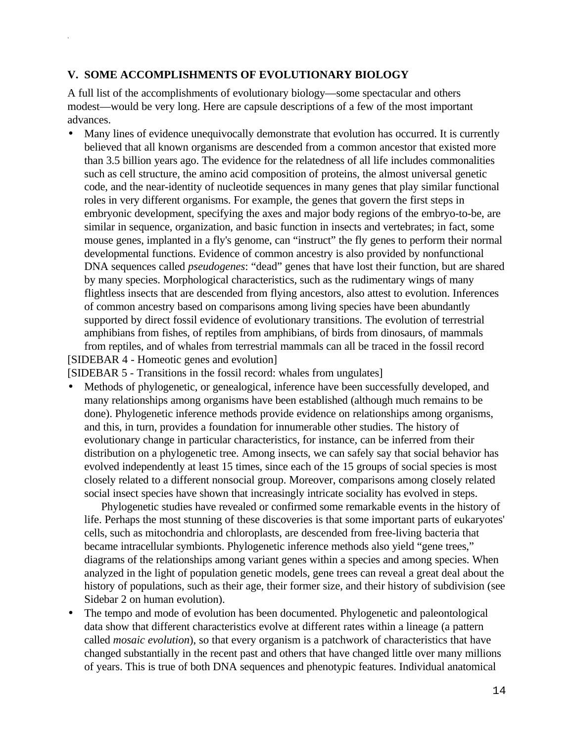### **V. SOME ACCOMPLISHMENTS OF EVOLUTIONARY BIOLOGY**

.

A full list of the accomplishments of evolutionary biology—some spectacular and others modest—would be very long. Here are capsule descriptions of a few of the most important advances.

• Many lines of evidence unequivocally demonstrate that evolution has occurred. It is currently believed that all known organisms are descended from a common ancestor that existed more than 3.5 billion years ago. The evidence for the relatedness of all life includes commonalities such as cell structure, the amino acid composition of proteins, the almost universal genetic code, and the near-identity of nucleotide sequences in many genes that play similar functional roles in very different organisms. For example, the genes that govern the first steps in embryonic development, specifying the axes and major body regions of the embryo-to-be, are similar in sequence, organization, and basic function in insects and vertebrates; in fact, some mouse genes, implanted in a fly's genome, can "instruct" the fly genes to perform their normal developmental functions. Evidence of common ancestry is also provided by nonfunctional DNA sequences called *pseudogenes*: "dead" genes that have lost their function, but are shared by many species. Morphological characteristics, such as the rudimentary wings of many flightless insects that are descended from flying ancestors, also attest to evolution. Inferences of common ancestry based on comparisons among living species have been abundantly supported by direct fossil evidence of evolutionary transitions. The evolution of terrestrial amphibians from fishes, of reptiles from amphibians, of birds from dinosaurs, of mammals from reptiles, and of whales from terrestrial mammals can all be traced in the fossil record [SIDEBAR 4 - Homeotic genes and evolution]

[SIDEBAR 5 - Transitions in the fossil record: whales from ungulates]

• Methods of phylogenetic, or genealogical, inference have been successfully developed, and many relationships among organisms have been established (although much remains to be done). Phylogenetic inference methods provide evidence on relationships among organisms, and this, in turn, provides a foundation for innumerable other studies. The history of evolutionary change in particular characteristics, for instance, can be inferred from their distribution on a phylogenetic tree. Among insects, we can safely say that social behavior has evolved independently at least 15 times, since each of the 15 groups of social species is most closely related to a different nonsocial group. Moreover, comparisons among closely related social insect species have shown that increasingly intricate sociality has evolved in steps.

Phylogenetic studies have revealed or confirmed some remarkable events in the history of life. Perhaps the most stunning of these discoveries is that some important parts of eukaryotes' cells, such as mitochondria and chloroplasts, are descended from free-living bacteria that became intracellular symbionts. Phylogenetic inference methods also yield "gene trees," diagrams of the relationships among variant genes within a species and among species. When analyzed in the light of population genetic models, gene trees can reveal a great deal about the history of populations, such as their age, their former size, and their history of subdivision (see Sidebar 2 on human evolution).

The tempo and mode of evolution has been documented. Phylogenetic and paleontological data show that different characteristics evolve at different rates within a lineage (a pattern called *mosaic evolution*), so that every organism is a patchwork of characteristics that have changed substantially in the recent past and others that have changed little over many millions of years. This is true of both DNA sequences and phenotypic features. Individual anatomical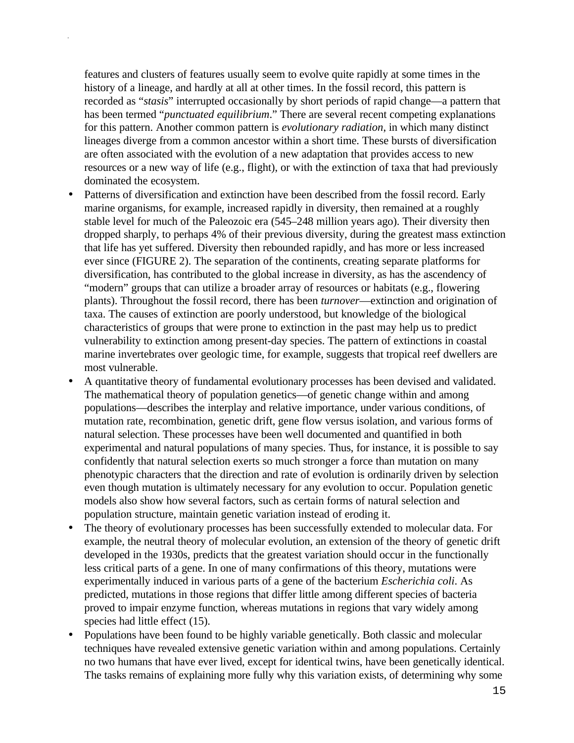features and clusters of features usually seem to evolve quite rapidly at some times in the history of a lineage, and hardly at all at other times. In the fossil record, this pattern is recorded as "*stasis*" interrupted occasionally by short periods of rapid change—a pattern that has been termed "*punctuated equilibrium*." There are several recent competing explanations for this pattern. Another common pattern is *evolutionary radiation*, in which many distinct lineages diverge from a common ancestor within a short time. These bursts of diversification are often associated with the evolution of a new adaptation that provides access to new resources or a new way of life (e.g., flight), or with the extinction of taxa that had previously dominated the ecosystem.

.

- Patterns of diversification and extinction have been described from the fossil record. Early marine organisms, for example, increased rapidly in diversity, then remained at a roughly stable level for much of the Paleozoic era (545–248 million years ago). Their diversity then dropped sharply, to perhaps 4% of their previous diversity, during the greatest mass extinction that life has yet suffered. Diversity then rebounded rapidly, and has more or less increased ever since (FIGURE 2). The separation of the continents, creating separate platforms for diversification, has contributed to the global increase in diversity, as has the ascendency of "modern" groups that can utilize a broader array of resources or habitats (e.g., flowering plants). Throughout the fossil record, there has been *turnover*—extinction and origination of taxa. The causes of extinction are poorly understood, but knowledge of the biological characteristics of groups that were prone to extinction in the past may help us to predict vulnerability to extinction among present-day species. The pattern of extinctions in coastal marine invertebrates over geologic time, for example, suggests that tropical reef dwellers are most vulnerable.
- A quantitative theory of fundamental evolutionary processes has been devised and validated. The mathematical theory of population genetics—of genetic change within and among populations—describes the interplay and relative importance, under various conditions, of mutation rate, recombination, genetic drift, gene flow versus isolation, and various forms of natural selection. These processes have been well documented and quantified in both experimental and natural populations of many species. Thus, for instance, it is possible to say confidently that natural selection exerts so much stronger a force than mutation on many phenotypic characters that the direction and rate of evolution is ordinarily driven by selection even though mutation is ultimately necessary for any evolution to occur. Population genetic models also show how several factors, such as certain forms of natural selection and population structure, maintain genetic variation instead of eroding it.
- The theory of evolutionary processes has been successfully extended to molecular data. For example, the neutral theory of molecular evolution, an extension of the theory of genetic drift developed in the 1930s, predicts that the greatest variation should occur in the functionally less critical parts of a gene. In one of many confirmations of this theory, mutations were experimentally induced in various parts of a gene of the bacterium *Escherichia coli*. As predicted, mutations in those regions that differ little among different species of bacteria proved to impair enzyme function, whereas mutations in regions that vary widely among species had little effect (15).
- Populations have been found to be highly variable genetically. Both classic and molecular techniques have revealed extensive genetic variation within and among populations. Certainly no two humans that have ever lived, except for identical twins, have been genetically identical. The tasks remains of explaining more fully why this variation exists, of determining why some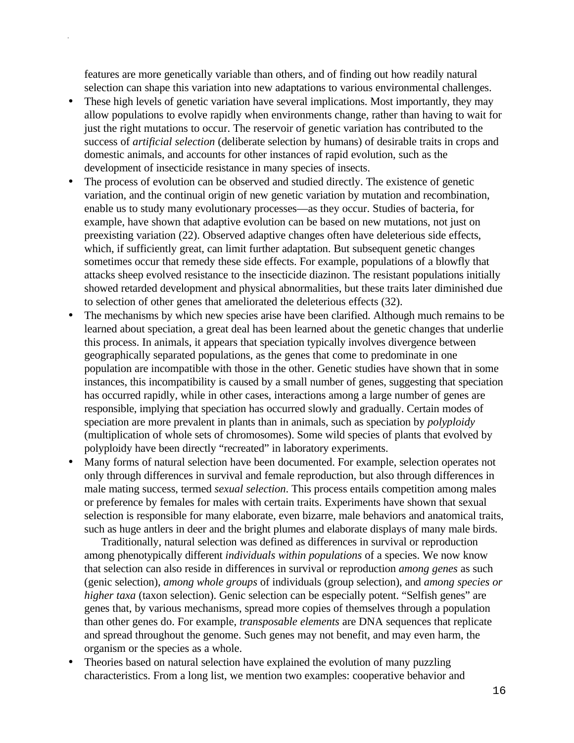features are more genetically variable than others, and of finding out how readily natural selection can shape this variation into new adaptations to various environmental challenges.

.

- These high levels of genetic variation have several implications. Most importantly, they may allow populations to evolve rapidly when environments change, rather than having to wait for just the right mutations to occur. The reservoir of genetic variation has contributed to the success of *artificial selection* (deliberate selection by humans) of desirable traits in crops and domestic animals, and accounts for other instances of rapid evolution, such as the development of insecticide resistance in many species of insects.
- The process of evolution can be observed and studied directly. The existence of genetic variation, and the continual origin of new genetic variation by mutation and recombination, enable us to study many evolutionary processes—as they occur. Studies of bacteria, for example, have shown that adaptive evolution can be based on new mutations, not just on preexisting variation (22). Observed adaptive changes often have deleterious side effects, which, if sufficiently great, can limit further adaptation. But subsequent genetic changes sometimes occur that remedy these side effects. For example, populations of a blowfly that attacks sheep evolved resistance to the insecticide diazinon. The resistant populations initially showed retarded development and physical abnormalities, but these traits later diminished due to selection of other genes that ameliorated the deleterious effects (32).
- The mechanisms by which new species arise have been clarified. Although much remains to be learned about speciation, a great deal has been learned about the genetic changes that underlie this process. In animals, it appears that speciation typically involves divergence between geographically separated populations, as the genes that come to predominate in one population are incompatible with those in the other. Genetic studies have shown that in some instances, this incompatibility is caused by a small number of genes, suggesting that speciation has occurred rapidly, while in other cases, interactions among a large number of genes are responsible, implying that speciation has occurred slowly and gradually. Certain modes of speciation are more prevalent in plants than in animals, such as speciation by *polyploidy* (multiplication of whole sets of chromosomes). Some wild species of plants that evolved by polyploidy have been directly "recreated" in laboratory experiments.
- Many forms of natural selection have been documented. For example, selection operates not only through differences in survival and female reproduction, but also through differences in male mating success, termed *sexual selection*. This process entails competition among males or preference by females for males with certain traits. Experiments have shown that sexual selection is responsible for many elaborate, even bizarre, male behaviors and anatomical traits, such as huge antlers in deer and the bright plumes and elaborate displays of many male birds.

Traditionally, natural selection was defined as differences in survival or reproduction among phenotypically different *individuals within populations* of a species. We now know that selection can also reside in differences in survival or reproduction *among genes* as such (genic selection), *among whole groups* of individuals (group selection), and *among species or higher taxa* (taxon selection). Genic selection can be especially potent. "Selfish genes" are genes that, by various mechanisms, spread more copies of themselves through a population than other genes do. For example, *transposable elements* are DNA sequences that replicate and spread throughout the genome. Such genes may not benefit, and may even harm, the organism or the species as a whole.

• Theories based on natural selection have explained the evolution of many puzzling characteristics. From a long list, we mention two examples: cooperative behavior and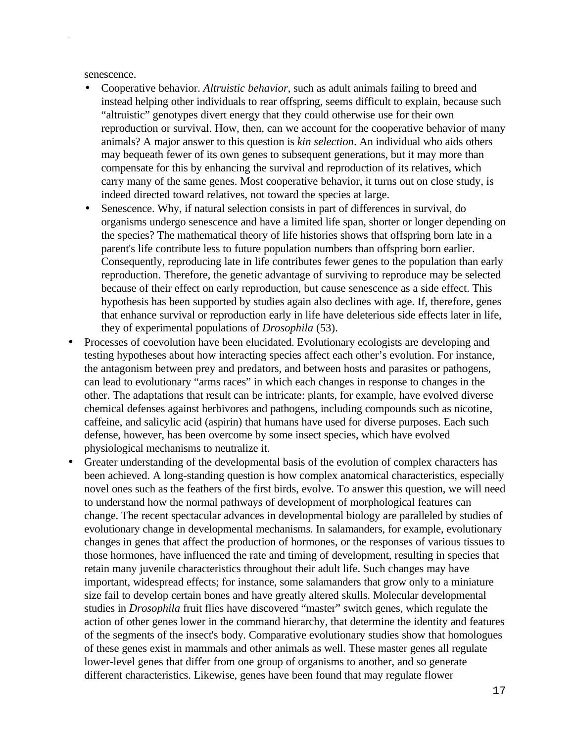senescence.

.

- Cooperative behavior. *Altruistic behavior*, such as adult animals failing to breed and instead helping other individuals to rear offspring, seems difficult to explain, because such "altruistic" genotypes divert energy that they could otherwise use for their own reproduction or survival. How, then, can we account for the cooperative behavior of many animals? A major answer to this question is *kin selection*. An individual who aids others may bequeath fewer of its own genes to subsequent generations, but it may more than compensate for this by enhancing the survival and reproduction of its relatives, which carry many of the same genes. Most cooperative behavior, it turns out on close study, is indeed directed toward relatives, not toward the species at large.
- Senescence. Why, if natural selection consists in part of differences in survival, do organisms undergo senescence and have a limited life span, shorter or longer depending on the species? The mathematical theory of life histories shows that offspring born late in a parent's life contribute less to future population numbers than offspring born earlier. Consequently, reproducing late in life contributes fewer genes to the population than early reproduction. Therefore, the genetic advantage of surviving to reproduce may be selected because of their effect on early reproduction, but cause senescence as a side effect. This hypothesis has been supported by studies again also declines with age. If, therefore, genes that enhance survival or reproduction early in life have deleterious side effects later in life, they of experimental populations of *Drosophila* (53).
- Processes of coevolution have been elucidated. Evolutionary ecologists are developing and testing hypotheses about how interacting species affect each other's evolution. For instance, the antagonism between prey and predators, and between hosts and parasites or pathogens, can lead to evolutionary "arms races" in which each changes in response to changes in the other. The adaptations that result can be intricate: plants, for example, have evolved diverse chemical defenses against herbivores and pathogens, including compounds such as nicotine, caffeine, and salicylic acid (aspirin) that humans have used for diverse purposes. Each such defense, however, has been overcome by some insect species, which have evolved physiological mechanisms to neutralize it.
- Greater understanding of the developmental basis of the evolution of complex characters has been achieved. A long-standing question is how complex anatomical characteristics, especially novel ones such as the feathers of the first birds, evolve. To answer this question, we will need to understand how the normal pathways of development of morphological features can change. The recent spectacular advances in developmental biology are paralleled by studies of evolutionary change in developmental mechanisms. In salamanders, for example, evolutionary changes in genes that affect the production of hormones, or the responses of various tissues to those hormones, have influenced the rate and timing of development, resulting in species that retain many juvenile characteristics throughout their adult life. Such changes may have important, widespread effects; for instance, some salamanders that grow only to a miniature size fail to develop certain bones and have greatly altered skulls. Molecular developmental studies in *Drosophila* fruit flies have discovered "master" switch genes, which regulate the action of other genes lower in the command hierarchy, that determine the identity and features of the segments of the insect's body. Comparative evolutionary studies show that homologues of these genes exist in mammals and other animals as well. These master genes all regulate lower-level genes that differ from one group of organisms to another, and so generate different characteristics. Likewise, genes have been found that may regulate flower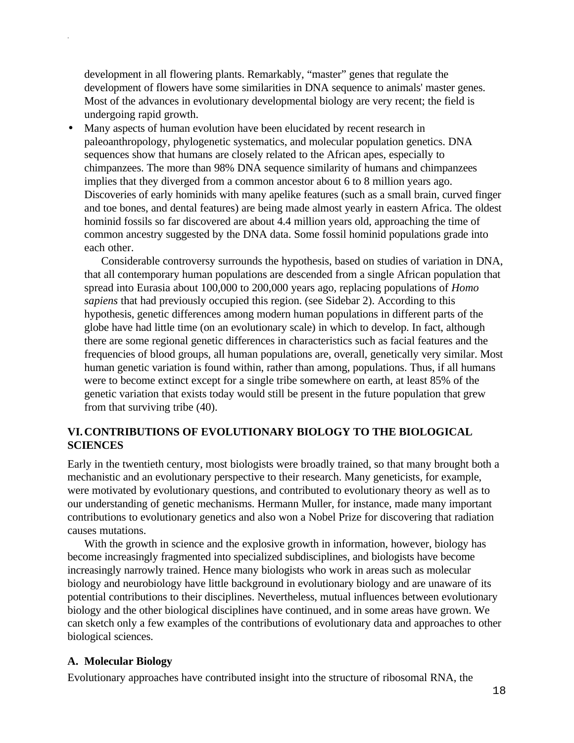development in all flowering plants. Remarkably, "master" genes that regulate the development of flowers have some similarities in DNA sequence to animals' master genes. Most of the advances in evolutionary developmental biology are very recent; the field is undergoing rapid growth.

Many aspects of human evolution have been elucidated by recent research in paleoanthropology, phylogenetic systematics, and molecular population genetics. DNA sequences show that humans are closely related to the African apes, especially to chimpanzees. The more than 98% DNA sequence similarity of humans and chimpanzees implies that they diverged from a common ancestor about 6 to 8 million years ago. Discoveries of early hominids with many apelike features (such as a small brain, curved finger and toe bones, and dental features) are being made almost yearly in eastern Africa. The oldest hominid fossils so far discovered are about 4.4 million years old, approaching the time of common ancestry suggested by the DNA data. Some fossil hominid populations grade into each other.

Considerable controversy surrounds the hypothesis, based on studies of variation in DNA, that all contemporary human populations are descended from a single African population that spread into Eurasia about 100,000 to 200,000 years ago, replacing populations of *Homo sapiens* that had previously occupied this region. (see Sidebar 2). According to this hypothesis, genetic differences among modern human populations in different parts of the globe have had little time (on an evolutionary scale) in which to develop. In fact, although there are some regional genetic differences in characteristics such as facial features and the frequencies of blood groups, all human populations are, overall, genetically very similar. Most human genetic variation is found within, rather than among, populations. Thus, if all humans were to become extinct except for a single tribe somewhere on earth, at least 85% of the genetic variation that exists today would still be present in the future population that grew from that surviving tribe (40).

## **VI.CONTRIBUTIONS OF EVOLUTIONARY BIOLOGY TO THE BIOLOGICAL SCIENCES**

Early in the twentieth century, most biologists were broadly trained, so that many brought both a mechanistic and an evolutionary perspective to their research. Many geneticists, for example, were motivated by evolutionary questions, and contributed to evolutionary theory as well as to our understanding of genetic mechanisms. Hermann Muller, for instance, made many important contributions to evolutionary genetics and also won a Nobel Prize for discovering that radiation causes mutations.

With the growth in science and the explosive growth in information, however, biology has become increasingly fragmented into specialized subdisciplines, and biologists have become increasingly narrowly trained. Hence many biologists who work in areas such as molecular biology and neurobiology have little background in evolutionary biology and are unaware of its potential contributions to their disciplines. Nevertheless, mutual influences between evolutionary biology and the other biological disciplines have continued, and in some areas have grown. We can sketch only a few examples of the contributions of evolutionary data and approaches to other biological sciences.

### **A. Molecular Biology**

.

Evolutionary approaches have contributed insight into the structure of ribosomal RNA, the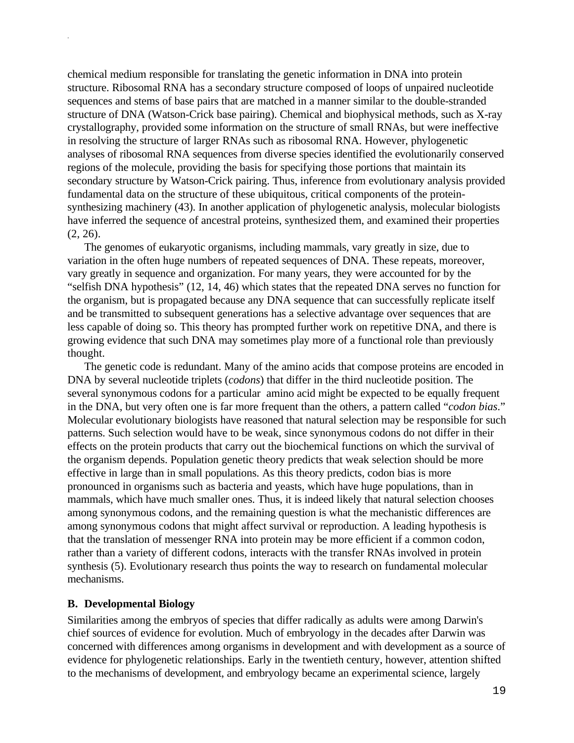chemical medium responsible for translating the genetic information in DNA into protein structure. Ribosomal RNA has a secondary structure composed of loops of unpaired nucleotide sequences and stems of base pairs that are matched in a manner similar to the double-stranded structure of DNA (Watson-Crick base pairing). Chemical and biophysical methods, such as X-ray crystallography, provided some information on the structure of small RNAs, but were ineffective in resolving the structure of larger RNAs such as ribosomal RNA. However, phylogenetic analyses of ribosomal RNA sequences from diverse species identified the evolutionarily conserved regions of the molecule, providing the basis for specifying those portions that maintain its secondary structure by Watson-Crick pairing. Thus, inference from evolutionary analysis provided fundamental data on the structure of these ubiquitous, critical components of the proteinsynthesizing machinery (43). In another application of phylogenetic analysis, molecular biologists have inferred the sequence of ancestral proteins, synthesized them, and examined their properties (2, 26).

The genomes of eukaryotic organisms, including mammals, vary greatly in size, due to variation in the often huge numbers of repeated sequences of DNA. These repeats, moreover, vary greatly in sequence and organization. For many years, they were accounted for by the "selfish DNA hypothesis" (12, 14, 46) which states that the repeated DNA serves no function for the organism, but is propagated because any DNA sequence that can successfully replicate itself and be transmitted to subsequent generations has a selective advantage over sequences that are less capable of doing so. This theory has prompted further work on repetitive DNA, and there is growing evidence that such DNA may sometimes play more of a functional role than previously thought.

The genetic code is redundant. Many of the amino acids that compose proteins are encoded in DNA by several nucleotide triplets (*codons*) that differ in the third nucleotide position. The several synonymous codons for a particular amino acid might be expected to be equally frequent in the DNA, but very often one is far more frequent than the others, a pattern called "*codon bias*." Molecular evolutionary biologists have reasoned that natural selection may be responsible for such patterns. Such selection would have to be weak, since synonymous codons do not differ in their effects on the protein products that carry out the biochemical functions on which the survival of the organism depends. Population genetic theory predicts that weak selection should be more effective in large than in small populations. As this theory predicts, codon bias is more pronounced in organisms such as bacteria and yeasts, which have huge populations, than in mammals, which have much smaller ones. Thus, it is indeed likely that natural selection chooses among synonymous codons, and the remaining question is what the mechanistic differences are among synonymous codons that might affect survival or reproduction. A leading hypothesis is that the translation of messenger RNA into protein may be more efficient if a common codon, rather than a variety of different codons, interacts with the transfer RNAs involved in protein synthesis (5). Evolutionary research thus points the way to research on fundamental molecular mechanisms.

### **B. Developmental Biology**

.

Similarities among the embryos of species that differ radically as adults were among Darwin's chief sources of evidence for evolution. Much of embryology in the decades after Darwin was concerned with differences among organisms in development and with development as a source of evidence for phylogenetic relationships. Early in the twentieth century, however, attention shifted to the mechanisms of development, and embryology became an experimental science, largely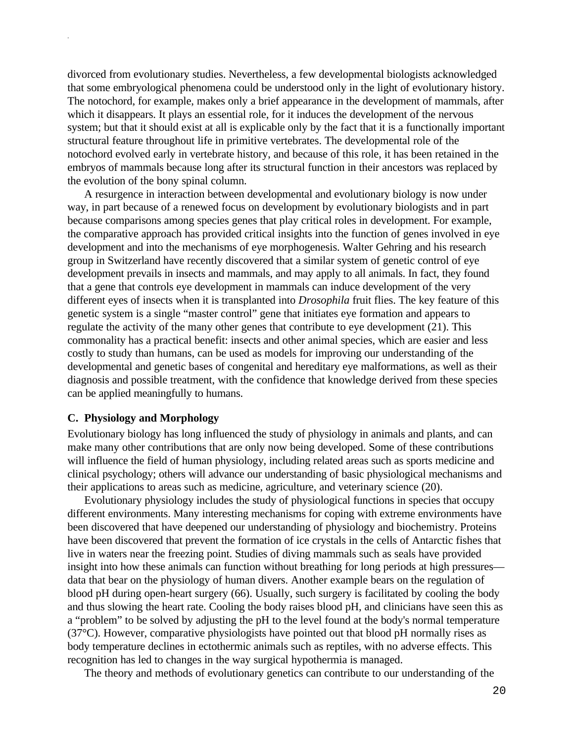divorced from evolutionary studies. Nevertheless, a few developmental biologists acknowledged that some embryological phenomena could be understood only in the light of evolutionary history. The notochord, for example, makes only a brief appearance in the development of mammals, after which it disappears. It plays an essential role, for it induces the development of the nervous system; but that it should exist at all is explicable only by the fact that it is a functionally important structural feature throughout life in primitive vertebrates. The developmental role of the notochord evolved early in vertebrate history, and because of this role, it has been retained in the embryos of mammals because long after its structural function in their ancestors was replaced by the evolution of the bony spinal column.

A resurgence in interaction between developmental and evolutionary biology is now under way, in part because of a renewed focus on development by evolutionary biologists and in part because comparisons among species genes that play critical roles in development. For example, the comparative approach has provided critical insights into the function of genes involved in eye development and into the mechanisms of eye morphogenesis. Walter Gehring and his research group in Switzerland have recently discovered that a similar system of genetic control of eye development prevails in insects and mammals, and may apply to all animals. In fact, they found that a gene that controls eye development in mammals can induce development of the very different eyes of insects when it is transplanted into *Drosophila* fruit flies. The key feature of this genetic system is a single "master control" gene that initiates eye formation and appears to regulate the activity of the many other genes that contribute to eye development (21). This commonality has a practical benefit: insects and other animal species, which are easier and less costly to study than humans, can be used as models for improving our understanding of the developmental and genetic bases of congenital and hereditary eye malformations, as well as their diagnosis and possible treatment, with the confidence that knowledge derived from these species can be applied meaningfully to humans.

### **C. Physiology and Morphology**

.

Evolutionary biology has long influenced the study of physiology in animals and plants, and can make many other contributions that are only now being developed. Some of these contributions will influence the field of human physiology, including related areas such as sports medicine and clinical psychology; others will advance our understanding of basic physiological mechanisms and their applications to areas such as medicine, agriculture, and veterinary science (20).

Evolutionary physiology includes the study of physiological functions in species that occupy different environments. Many interesting mechanisms for coping with extreme environments have been discovered that have deepened our understanding of physiology and biochemistry. Proteins have been discovered that prevent the formation of ice crystals in the cells of Antarctic fishes that live in waters near the freezing point. Studies of diving mammals such as seals have provided insight into how these animals can function without breathing for long periods at high pressures data that bear on the physiology of human divers. Another example bears on the regulation of blood pH during open-heart surgery (66). Usually, such surgery is facilitated by cooling the body and thus slowing the heart rate. Cooling the body raises blood pH, and clinicians have seen this as a "problem" to be solved by adjusting the pH to the level found at the body's normal temperature (37°C). However, comparative physiologists have pointed out that blood pH normally rises as body temperature declines in ectothermic animals such as reptiles, with no adverse effects. This recognition has led to changes in the way surgical hypothermia is managed.

The theory and methods of evolutionary genetics can contribute to our understanding of the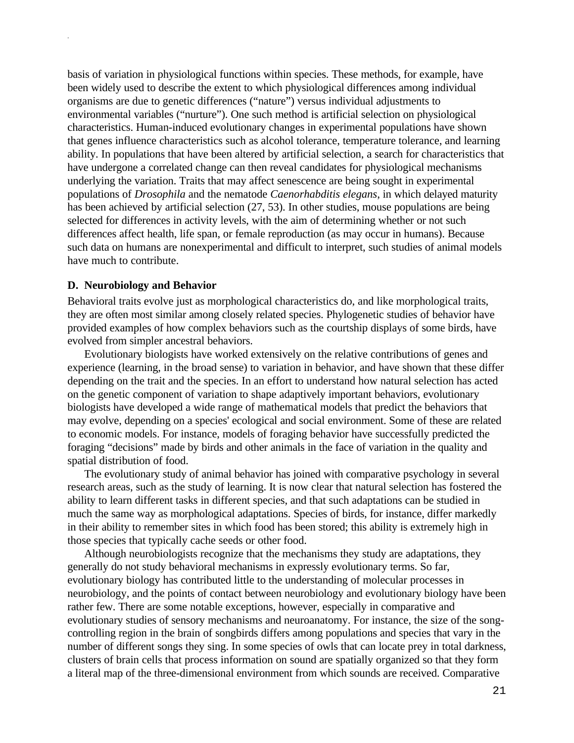basis of variation in physiological functions within species. These methods, for example, have been widely used to describe the extent to which physiological differences among individual organisms are due to genetic differences ("nature") versus individual adjustments to environmental variables ("nurture"). One such method is artificial selection on physiological characteristics. Human-induced evolutionary changes in experimental populations have shown that genes influence characteristics such as alcohol tolerance, temperature tolerance, and learning ability. In populations that have been altered by artificial selection, a search for characteristics that have undergone a correlated change can then reveal candidates for physiological mechanisms underlying the variation. Traits that may affect senescence are being sought in experimental populations of *Drosophila* and the nematode *Caenorhabditis elegans*, in which delayed maturity has been achieved by artificial selection (27, 53). In other studies, mouse populations are being selected for differences in activity levels, with the aim of determining whether or not such differences affect health, life span, or female reproduction (as may occur in humans). Because such data on humans are nonexperimental and difficult to interpret, such studies of animal models have much to contribute.

### **D. Neurobiology and Behavior**

.

Behavioral traits evolve just as morphological characteristics do, and like morphological traits, they are often most similar among closely related species. Phylogenetic studies of behavior have provided examples of how complex behaviors such as the courtship displays of some birds, have evolved from simpler ancestral behaviors.

Evolutionary biologists have worked extensively on the relative contributions of genes and experience (learning, in the broad sense) to variation in behavior, and have shown that these differ depending on the trait and the species. In an effort to understand how natural selection has acted on the genetic component of variation to shape adaptively important behaviors, evolutionary biologists have developed a wide range of mathematical models that predict the behaviors that may evolve, depending on a species' ecological and social environment. Some of these are related to economic models. For instance, models of foraging behavior have successfully predicted the foraging "decisions" made by birds and other animals in the face of variation in the quality and spatial distribution of food.

The evolutionary study of animal behavior has joined with comparative psychology in several research areas, such as the study of learning. It is now clear that natural selection has fostered the ability to learn different tasks in different species, and that such adaptations can be studied in much the same way as morphological adaptations. Species of birds, for instance, differ markedly in their ability to remember sites in which food has been stored; this ability is extremely high in those species that typically cache seeds or other food.

Although neurobiologists recognize that the mechanisms they study are adaptations, they generally do not study behavioral mechanisms in expressly evolutionary terms. So far, evolutionary biology has contributed little to the understanding of molecular processes in neurobiology, and the points of contact between neurobiology and evolutionary biology have been rather few. There are some notable exceptions, however, especially in comparative and evolutionary studies of sensory mechanisms and neuroanatomy. For instance, the size of the songcontrolling region in the brain of songbirds differs among populations and species that vary in the number of different songs they sing. In some species of owls that can locate prey in total darkness, clusters of brain cells that process information on sound are spatially organized so that they form a literal map of the three-dimensional environment from which sounds are received. Comparative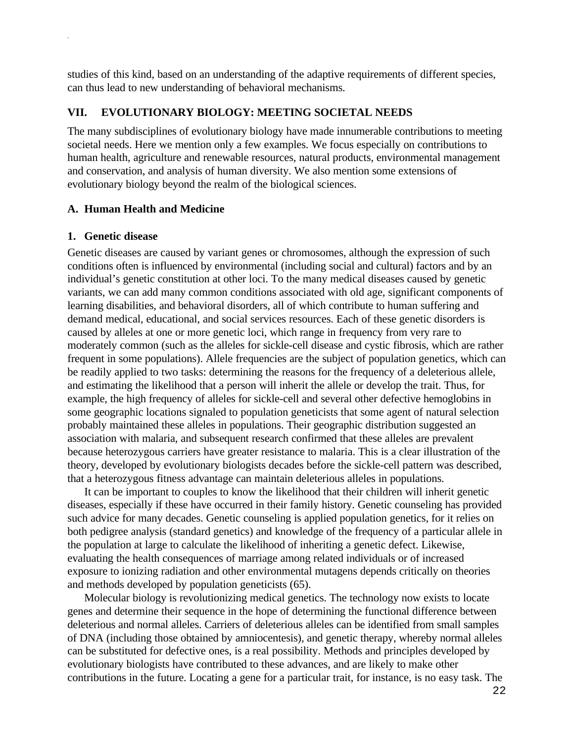studies of this kind, based on an understanding of the adaptive requirements of different species, can thus lead to new understanding of behavioral mechanisms.

## **VII. EVOLUTIONARY BIOLOGY: MEETING SOCIETAL NEEDS**

The many subdisciplines of evolutionary biology have made innumerable contributions to meeting societal needs. Here we mention only a few examples. We focus especially on contributions to human health, agriculture and renewable resources, natural products, environmental management and conservation, and analysis of human diversity. We also mention some extensions of evolutionary biology beyond the realm of the biological sciences.

## **A. Human Health and Medicine**

### **1. Genetic disease**

.

Genetic diseases are caused by variant genes or chromosomes, although the expression of such conditions often is influenced by environmental (including social and cultural) factors and by an individual's genetic constitution at other loci. To the many medical diseases caused by genetic variants, we can add many common conditions associated with old age, significant components of learning disabilities, and behavioral disorders, all of which contribute to human suffering and demand medical, educational, and social services resources. Each of these genetic disorders is caused by alleles at one or more genetic loci, which range in frequency from very rare to moderately common (such as the alleles for sickle-cell disease and cystic fibrosis, which are rather frequent in some populations). Allele frequencies are the subject of population genetics, which can be readily applied to two tasks: determining the reasons for the frequency of a deleterious allele, and estimating the likelihood that a person will inherit the allele or develop the trait. Thus, for example, the high frequency of alleles for sickle-cell and several other defective hemoglobins in some geographic locations signaled to population geneticists that some agent of natural selection probably maintained these alleles in populations. Their geographic distribution suggested an association with malaria, and subsequent research confirmed that these alleles are prevalent because heterozygous carriers have greater resistance to malaria. This is a clear illustration of the theory, developed by evolutionary biologists decades before the sickle-cell pattern was described, that a heterozygous fitness advantage can maintain deleterious alleles in populations.

It can be important to couples to know the likelihood that their children will inherit genetic diseases, especially if these have occurred in their family history. Genetic counseling has provided such advice for many decades. Genetic counseling is applied population genetics, for it relies on both pedigree analysis (standard genetics) and knowledge of the frequency of a particular allele in the population at large to calculate the likelihood of inheriting a genetic defect. Likewise, evaluating the health consequences of marriage among related individuals or of increased exposure to ionizing radiation and other environmental mutagens depends critically on theories and methods developed by population geneticists (65).

Molecular biology is revolutionizing medical genetics. The technology now exists to locate genes and determine their sequence in the hope of determining the functional difference between deleterious and normal alleles. Carriers of deleterious alleles can be identified from small samples of DNA (including those obtained by amniocentesis), and genetic therapy, whereby normal alleles can be substituted for defective ones, is a real possibility. Methods and principles developed by evolutionary biologists have contributed to these advances, and are likely to make other contributions in the future. Locating a gene for a particular trait, for instance, is no easy task. The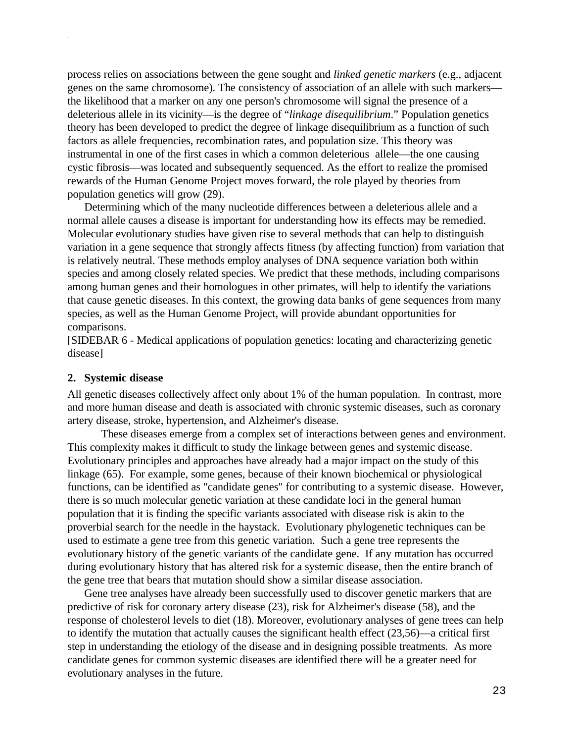process relies on associations between the gene sought and *linked genetic markers* (e.g., adjacent genes on the same chromosome). The consistency of association of an allele with such markers the likelihood that a marker on any one person's chromosome will signal the presence of a deleterious allele in its vicinity—is the degree of "*linkage disequilibrium*." Population genetics theory has been developed to predict the degree of linkage disequilibrium as a function of such factors as allele frequencies, recombination rates, and population size. This theory was instrumental in one of the first cases in which a common deleterious allele—the one causing cystic fibrosis—was located and subsequently sequenced. As the effort to realize the promised rewards of the Human Genome Project moves forward, the role played by theories from population genetics will grow (29).

Determining which of the many nucleotide differences between a deleterious allele and a normal allele causes a disease is important for understanding how its effects may be remedied. Molecular evolutionary studies have given rise to several methods that can help to distinguish variation in a gene sequence that strongly affects fitness (by affecting function) from variation that is relatively neutral. These methods employ analyses of DNA sequence variation both within species and among closely related species. We predict that these methods, including comparisons among human genes and their homologues in other primates, will help to identify the variations that cause genetic diseases. In this context, the growing data banks of gene sequences from many species, as well as the Human Genome Project, will provide abundant opportunities for comparisons.

[SIDEBAR 6 - Medical applications of population genetics: locating and characterizing genetic disease]

### **2. Systemic disease**

.

All genetic diseases collectively affect only about 1% of the human population. In contrast, more and more human disease and death is associated with chronic systemic diseases, such as coronary artery disease, stroke, hypertension, and Alzheimer's disease.

These diseases emerge from a complex set of interactions between genes and environment. This complexity makes it difficult to study the linkage between genes and systemic disease. Evolutionary principles and approaches have already had a major impact on the study of this linkage (65). For example, some genes, because of their known biochemical or physiological functions, can be identified as "candidate genes" for contributing to a systemic disease. However, there is so much molecular genetic variation at these candidate loci in the general human population that it is finding the specific variants associated with disease risk is akin to the proverbial search for the needle in the haystack. Evolutionary phylogenetic techniques can be used to estimate a gene tree from this genetic variation. Such a gene tree represents the evolutionary history of the genetic variants of the candidate gene. If any mutation has occurred during evolutionary history that has altered risk for a systemic disease, then the entire branch of the gene tree that bears that mutation should show a similar disease association.

Gene tree analyses have already been successfully used to discover genetic markers that are predictive of risk for coronary artery disease (23), risk for Alzheimer's disease (58), and the response of cholesterol levels to diet (18). Moreover, evolutionary analyses of gene trees can help to identify the mutation that actually causes the significant health effect (23,56)—a critical first step in understanding the etiology of the disease and in designing possible treatments. As more candidate genes for common systemic diseases are identified there will be a greater need for evolutionary analyses in the future.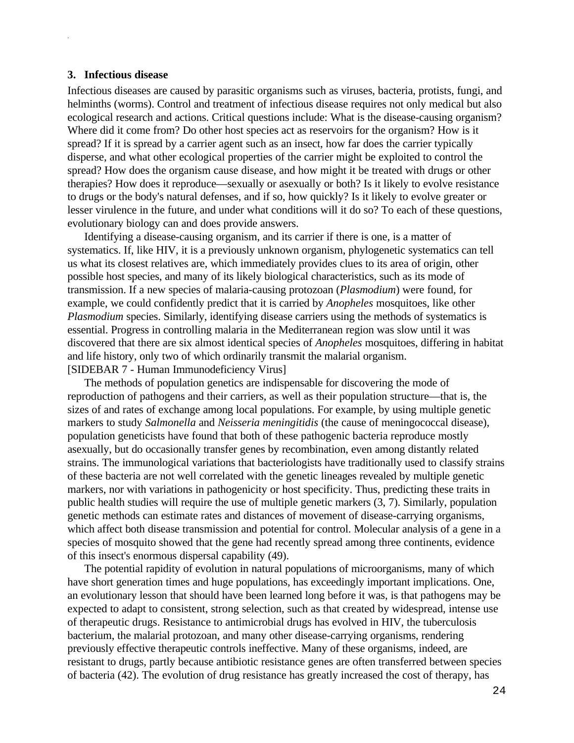### **3. Infectious disease**

.

Infectious diseases are caused by parasitic organisms such as viruses, bacteria, protists, fungi, and helminths (worms). Control and treatment of infectious disease requires not only medical but also ecological research and actions. Critical questions include: What is the disease-causing organism? Where did it come from? Do other host species act as reservoirs for the organism? How is it spread? If it is spread by a carrier agent such as an insect, how far does the carrier typically disperse, and what other ecological properties of the carrier might be exploited to control the spread? How does the organism cause disease, and how might it be treated with drugs or other therapies? How does it reproduce—sexually or asexually or both? Is it likely to evolve resistance to drugs or the body's natural defenses, and if so, how quickly? Is it likely to evolve greater or lesser virulence in the future, and under what conditions will it do so? To each of these questions, evolutionary biology can and does provide answers.

Identifying a disease-causing organism, and its carrier if there is one, is a matter of systematics. If, like HIV, it is a previously unknown organism, phylogenetic systematics can tell us what its closest relatives are, which immediately provides clues to its area of origin, other possible host species, and many of its likely biological characteristics, such as its mode of transmission. If a new species of malaria-causing protozoan (*Plasmodium*) were found, for example, we could confidently predict that it is carried by *Anopheles* mosquitoes, like other *Plasmodium* species. Similarly, identifying disease carriers using the methods of systematics is essential. Progress in controlling malaria in the Mediterranean region was slow until it was discovered that there are six almost identical species of *Anopheles* mosquitoes, differing in habitat and life history, only two of which ordinarily transmit the malarial organism. [SIDEBAR 7 - Human Immunodeficiency Virus]

The methods of population genetics are indispensable for discovering the mode of reproduction of pathogens and their carriers, as well as their population structure—that is, the sizes of and rates of exchange among local populations. For example, by using multiple genetic markers to study *Salmonella* and *Neisseria meningitidis* (the cause of meningococcal disease), population geneticists have found that both of these pathogenic bacteria reproduce mostly asexually, but do occasionally transfer genes by recombination, even among distantly related strains. The immunological variations that bacteriologists have traditionally used to classify strains of these bacteria are not well correlated with the genetic lineages revealed by multiple genetic markers, nor with variations in pathogenicity or host specificity. Thus, predicting these traits in public health studies will require the use of multiple genetic markers (3, 7). Similarly, population genetic methods can estimate rates and distances of movement of disease-carrying organisms, which affect both disease transmission and potential for control. Molecular analysis of a gene in a species of mosquito showed that the gene had recently spread among three continents, evidence of this insect's enormous dispersal capability (49).

The potential rapidity of evolution in natural populations of microorganisms, many of which have short generation times and huge populations, has exceedingly important implications. One, an evolutionary lesson that should have been learned long before it was, is that pathogens may be expected to adapt to consistent, strong selection, such as that created by widespread, intense use of therapeutic drugs. Resistance to antimicrobial drugs has evolved in HIV, the tuberculosis bacterium, the malarial protozoan, and many other disease-carrying organisms, rendering previously effective therapeutic controls ineffective. Many of these organisms, indeed, are resistant to drugs, partly because antibiotic resistance genes are often transferred between species of bacteria (42). The evolution of drug resistance has greatly increased the cost of therapy, has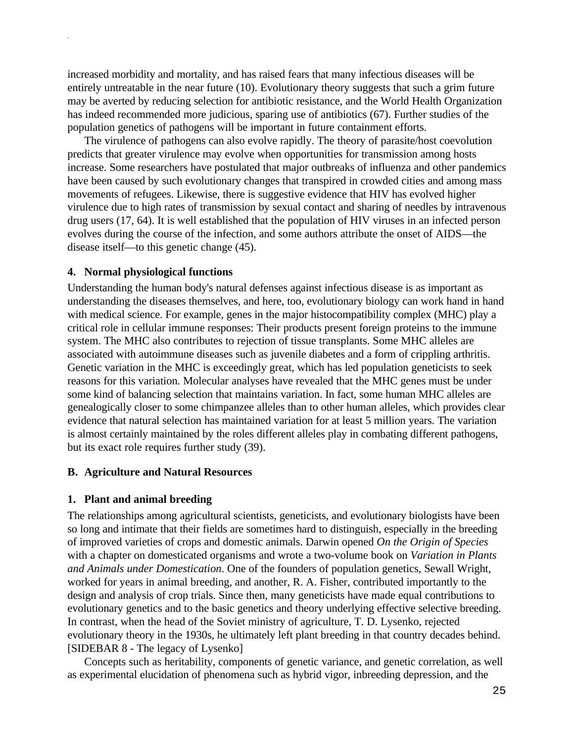increased morbidity and mortality, and has raised fears that many infectious diseases will be entirely untreatable in the near future (10). Evolutionary theory suggests that such a grim future may be averted by reducing selection for antibiotic resistance, and the World Health Organization has indeed recommended more judicious, sparing use of antibiotics (67). Further studies of the population genetics of pathogens will be important in future containment efforts.

The virulence of pathogens can also evolve rapidly. The theory of parasite/host coevolution predicts that greater virulence may evolve when opportunities for transmission among hosts increase. Some researchers have postulated that major outbreaks of influenza and other pandemics have been caused by such evolutionary changes that transpired in crowded cities and among mass movements of refugees. Likewise, there is suggestive evidence that HIV has evolved higher virulence due to high rates of transmission by sexual contact and sharing of needles by intravenous drug users (17, 64). It is well established that the population of HIV viruses in an infected person evolves during the course of the infection, and some authors attribute the onset of AIDS—the disease itself—to this genetic change (45).

#### **4. Normal physiological functions**

.

Understanding the human body's natural defenses against infectious disease is as important as understanding the diseases themselves, and here, too, evolutionary biology can work hand in hand with medical science. For example, genes in the major histocompatibility complex (MHC) play a critical role in cellular immune responses: Their products present foreign proteins to the immune system. The MHC also contributes to rejection of tissue transplants. Some MHC alleles are associated with autoimmune diseases such as juvenile diabetes and a form of crippling arthritis. Genetic variation in the MHC is exceedingly great, which has led population geneticists to seek reasons for this variation. Molecular analyses have revealed that the MHC genes must be under some kind of balancing selection that maintains variation. In fact, some human MHC alleles are genealogically closer to some chimpanzee alleles than to other human alleles, which provides clear evidence that natural selection has maintained variation for at least 5 million years. The variation is almost certainly maintained by the roles different alleles play in combating different pathogens, but its exact role requires further study (39).

### **B. Agriculture and Natural Resources**

#### **1. Plant and animal breeding**

The relationships among agricultural scientists, geneticists, and evolutionary biologists have been so long and intimate that their fields are sometimes hard to distinguish, especially in the breeding of improved varieties of crops and domestic animals. Darwin opened *On the Origin of Species* with a chapter on domesticated organisms and wrote a two-volume book on *Variation in Plants and Animals under Domestication*. One of the founders of population genetics, Sewall Wright, worked for years in animal breeding, and another, R. A. Fisher, contributed importantly to the design and analysis of crop trials. Since then, many geneticists have made equal contributions to evolutionary genetics and to the basic genetics and theory underlying effective selective breeding. In contrast, when the head of the Soviet ministry of agriculture, T. D. Lysenko, rejected evolutionary theory in the 1930s, he ultimately left plant breeding in that country decades behind. [SIDEBAR 8 - The legacy of Lysenko]

Concepts such as heritability, components of genetic variance, and genetic correlation, as well as experimental elucidation of phenomena such as hybrid vigor, inbreeding depression, and the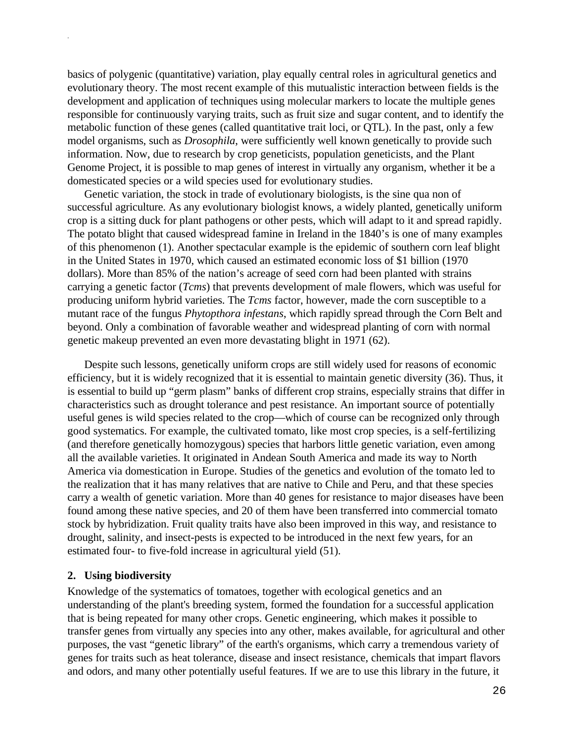basics of polygenic (quantitative) variation, play equally central roles in agricultural genetics and evolutionary theory. The most recent example of this mutualistic interaction between fields is the development and application of techniques using molecular markers to locate the multiple genes responsible for continuously varying traits, such as fruit size and sugar content, and to identify the metabolic function of these genes (called quantitative trait loci, or QTL). In the past, only a few model organisms, such as *Drosophila*, were sufficiently well known genetically to provide such information. Now, due to research by crop geneticists, population geneticists, and the Plant Genome Project, it is possible to map genes of interest in virtually any organism, whether it be a domesticated species or a wild species used for evolutionary studies.

Genetic variation, the stock in trade of evolutionary biologists, is the sine qua non of successful agriculture. As any evolutionary biologist knows, a widely planted, genetically uniform crop is a sitting duck for plant pathogens or other pests, which will adapt to it and spread rapidly. The potato blight that caused widespread famine in Ireland in the 1840's is one of many examples of this phenomenon (1). Another spectacular example is the epidemic of southern corn leaf blight in the United States in 1970, which caused an estimated economic loss of \$1 billion (1970 dollars). More than 85% of the nation's acreage of seed corn had been planted with strains carrying a genetic factor (*Tcms*) that prevents development of male flowers, which was useful for producing uniform hybrid varieties. The *Tcms* factor, however, made the corn susceptible to a mutant race of the fungus *Phytopthora infestans*, which rapidly spread through the Corn Belt and beyond. Only a combination of favorable weather and widespread planting of corn with normal genetic makeup prevented an even more devastating blight in 1971 (62).

Despite such lessons, genetically uniform crops are still widely used for reasons of economic efficiency, but it is widely recognized that it is essential to maintain genetic diversity (36). Thus, it is essential to build up "germ plasm" banks of different crop strains, especially strains that differ in characteristics such as drought tolerance and pest resistance. An important source of potentially useful genes is wild species related to the crop—which of course can be recognized only through good systematics. For example, the cultivated tomato, like most crop species, is a self-fertilizing (and therefore genetically homozygous) species that harbors little genetic variation, even among all the available varieties. It originated in Andean South America and made its way to North America via domestication in Europe. Studies of the genetics and evolution of the tomato led to the realization that it has many relatives that are native to Chile and Peru, and that these species carry a wealth of genetic variation. More than 40 genes for resistance to major diseases have been found among these native species, and 20 of them have been transferred into commercial tomato stock by hybridization. Fruit quality traits have also been improved in this way, and resistance to drought, salinity, and insect-pests is expected to be introduced in the next few years, for an estimated four- to five-fold increase in agricultural yield (51).

### **2. Using biodiversity**

.

Knowledge of the systematics of tomatoes, together with ecological genetics and an understanding of the plant's breeding system, formed the foundation for a successful application that is being repeated for many other crops. Genetic engineering, which makes it possible to transfer genes from virtually any species into any other, makes available, for agricultural and other purposes, the vast "genetic library" of the earth's organisms, which carry a tremendous variety of genes for traits such as heat tolerance, disease and insect resistance, chemicals that impart flavors and odors, and many other potentially useful features. If we are to use this library in the future, it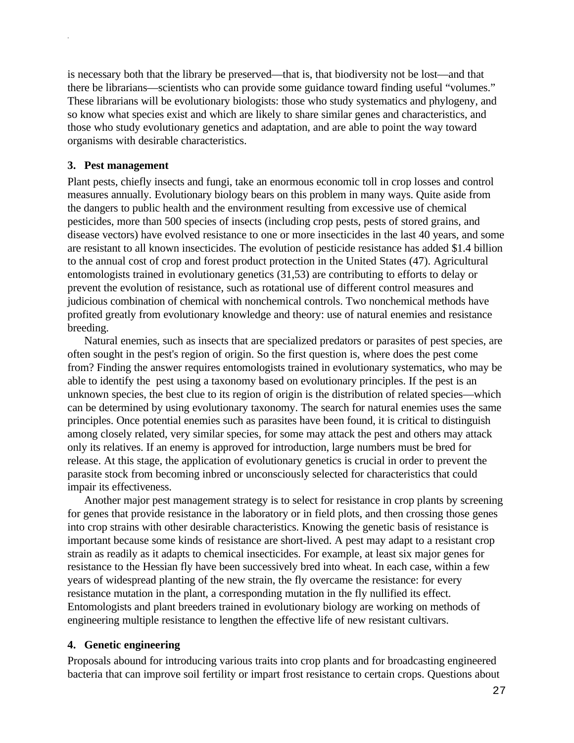is necessary both that the library be preserved—that is, that biodiversity not be lost—and that there be librarians—scientists who can provide some guidance toward finding useful "volumes." These librarians will be evolutionary biologists: those who study systematics and phylogeny, and so know what species exist and which are likely to share similar genes and characteristics, and those who study evolutionary genetics and adaptation, and are able to point the way toward organisms with desirable characteristics.

### **3. Pest management**

.

Plant pests, chiefly insects and fungi, take an enormous economic toll in crop losses and control measures annually. Evolutionary biology bears on this problem in many ways. Quite aside from the dangers to public health and the environment resulting from excessive use of chemical pesticides, more than 500 species of insects (including crop pests, pests of stored grains, and disease vectors) have evolved resistance to one or more insecticides in the last 40 years, and some are resistant to all known insecticides. The evolution of pesticide resistance has added \$1.4 billion to the annual cost of crop and forest product protection in the United States (47). Agricultural entomologists trained in evolutionary genetics (31,53) are contributing to efforts to delay or prevent the evolution of resistance, such as rotational use of different control measures and judicious combination of chemical with nonchemical controls. Two nonchemical methods have profited greatly from evolutionary knowledge and theory: use of natural enemies and resistance breeding.

Natural enemies, such as insects that are specialized predators or parasites of pest species, are often sought in the pest's region of origin. So the first question is, where does the pest come from? Finding the answer requires entomologists trained in evolutionary systematics, who may be able to identify the pest using a taxonomy based on evolutionary principles. If the pest is an unknown species, the best clue to its region of origin is the distribution of related species—which can be determined by using evolutionary taxonomy. The search for natural enemies uses the same principles. Once potential enemies such as parasites have been found, it is critical to distinguish among closely related, very similar species, for some may attack the pest and others may attack only its relatives. If an enemy is approved for introduction, large numbers must be bred for release. At this stage, the application of evolutionary genetics is crucial in order to prevent the parasite stock from becoming inbred or unconsciously selected for characteristics that could impair its effectiveness.

Another major pest management strategy is to select for resistance in crop plants by screening for genes that provide resistance in the laboratory or in field plots, and then crossing those genes into crop strains with other desirable characteristics. Knowing the genetic basis of resistance is important because some kinds of resistance are short-lived. A pest may adapt to a resistant crop strain as readily as it adapts to chemical insecticides. For example, at least six major genes for resistance to the Hessian fly have been successively bred into wheat. In each case, within a few years of widespread planting of the new strain, the fly overcame the resistance: for every resistance mutation in the plant, a corresponding mutation in the fly nullified its effect. Entomologists and plant breeders trained in evolutionary biology are working on methods of engineering multiple resistance to lengthen the effective life of new resistant cultivars.

### **4. Genetic engineering**

Proposals abound for introducing various traits into crop plants and for broadcasting engineered bacteria that can improve soil fertility or impart frost resistance to certain crops. Questions about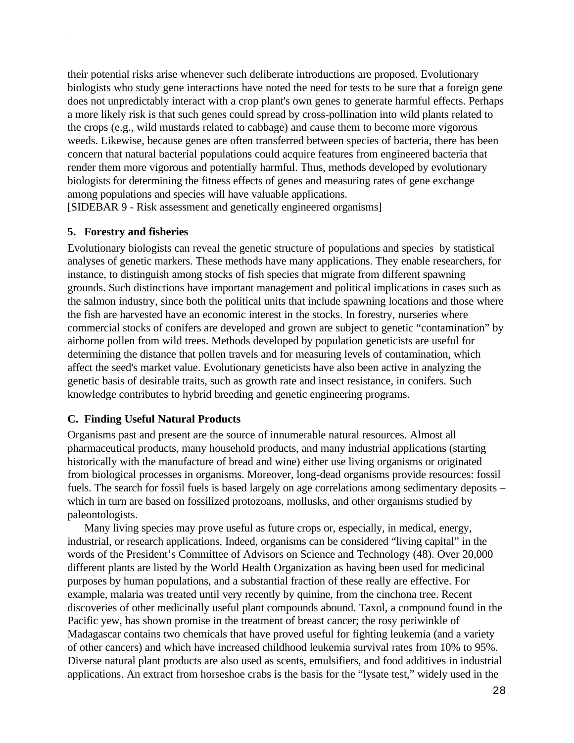their potential risks arise whenever such deliberate introductions are proposed. Evolutionary biologists who study gene interactions have noted the need for tests to be sure that a foreign gene does not unpredictably interact with a crop plant's own genes to generate harmful effects. Perhaps a more likely risk is that such genes could spread by cross-pollination into wild plants related to the crops (e.g., wild mustards related to cabbage) and cause them to become more vigorous weeds. Likewise, because genes are often transferred between species of bacteria, there has been concern that natural bacterial populations could acquire features from engineered bacteria that render them more vigorous and potentially harmful. Thus, methods developed by evolutionary biologists for determining the fitness effects of genes and measuring rates of gene exchange among populations and species will have valuable applications.

[SIDEBAR 9 - Risk assessment and genetically engineered organisms]

## **5. Forestry and fisheries**

.

Evolutionary biologists can reveal the genetic structure of populations and species by statistical analyses of genetic markers. These methods have many applications. They enable researchers, for instance, to distinguish among stocks of fish species that migrate from different spawning grounds. Such distinctions have important management and political implications in cases such as the salmon industry, since both the political units that include spawning locations and those where the fish are harvested have an economic interest in the stocks. In forestry, nurseries where commercial stocks of conifers are developed and grown are subject to genetic "contamination" by airborne pollen from wild trees. Methods developed by population geneticists are useful for determining the distance that pollen travels and for measuring levels of contamination, which affect the seed's market value. Evolutionary geneticists have also been active in analyzing the genetic basis of desirable traits, such as growth rate and insect resistance, in conifers. Such knowledge contributes to hybrid breeding and genetic engineering programs.

## **C. Finding Useful Natural Products**

Organisms past and present are the source of innumerable natural resources. Almost all pharmaceutical products, many household products, and many industrial applications (starting historically with the manufacture of bread and wine) either use living organisms or originated from biological processes in organisms. Moreover, long-dead organisms provide resources: fossil fuels. The search for fossil fuels is based largely on age correlations among sedimentary deposits – which in turn are based on fossilized protozoans, mollusks, and other organisms studied by paleontologists.

Many living species may prove useful as future crops or, especially, in medical, energy, industrial, or research applications. Indeed, organisms can be considered "living capital" in the words of the President's Committee of Advisors on Science and Technology (48). Over 20,000 different plants are listed by the World Health Organization as having been used for medicinal purposes by human populations, and a substantial fraction of these really are effective. For example, malaria was treated until very recently by quinine, from the cinchona tree. Recent discoveries of other medicinally useful plant compounds abound. Taxol, a compound found in the Pacific yew, has shown promise in the treatment of breast cancer; the rosy periwinkle of Madagascar contains two chemicals that have proved useful for fighting leukemia (and a variety of other cancers) and which have increased childhood leukemia survival rates from 10% to 95%. Diverse natural plant products are also used as scents, emulsifiers, and food additives in industrial applications. An extract from horseshoe crabs is the basis for the "lysate test," widely used in the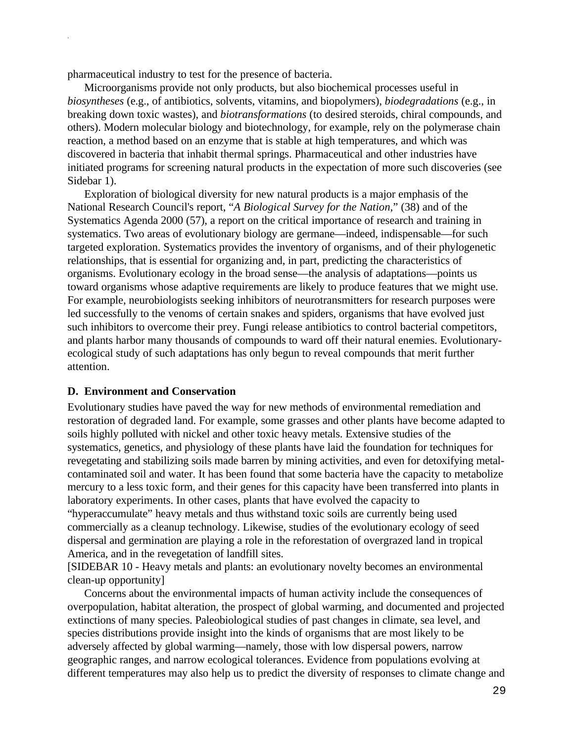pharmaceutical industry to test for the presence of bacteria.

.

Microorganisms provide not only products, but also biochemical processes useful in *biosyntheses* (e.g., of antibiotics, solvents, vitamins, and biopolymers), *biodegradations* (e.g., in breaking down toxic wastes), and *biotransformations* (to desired steroids, chiral compounds, and others). Modern molecular biology and biotechnology, for example, rely on the polymerase chain reaction, a method based on an enzyme that is stable at high temperatures, and which was discovered in bacteria that inhabit thermal springs. Pharmaceutical and other industries have initiated programs for screening natural products in the expectation of more such discoveries (see Sidebar 1).

Exploration of biological diversity for new natural products is a major emphasis of the National Research Council's report, "*A Biological Survey for the Nation*," (38) and of the Systematics Agenda 2000 (57), a report on the critical importance of research and training in systematics. Two areas of evolutionary biology are germane—indeed, indispensable—for such targeted exploration. Systematics provides the inventory of organisms, and of their phylogenetic relationships, that is essential for organizing and, in part, predicting the characteristics of organisms. Evolutionary ecology in the broad sense—the analysis of adaptations—points us toward organisms whose adaptive requirements are likely to produce features that we might use. For example, neurobiologists seeking inhibitors of neurotransmitters for research purposes were led successfully to the venoms of certain snakes and spiders, organisms that have evolved just such inhibitors to overcome their prey. Fungi release antibiotics to control bacterial competitors, and plants harbor many thousands of compounds to ward off their natural enemies. Evolutionaryecological study of such adaptations has only begun to reveal compounds that merit further attention.

### **D. Environment and Conservation**

Evolutionary studies have paved the way for new methods of environmental remediation and restoration of degraded land. For example, some grasses and other plants have become adapted to soils highly polluted with nickel and other toxic heavy metals. Extensive studies of the systematics, genetics, and physiology of these plants have laid the foundation for techniques for revegetating and stabilizing soils made barren by mining activities, and even for detoxifying metalcontaminated soil and water. It has been found that some bacteria have the capacity to metabolize mercury to a less toxic form, and their genes for this capacity have been transferred into plants in laboratory experiments. In other cases, plants that have evolved the capacity to "hyperaccumulate" heavy metals and thus withstand toxic soils are currently being used commercially as a cleanup technology. Likewise, studies of the evolutionary ecology of seed dispersal and germination are playing a role in the reforestation of overgrazed land in tropical America, and in the revegetation of landfill sites.

[SIDEBAR 10 - Heavy metals and plants: an evolutionary novelty becomes an environmental clean-up opportunity]

Concerns about the environmental impacts of human activity include the consequences of overpopulation, habitat alteration, the prospect of global warming, and documented and projected extinctions of many species. Paleobiological studies of past changes in climate, sea level, and species distributions provide insight into the kinds of organisms that are most likely to be adversely affected by global warming—namely, those with low dispersal powers, narrow geographic ranges, and narrow ecological tolerances. Evidence from populations evolving at different temperatures may also help us to predict the diversity of responses to climate change and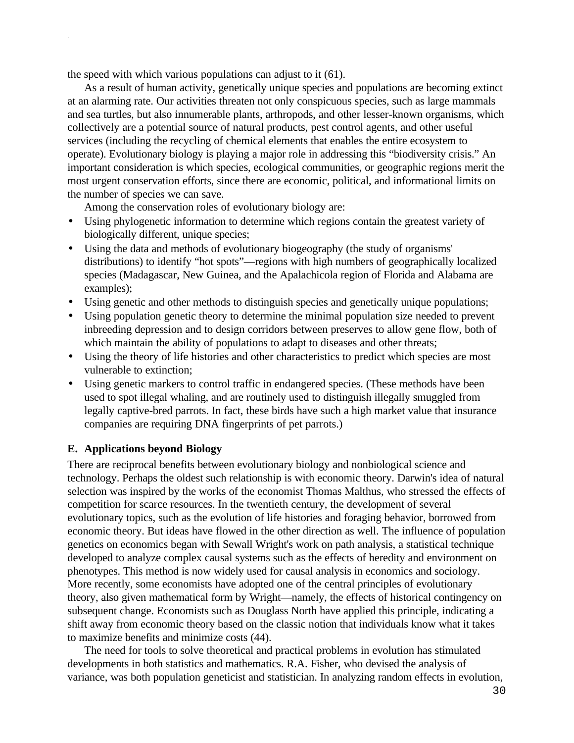the speed with which various populations can adjust to it (61).

.

As a result of human activity, genetically unique species and populations are becoming extinct at an alarming rate. Our activities threaten not only conspicuous species, such as large mammals and sea turtles, but also innumerable plants, arthropods, and other lesser-known organisms, which collectively are a potential source of natural products, pest control agents, and other useful services (including the recycling of chemical elements that enables the entire ecosystem to operate). Evolutionary biology is playing a major role in addressing this "biodiversity crisis." An important consideration is which species, ecological communities, or geographic regions merit the most urgent conservation efforts, since there are economic, political, and informational limits on the number of species we can save.

Among the conservation roles of evolutionary biology are:

- Using phylogenetic information to determine which regions contain the greatest variety of biologically different, unique species;
- Using the data and methods of evolutionary biogeography (the study of organisms' distributions) to identify "hot spots"—regions with high numbers of geographically localized species (Madagascar, New Guinea, and the Apalachicola region of Florida and Alabama are examples);
- Using genetic and other methods to distinguish species and genetically unique populations;
- Using population genetic theory to determine the minimal population size needed to prevent inbreeding depression and to design corridors between preserves to allow gene flow, both of which maintain the ability of populations to adapt to diseases and other threats;
- Using the theory of life histories and other characteristics to predict which species are most vulnerable to extinction;
- Using genetic markers to control traffic in endangered species. (These methods have been used to spot illegal whaling, and are routinely used to distinguish illegally smuggled from legally captive-bred parrots. In fact, these birds have such a high market value that insurance companies are requiring DNA fingerprints of pet parrots.)

### **E. Applications beyond Biology**

There are reciprocal benefits between evolutionary biology and nonbiological science and technology. Perhaps the oldest such relationship is with economic theory. Darwin's idea of natural selection was inspired by the works of the economist Thomas Malthus, who stressed the effects of competition for scarce resources. In the twentieth century, the development of several evolutionary topics, such as the evolution of life histories and foraging behavior, borrowed from economic theory. But ideas have flowed in the other direction as well. The influence of population genetics on economics began with Sewall Wright's work on path analysis, a statistical technique developed to analyze complex causal systems such as the effects of heredity and environment on phenotypes. This method is now widely used for causal analysis in economics and sociology. More recently, some economists have adopted one of the central principles of evolutionary theory, also given mathematical form by Wright—namely, the effects of historical contingency on subsequent change. Economists such as Douglass North have applied this principle, indicating a shift away from economic theory based on the classic notion that individuals know what it takes to maximize benefits and minimize costs (44).

The need for tools to solve theoretical and practical problems in evolution has stimulated developments in both statistics and mathematics. R.A. Fisher, who devised the analysis of variance, was both population geneticist and statistician. In analyzing random effects in evolution,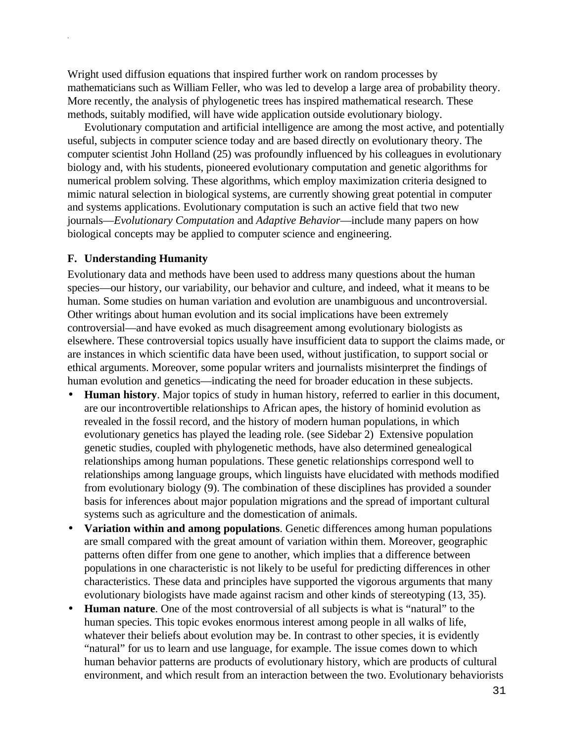Wright used diffusion equations that inspired further work on random processes by mathematicians such as William Feller, who was led to develop a large area of probability theory. More recently, the analysis of phylogenetic trees has inspired mathematical research. These methods, suitably modified, will have wide application outside evolutionary biology.

Evolutionary computation and artificial intelligence are among the most active, and potentially useful, subjects in computer science today and are based directly on evolutionary theory. The computer scientist John Holland (25) was profoundly influenced by his colleagues in evolutionary biology and, with his students, pioneered evolutionary computation and genetic algorithms for numerical problem solving. These algorithms, which employ maximization criteria designed to mimic natural selection in biological systems, are currently showing great potential in computer and systems applications. Evolutionary computation is such an active field that two new journals—*Evolutionary Computation* and *Adaptive Behavior*—include many papers on how biological concepts may be applied to computer science and engineering.

### **F. Understanding Humanity**

.

Evolutionary data and methods have been used to address many questions about the human species—our history, our variability, our behavior and culture, and indeed, what it means to be human. Some studies on human variation and evolution are unambiguous and uncontroversial. Other writings about human evolution and its social implications have been extremely controversial—and have evoked as much disagreement among evolutionary biologists as elsewhere. These controversial topics usually have insufficient data to support the claims made, or are instances in which scientific data have been used, without justification, to support social or ethical arguments. Moreover, some popular writers and journalists misinterpret the findings of human evolution and genetics—indicating the need for broader education in these subjects.

- **Human history**. Major topics of study in human history, referred to earlier in this document, are our incontrovertible relationships to African apes, the history of hominid evolution as revealed in the fossil record, and the history of modern human populations, in which evolutionary genetics has played the leading role. (see Sidebar 2) Extensive population genetic studies, coupled with phylogenetic methods, have also determined genealogical relationships among human populations. These genetic relationships correspond well to relationships among language groups, which linguists have elucidated with methods modified from evolutionary biology (9). The combination of these disciplines has provided a sounder basis for inferences about major population migrations and the spread of important cultural systems such as agriculture and the domestication of animals.
- **Variation within and among populations**. Genetic differences among human populations are small compared with the great amount of variation within them. Moreover, geographic patterns often differ from one gene to another, which implies that a difference between populations in one characteristic is not likely to be useful for predicting differences in other characteristics. These data and principles have supported the vigorous arguments that many evolutionary biologists have made against racism and other kinds of stereotyping (13, 35).
- **Human nature**. One of the most controversial of all subjects is what is "natural" to the human species. This topic evokes enormous interest among people in all walks of life, whatever their beliefs about evolution may be. In contrast to other species, it is evidently "natural" for us to learn and use language, for example. The issue comes down to which human behavior patterns are products of evolutionary history, which are products of cultural environment, and which result from an interaction between the two. Evolutionary behaviorists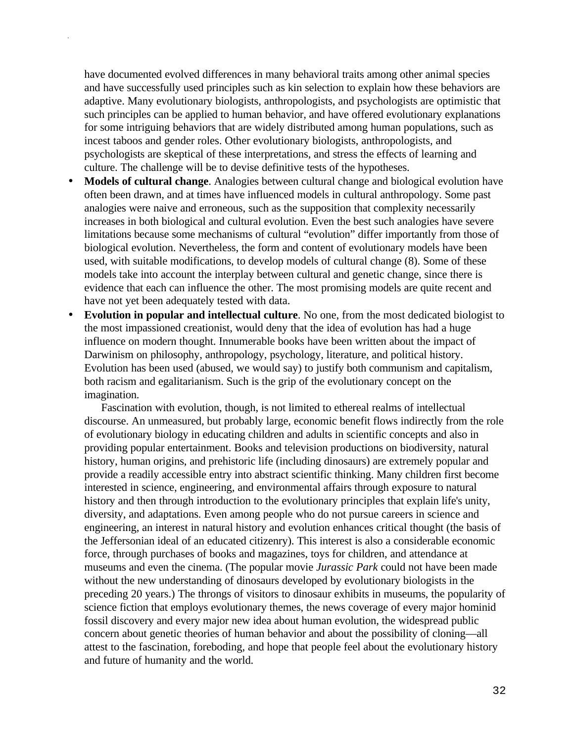have documented evolved differences in many behavioral traits among other animal species and have successfully used principles such as kin selection to explain how these behaviors are adaptive. Many evolutionary biologists, anthropologists, and psychologists are optimistic that such principles can be applied to human behavior, and have offered evolutionary explanations for some intriguing behaviors that are widely distributed among human populations, such as incest taboos and gender roles. Other evolutionary biologists, anthropologists, and psychologists are skeptical of these interpretations, and stress the effects of learning and culture. The challenge will be to devise definitive tests of the hypotheses.

.

- **Models of cultural change**. Analogies between cultural change and biological evolution have often been drawn, and at times have influenced models in cultural anthropology. Some past analogies were naive and erroneous, such as the supposition that complexity necessarily increases in both biological and cultural evolution. Even the best such analogies have severe limitations because some mechanisms of cultural "evolution" differ importantly from those of biological evolution. Nevertheless, the form and content of evolutionary models have been used, with suitable modifications, to develop models of cultural change (8). Some of these models take into account the interplay between cultural and genetic change, since there is evidence that each can influence the other. The most promising models are quite recent and have not yet been adequately tested with data.
- **Evolution in popular and intellectual culture**. No one, from the most dedicated biologist to the most impassioned creationist, would deny that the idea of evolution has had a huge influence on modern thought. Innumerable books have been written about the impact of Darwinism on philosophy, anthropology, psychology, literature, and political history. Evolution has been used (abused, we would say) to justify both communism and capitalism, both racism and egalitarianism. Such is the grip of the evolutionary concept on the imagination.

Fascination with evolution, though, is not limited to ethereal realms of intellectual discourse. An unmeasured, but probably large, economic benefit flows indirectly from the role of evolutionary biology in educating children and adults in scientific concepts and also in providing popular entertainment. Books and television productions on biodiversity, natural history, human origins, and prehistoric life (including dinosaurs) are extremely popular and provide a readily accessible entry into abstract scientific thinking. Many children first become interested in science, engineering, and environmental affairs through exposure to natural history and then through introduction to the evolutionary principles that explain life's unity, diversity, and adaptations. Even among people who do not pursue careers in science and engineering, an interest in natural history and evolution enhances critical thought (the basis of the Jeffersonian ideal of an educated citizenry). This interest is also a considerable economic force, through purchases of books and magazines, toys for children, and attendance at museums and even the cinema. (The popular movie *Jurassic Park* could not have been made without the new understanding of dinosaurs developed by evolutionary biologists in the preceding 20 years.) The throngs of visitors to dinosaur exhibits in museums, the popularity of science fiction that employs evolutionary themes, the news coverage of every major hominid fossil discovery and every major new idea about human evolution, the widespread public concern about genetic theories of human behavior and about the possibility of cloning—all attest to the fascination, foreboding, and hope that people feel about the evolutionary history and future of humanity and the world.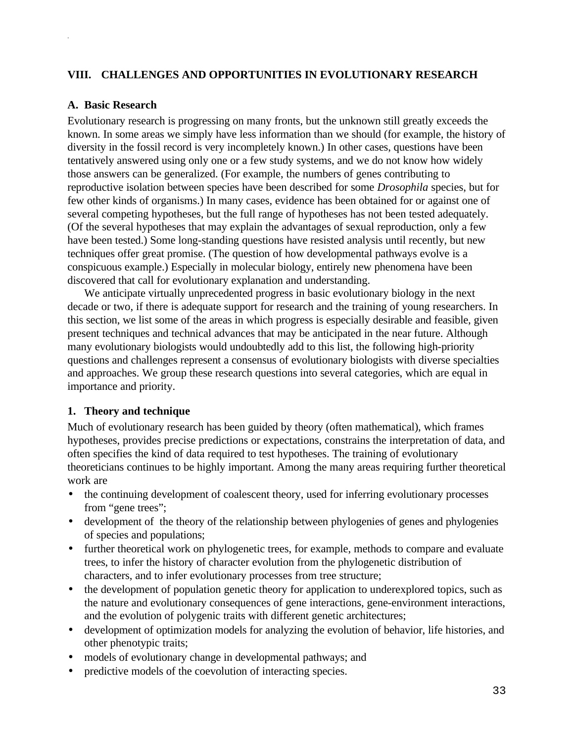## **VIII. CHALLENGES AND OPPORTUNITIES IN EVOLUTIONARY RESEARCH**

### **A. Basic Research**

.

Evolutionary research is progressing on many fronts, but the unknown still greatly exceeds the known. In some areas we simply have less information than we should (for example, the history of diversity in the fossil record is very incompletely known.) In other cases, questions have been tentatively answered using only one or a few study systems, and we do not know how widely those answers can be generalized. (For example, the numbers of genes contributing to reproductive isolation between species have been described for some *Drosophila* species, but for few other kinds of organisms.) In many cases, evidence has been obtained for or against one of several competing hypotheses, but the full range of hypotheses has not been tested adequately. (Of the several hypotheses that may explain the advantages of sexual reproduction, only a few have been tested.) Some long-standing questions have resisted analysis until recently, but new techniques offer great promise. (The question of how developmental pathways evolve is a conspicuous example.) Especially in molecular biology, entirely new phenomena have been discovered that call for evolutionary explanation and understanding.

We anticipate virtually unprecedented progress in basic evolutionary biology in the next decade or two, if there is adequate support for research and the training of young researchers. In this section, we list some of the areas in which progress is especially desirable and feasible, given present techniques and technical advances that may be anticipated in the near future. Although many evolutionary biologists would undoubtedly add to this list, the following high-priority questions and challenges represent a consensus of evolutionary biologists with diverse specialties and approaches. We group these research questions into several categories, which are equal in importance and priority.

### **1. Theory and technique**

Much of evolutionary research has been guided by theory (often mathematical), which frames hypotheses, provides precise predictions or expectations, constrains the interpretation of data, and often specifies the kind of data required to test hypotheses. The training of evolutionary theoreticians continues to be highly important. Among the many areas requiring further theoretical work are

- the continuing development of coalescent theory, used for inferring evolutionary processes from "gene trees";
- development of the theory of the relationship between phylogenies of genes and phylogenies of species and populations;
- further theoretical work on phylogenetic trees, for example, methods to compare and evaluate trees, to infer the history of character evolution from the phylogenetic distribution of characters, and to infer evolutionary processes from tree structure;
- the development of population genetic theory for application to underexplored topics, such as the nature and evolutionary consequences of gene interactions, gene-environment interactions, and the evolution of polygenic traits with different genetic architectures;
- development of optimization models for analyzing the evolution of behavior, life histories, and other phenotypic traits;
- models of evolutionary change in developmental pathways; and
- predictive models of the coevolution of interacting species.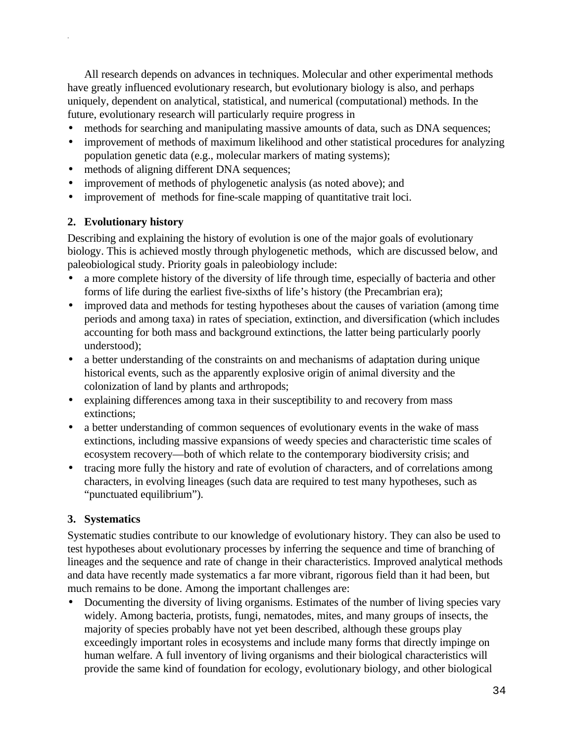All research depends on advances in techniques. Molecular and other experimental methods have greatly influenced evolutionary research, but evolutionary biology is also, and perhaps uniquely, dependent on analytical, statistical, and numerical (computational) methods. In the future, evolutionary research will particularly require progress in

- methods for searching and manipulating massive amounts of data, such as DNA sequences;
- improvement of methods of maximum likelihood and other statistical procedures for analyzing population genetic data (e.g., molecular markers of mating systems);
- methods of aligning different DNA sequences;
- improvement of methods of phylogenetic analysis (as noted above); and
- improvement of methods for fine-scale mapping of quantitative trait loci.

## **2. Evolutionary history**

.

Describing and explaining the history of evolution is one of the major goals of evolutionary biology. This is achieved mostly through phylogenetic methods, which are discussed below, and paleobiological study. Priority goals in paleobiology include:

- a more complete history of the diversity of life through time, especially of bacteria and other forms of life during the earliest five-sixths of life's history (the Precambrian era);
- improved data and methods for testing hypotheses about the causes of variation (among time periods and among taxa) in rates of speciation, extinction, and diversification (which includes accounting for both mass and background extinctions, the latter being particularly poorly understood);
- a better understanding of the constraints on and mechanisms of adaptation during unique historical events, such as the apparently explosive origin of animal diversity and the colonization of land by plants and arthropods;
- explaining differences among taxa in their susceptibility to and recovery from mass extinctions;
- a better understanding of common sequences of evolutionary events in the wake of mass extinctions, including massive expansions of weedy species and characteristic time scales of ecosystem recovery—both of which relate to the contemporary biodiversity crisis; and
- tracing more fully the history and rate of evolution of characters, and of correlations among characters, in evolving lineages (such data are required to test many hypotheses, such as "punctuated equilibrium").

## **3. Systematics**

Systematic studies contribute to our knowledge of evolutionary history. They can also be used to test hypotheses about evolutionary processes by inferring the sequence and time of branching of lineages and the sequence and rate of change in their characteristics. Improved analytical methods and data have recently made systematics a far more vibrant, rigorous field than it had been, but much remains to be done. Among the important challenges are:

• Documenting the diversity of living organisms. Estimates of the number of living species vary widely. Among bacteria, protists, fungi, nematodes, mites, and many groups of insects, the majority of species probably have not yet been described, although these groups play exceedingly important roles in ecosystems and include many forms that directly impinge on human welfare. A full inventory of living organisms and their biological characteristics will provide the same kind of foundation for ecology, evolutionary biology, and other biological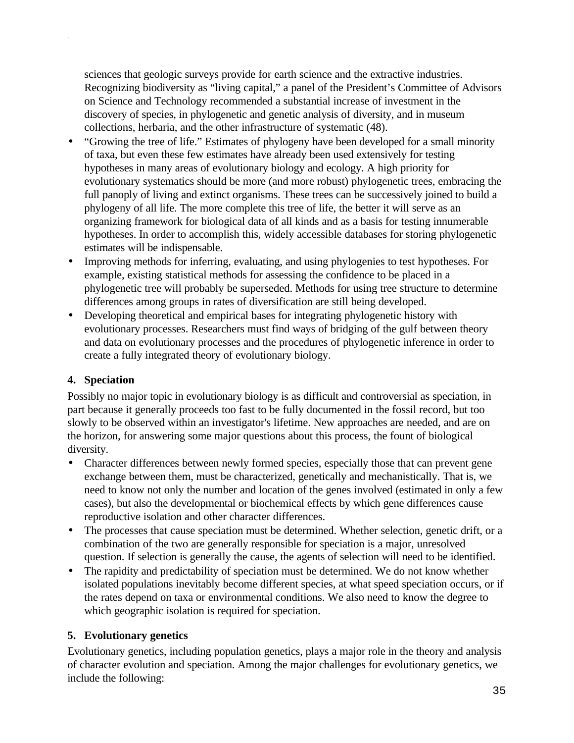sciences that geologic surveys provide for earth science and the extractive industries. Recognizing biodiversity as "living capital," a panel of the President's Committee of Advisors on Science and Technology recommended a substantial increase of investment in the discovery of species, in phylogenetic and genetic analysis of diversity, and in museum collections, herbaria, and the other infrastructure of systematic (48).

- "Growing the tree of life." Estimates of phylogeny have been developed for a small minority of taxa, but even these few estimates have already been used extensively for testing hypotheses in many areas of evolutionary biology and ecology. A high priority for evolutionary systematics should be more (and more robust) phylogenetic trees, embracing the full panoply of living and extinct organisms. These trees can be successively joined to build a phylogeny of all life. The more complete this tree of life, the better it will serve as an organizing framework for biological data of all kinds and as a basis for testing innumerable hypotheses. In order to accomplish this, widely accessible databases for storing phylogenetic estimates will be indispensable.
- Improving methods for inferring, evaluating, and using phylogenies to test hypotheses. For example, existing statistical methods for assessing the confidence to be placed in a phylogenetic tree will probably be superseded. Methods for using tree structure to determine differences among groups in rates of diversification are still being developed.
- Developing theoretical and empirical bases for integrating phylogenetic history with evolutionary processes. Researchers must find ways of bridging of the gulf between theory and data on evolutionary processes and the procedures of phylogenetic inference in order to create a fully integrated theory of evolutionary biology.

## **4. Speciation**

.

Possibly no major topic in evolutionary biology is as difficult and controversial as speciation, in part because it generally proceeds too fast to be fully documented in the fossil record, but too slowly to be observed within an investigator's lifetime. New approaches are needed, and are on the horizon, for answering some major questions about this process, the fount of biological diversity.

- Character differences between newly formed species, especially those that can prevent gene exchange between them, must be characterized, genetically and mechanistically. That is, we need to know not only the number and location of the genes involved (estimated in only a few cases), but also the developmental or biochemical effects by which gene differences cause reproductive isolation and other character differences.
- The processes that cause speciation must be determined. Whether selection, genetic drift, or a combination of the two are generally responsible for speciation is a major, unresolved question. If selection is generally the cause, the agents of selection will need to be identified.
- The rapidity and predictability of speciation must be determined. We do not know whether isolated populations inevitably become different species, at what speed speciation occurs, or if the rates depend on taxa or environmental conditions. We also need to know the degree to which geographic isolation is required for speciation.

## **5. Evolutionary genetics**

Evolutionary genetics, including population genetics, plays a major role in the theory and analysis of character evolution and speciation. Among the major challenges for evolutionary genetics, we include the following: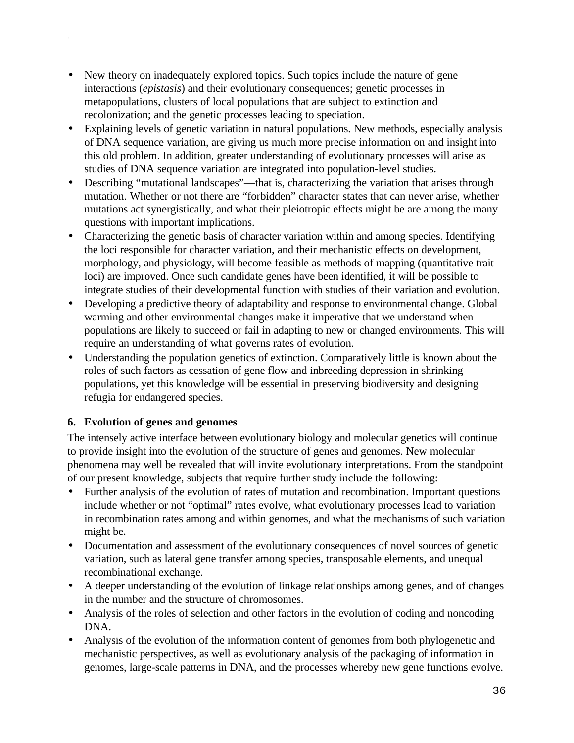- New theory on inadequately explored topics. Such topics include the nature of gene interactions (*epistasis*) and their evolutionary consequences; genetic processes in metapopulations, clusters of local populations that are subject to extinction and recolonization; and the genetic processes leading to speciation.
- Explaining levels of genetic variation in natural populations. New methods, especially analysis of DNA sequence variation, are giving us much more precise information on and insight into this old problem. In addition, greater understanding of evolutionary processes will arise as studies of DNA sequence variation are integrated into population-level studies.
- Describing "mutational landscapes"—that is, characterizing the variation that arises through mutation. Whether or not there are "forbidden" character states that can never arise, whether mutations act synergistically, and what their pleiotropic effects might be are among the many questions with important implications.
- Characterizing the genetic basis of character variation within and among species. Identifying the loci responsible for character variation, and their mechanistic effects on development, morphology, and physiology, will become feasible as methods of mapping (quantitative trait loci) are improved. Once such candidate genes have been identified, it will be possible to integrate studies of their developmental function with studies of their variation and evolution.
- Developing a predictive theory of adaptability and response to environmental change. Global warming and other environmental changes make it imperative that we understand when populations are likely to succeed or fail in adapting to new or changed environments. This will require an understanding of what governs rates of evolution.
- Understanding the population genetics of extinction. Comparatively little is known about the roles of such factors as cessation of gene flow and inbreeding depression in shrinking populations, yet this knowledge will be essential in preserving biodiversity and designing refugia for endangered species.

## **6. Evolution of genes and genomes**

.

The intensely active interface between evolutionary biology and molecular genetics will continue to provide insight into the evolution of the structure of genes and genomes. New molecular phenomena may well be revealed that will invite evolutionary interpretations. From the standpoint of our present knowledge, subjects that require further study include the following:

- Further analysis of the evolution of rates of mutation and recombination. Important questions include whether or not "optimal" rates evolve, what evolutionary processes lead to variation in recombination rates among and within genomes, and what the mechanisms of such variation might be.
- Documentation and assessment of the evolutionary consequences of novel sources of genetic variation, such as lateral gene transfer among species, transposable elements, and unequal recombinational exchange.
- A deeper understanding of the evolution of linkage relationships among genes, and of changes in the number and the structure of chromosomes.
- Analysis of the roles of selection and other factors in the evolution of coding and noncoding DNA.
- Analysis of the evolution of the information content of genomes from both phylogenetic and mechanistic perspectives, as well as evolutionary analysis of the packaging of information in genomes, large-scale patterns in DNA, and the processes whereby new gene functions evolve.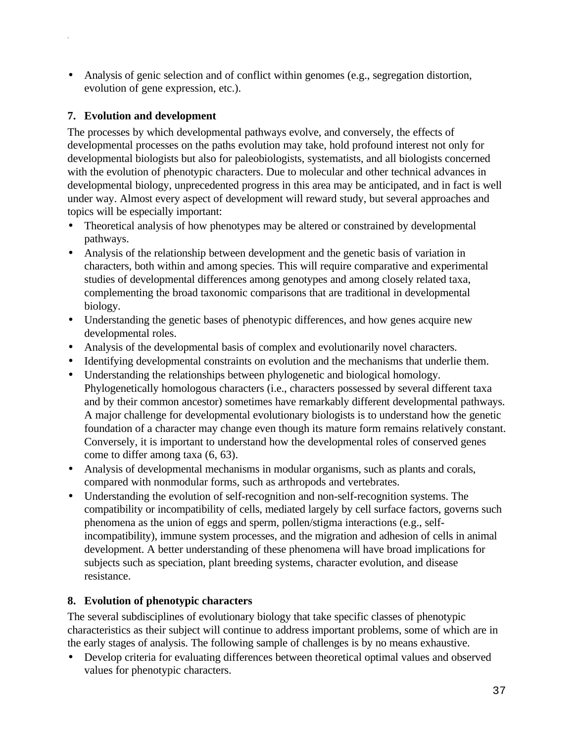• Analysis of genic selection and of conflict within genomes (e.g., segregation distortion, evolution of gene expression, etc.).

## **7. Evolution and development**

.

The processes by which developmental pathways evolve, and conversely, the effects of developmental processes on the paths evolution may take, hold profound interest not only for developmental biologists but also for paleobiologists, systematists, and all biologists concerned with the evolution of phenotypic characters. Due to molecular and other technical advances in developmental biology, unprecedented progress in this area may be anticipated, and in fact is well under way. Almost every aspect of development will reward study, but several approaches and topics will be especially important:

- Theoretical analysis of how phenotypes may be altered or constrained by developmental pathways.
- Analysis of the relationship between development and the genetic basis of variation in characters, both within and among species. This will require comparative and experimental studies of developmental differences among genotypes and among closely related taxa, complementing the broad taxonomic comparisons that are traditional in developmental biology.
- Understanding the genetic bases of phenotypic differences, and how genes acquire new developmental roles.
- Analysis of the developmental basis of complex and evolutionarily novel characters.
- Identifying developmental constraints on evolution and the mechanisms that underlie them.
- Understanding the relationships between phylogenetic and biological homology. Phylogenetically homologous characters (i.e., characters possessed by several different taxa and by their common ancestor) sometimes have remarkably different developmental pathways. A major challenge for developmental evolutionary biologists is to understand how the genetic foundation of a character may change even though its mature form remains relatively constant. Conversely, it is important to understand how the developmental roles of conserved genes come to differ among taxa (6, 63).
- Analysis of developmental mechanisms in modular organisms, such as plants and corals, compared with nonmodular forms, such as arthropods and vertebrates.
- Understanding the evolution of self-recognition and non-self-recognition systems. The compatibility or incompatibility of cells, mediated largely by cell surface factors, governs such phenomena as the union of eggs and sperm, pollen/stigma interactions (e.g., selfincompatibility), immune system processes, and the migration and adhesion of cells in animal development. A better understanding of these phenomena will have broad implications for subjects such as speciation, plant breeding systems, character evolution, and disease resistance.

## **8. Evolution of phenotypic characters**

The several subdisciplines of evolutionary biology that take specific classes of phenotypic characteristics as their subject will continue to address important problems, some of which are in the early stages of analysis. The following sample of challenges is by no means exhaustive.

• Develop criteria for evaluating differences between theoretical optimal values and observed values for phenotypic characters.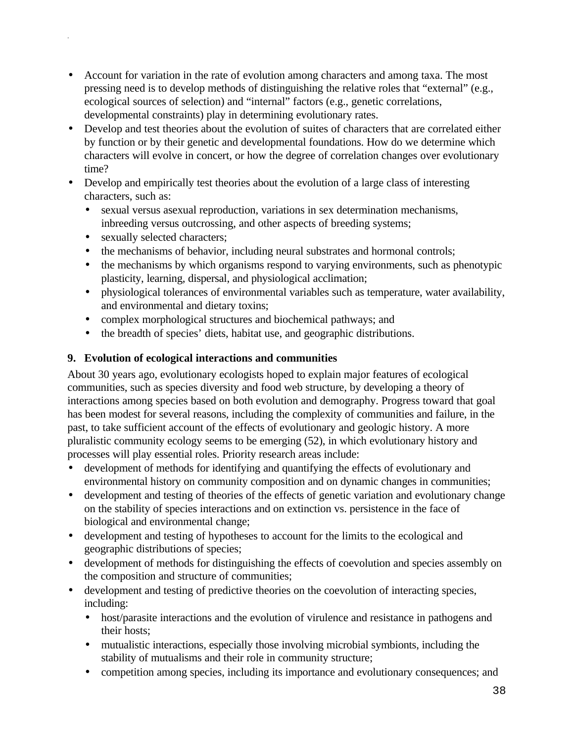- Account for variation in the rate of evolution among characters and among taxa. The most pressing need is to develop methods of distinguishing the relative roles that "external" (e.g., ecological sources of selection) and "internal" factors (e.g., genetic correlations, developmental constraints) play in determining evolutionary rates.
- Develop and test theories about the evolution of suites of characters that are correlated either by function or by their genetic and developmental foundations. How do we determine which characters will evolve in concert, or how the degree of correlation changes over evolutionary time?
- Develop and empirically test theories about the evolution of a large class of interesting characters, such as:
	- sexual versus asexual reproduction, variations in sex determination mechanisms, inbreeding versus outcrossing, and other aspects of breeding systems;
	- sexually selected characters;

.

- the mechanisms of behavior, including neural substrates and hormonal controls;
- the mechanisms by which organisms respond to varying environments, such as phenotypic plasticity, learning, dispersal, and physiological acclimation;
- physiological tolerances of environmental variables such as temperature, water availability, and environmental and dietary toxins;
- complex morphological structures and biochemical pathways; and
- the breadth of species' diets, habitat use, and geographic distributions.

# **9. Evolution of ecological interactions and communities**

About 30 years ago, evolutionary ecologists hoped to explain major features of ecological communities, such as species diversity and food web structure, by developing a theory of interactions among species based on both evolution and demography. Progress toward that goal has been modest for several reasons, including the complexity of communities and failure, in the past, to take sufficient account of the effects of evolutionary and geologic history. A more pluralistic community ecology seems to be emerging (52), in which evolutionary history and processes will play essential roles. Priority research areas include:

- development of methods for identifying and quantifying the effects of evolutionary and environmental history on community composition and on dynamic changes in communities;
- development and testing of theories of the effects of genetic variation and evolutionary change on the stability of species interactions and on extinction vs. persistence in the face of biological and environmental change;
- development and testing of hypotheses to account for the limits to the ecological and geographic distributions of species;
- development of methods for distinguishing the effects of coevolution and species assembly on the composition and structure of communities;
- development and testing of predictive theories on the coevolution of interacting species, including:
	- host/parasite interactions and the evolution of virulence and resistance in pathogens and their hosts;
	- mutualistic interactions, especially those involving microbial symbionts, including the stability of mutualisms and their role in community structure;
	- competition among species, including its importance and evolutionary consequences; and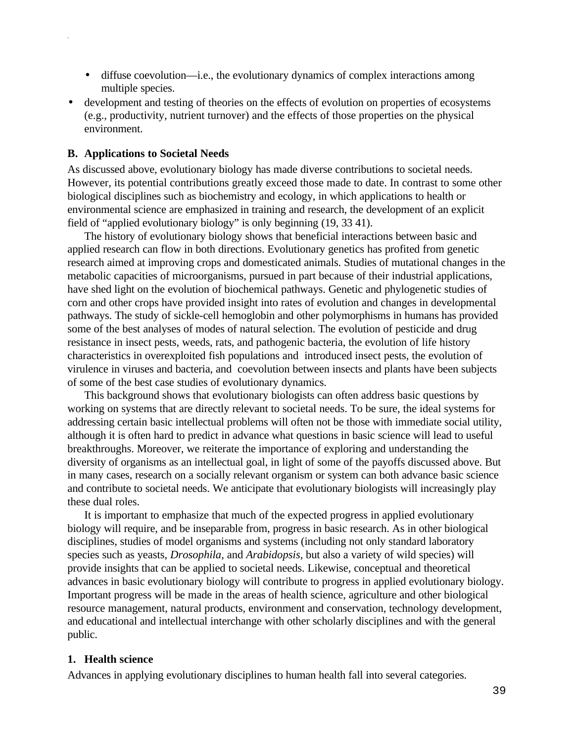- diffuse coevolution—i.e., the evolutionary dynamics of complex interactions among multiple species.
- development and testing of theories on the effects of evolution on properties of ecosystems (e.g., productivity, nutrient turnover) and the effects of those properties on the physical environment.

### **B. Applications to Societal Needs**

.

As discussed above, evolutionary biology has made diverse contributions to societal needs. However, its potential contributions greatly exceed those made to date. In contrast to some other biological disciplines such as biochemistry and ecology, in which applications to health or environmental science are emphasized in training and research, the development of an explicit field of "applied evolutionary biology" is only beginning (19, 33 41).

The history of evolutionary biology shows that beneficial interactions between basic and applied research can flow in both directions. Evolutionary genetics has profited from genetic research aimed at improving crops and domesticated animals. Studies of mutational changes in the metabolic capacities of microorganisms, pursued in part because of their industrial applications, have shed light on the evolution of biochemical pathways. Genetic and phylogenetic studies of corn and other crops have provided insight into rates of evolution and changes in developmental pathways. The study of sickle-cell hemoglobin and other polymorphisms in humans has provided some of the best analyses of modes of natural selection. The evolution of pesticide and drug resistance in insect pests, weeds, rats, and pathogenic bacteria, the evolution of life history characteristics in overexploited fish populations and introduced insect pests, the evolution of virulence in viruses and bacteria, and coevolution between insects and plants have been subjects of some of the best case studies of evolutionary dynamics.

This background shows that evolutionary biologists can often address basic questions by working on systems that are directly relevant to societal needs. To be sure, the ideal systems for addressing certain basic intellectual problems will often not be those with immediate social utility, although it is often hard to predict in advance what questions in basic science will lead to useful breakthroughs. Moreover, we reiterate the importance of exploring and understanding the diversity of organisms as an intellectual goal, in light of some of the payoffs discussed above. But in many cases, research on a socially relevant organism or system can both advance basic science and contribute to societal needs. We anticipate that evolutionary biologists will increasingly play these dual roles.

It is important to emphasize that much of the expected progress in applied evolutionary biology will require, and be inseparable from, progress in basic research. As in other biological disciplines, studies of model organisms and systems (including not only standard laboratory species such as yeasts, *Drosophila*, and *Arabidopsis*, but also a variety of wild species) will provide insights that can be applied to societal needs. Likewise, conceptual and theoretical advances in basic evolutionary biology will contribute to progress in applied evolutionary biology. Important progress will be made in the areas of health science, agriculture and other biological resource management, natural products, environment and conservation, technology development, and educational and intellectual interchange with other scholarly disciplines and with the general public.

#### **1. Health science**

Advances in applying evolutionary disciplines to human health fall into several categories.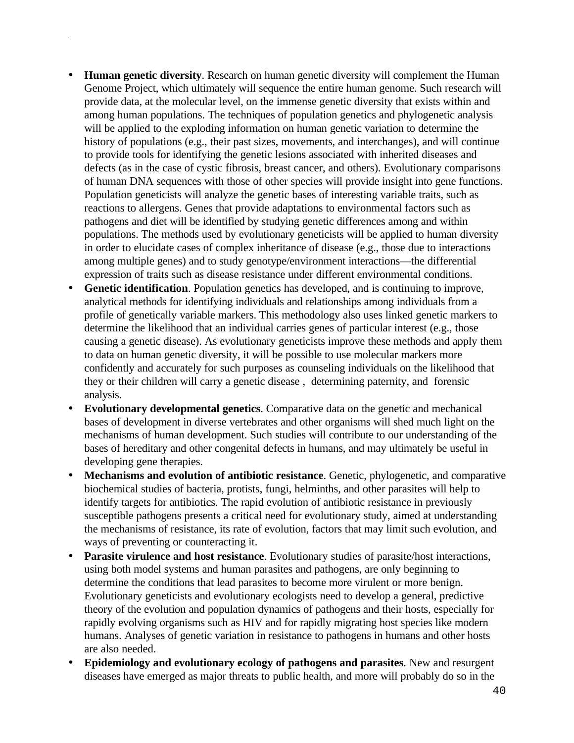• **Human genetic diversity**. Research on human genetic diversity will complement the Human Genome Project, which ultimately will sequence the entire human genome. Such research will provide data, at the molecular level, on the immense genetic diversity that exists within and among human populations. The techniques of population genetics and phylogenetic analysis will be applied to the exploding information on human genetic variation to determine the history of populations (e.g., their past sizes, movements, and interchanges), and will continue to provide tools for identifying the genetic lesions associated with inherited diseases and defects (as in the case of cystic fibrosis, breast cancer, and others). Evolutionary comparisons of human DNA sequences with those of other species will provide insight into gene functions. Population geneticists will analyze the genetic bases of interesting variable traits, such as reactions to allergens. Genes that provide adaptations to environmental factors such as pathogens and diet will be identified by studying genetic differences among and within populations. The methods used by evolutionary geneticists will be applied to human diversity in order to elucidate cases of complex inheritance of disease (e.g., those due to interactions among multiple genes) and to study genotype/environment interactions—the differential expression of traits such as disease resistance under different environmental conditions.

.

- **Genetic identification**. Population genetics has developed, and is continuing to improve, analytical methods for identifying individuals and relationships among individuals from a profile of genetically variable markers. This methodology also uses linked genetic markers to determine the likelihood that an individual carries genes of particular interest (e.g., those causing a genetic disease). As evolutionary geneticists improve these methods and apply them to data on human genetic diversity, it will be possible to use molecular markers more confidently and accurately for such purposes as counseling individuals on the likelihood that they or their children will carry a genetic disease , determining paternity, and forensic analysis.
- **Evolutionary developmental genetics**. Comparative data on the genetic and mechanical bases of development in diverse vertebrates and other organisms will shed much light on the mechanisms of human development. Such studies will contribute to our understanding of the bases of hereditary and other congenital defects in humans, and may ultimately be useful in developing gene therapies.
- **Mechanisms and evolution of antibiotic resistance**. Genetic, phylogenetic, and comparative biochemical studies of bacteria, protists, fungi, helminths, and other parasites will help to identify targets for antibiotics. The rapid evolution of antibiotic resistance in previously susceptible pathogens presents a critical need for evolutionary study, aimed at understanding the mechanisms of resistance, its rate of evolution, factors that may limit such evolution, and ways of preventing or counteracting it.
- **Parasite virulence and host resistance**. Evolutionary studies of parasite/host interactions, using both model systems and human parasites and pathogens, are only beginning to determine the conditions that lead parasites to become more virulent or more benign. Evolutionary geneticists and evolutionary ecologists need to develop a general, predictive theory of the evolution and population dynamics of pathogens and their hosts, especially for rapidly evolving organisms such as HIV and for rapidly migrating host species like modern humans. Analyses of genetic variation in resistance to pathogens in humans and other hosts are also needed.
- **Epidemiology and evolutionary ecology of pathogens and parasites**. New and resurgent diseases have emerged as major threats to public health, and more will probably do so in the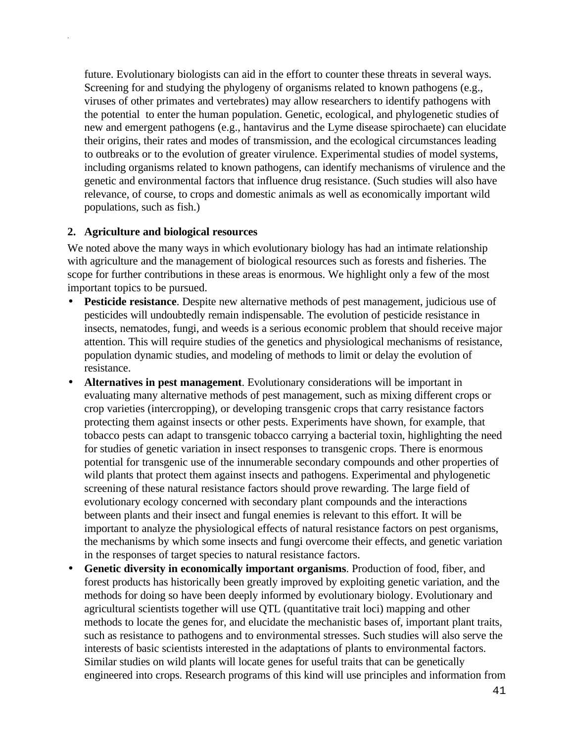future. Evolutionary biologists can aid in the effort to counter these threats in several ways. Screening for and studying the phylogeny of organisms related to known pathogens (e.g., viruses of other primates and vertebrates) may allow researchers to identify pathogens with the potential to enter the human population. Genetic, ecological, and phylogenetic studies of new and emergent pathogens (e.g., hantavirus and the Lyme disease spirochaete) can elucidate their origins, their rates and modes of transmission, and the ecological circumstances leading to outbreaks or to the evolution of greater virulence. Experimental studies of model systems, including organisms related to known pathogens, can identify mechanisms of virulence and the genetic and environmental factors that influence drug resistance. (Such studies will also have relevance, of course, to crops and domestic animals as well as economically important wild populations, such as fish.)

## **2. Agriculture and biological resources**

.

We noted above the many ways in which evolutionary biology has had an intimate relationship with agriculture and the management of biological resources such as forests and fisheries. The scope for further contributions in these areas is enormous. We highlight only a few of the most important topics to be pursued.

- **Pesticide resistance**. Despite new alternative methods of pest management, judicious use of pesticides will undoubtedly remain indispensable. The evolution of pesticide resistance in insects, nematodes, fungi, and weeds is a serious economic problem that should receive major attention. This will require studies of the genetics and physiological mechanisms of resistance, population dynamic studies, and modeling of methods to limit or delay the evolution of resistance.
- **Alternatives in pest management**. Evolutionary considerations will be important in evaluating many alternative methods of pest management, such as mixing different crops or crop varieties (intercropping), or developing transgenic crops that carry resistance factors protecting them against insects or other pests. Experiments have shown, for example, that tobacco pests can adapt to transgenic tobacco carrying a bacterial toxin, highlighting the need for studies of genetic variation in insect responses to transgenic crops. There is enormous potential for transgenic use of the innumerable secondary compounds and other properties of wild plants that protect them against insects and pathogens. Experimental and phylogenetic screening of these natural resistance factors should prove rewarding. The large field of evolutionary ecology concerned with secondary plant compounds and the interactions between plants and their insect and fungal enemies is relevant to this effort. It will be important to analyze the physiological effects of natural resistance factors on pest organisms, the mechanisms by which some insects and fungi overcome their effects, and genetic variation in the responses of target species to natural resistance factors.
- **Genetic diversity in economically important organisms**. Production of food, fiber, and forest products has historically been greatly improved by exploiting genetic variation, and the methods for doing so have been deeply informed by evolutionary biology. Evolutionary and agricultural scientists together will use QTL (quantitative trait loci) mapping and other methods to locate the genes for, and elucidate the mechanistic bases of, important plant traits, such as resistance to pathogens and to environmental stresses. Such studies will also serve the interests of basic scientists interested in the adaptations of plants to environmental factors. Similar studies on wild plants will locate genes for useful traits that can be genetically engineered into crops. Research programs of this kind will use principles and information from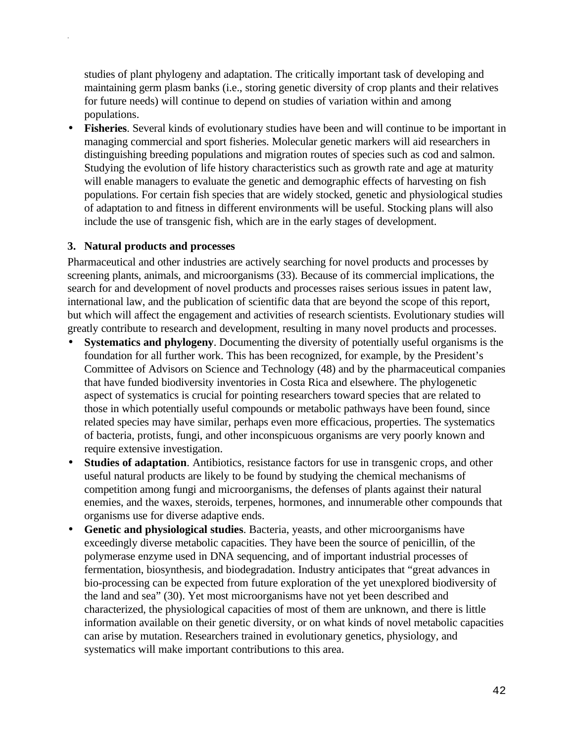studies of plant phylogeny and adaptation. The critically important task of developing and maintaining germ plasm banks (i.e., storing genetic diversity of crop plants and their relatives for future needs) will continue to depend on studies of variation within and among populations.

• **Fisheries**. Several kinds of evolutionary studies have been and will continue to be important in managing commercial and sport fisheries. Molecular genetic markers will aid researchers in distinguishing breeding populations and migration routes of species such as cod and salmon. Studying the evolution of life history characteristics such as growth rate and age at maturity will enable managers to evaluate the genetic and demographic effects of harvesting on fish populations. For certain fish species that are widely stocked, genetic and physiological studies of adaptation to and fitness in different environments will be useful. Stocking plans will also include the use of transgenic fish, which are in the early stages of development.

## **3. Natural products and processes**

.

Pharmaceutical and other industries are actively searching for novel products and processes by screening plants, animals, and microorganisms (33). Because of its commercial implications, the search for and development of novel products and processes raises serious issues in patent law, international law, and the publication of scientific data that are beyond the scope of this report, but which will affect the engagement and activities of research scientists. Evolutionary studies will greatly contribute to research and development, resulting in many novel products and processes.

- **Systematics and phylogeny**. Documenting the diversity of potentially useful organisms is the foundation for all further work. This has been recognized, for example, by the President's Committee of Advisors on Science and Technology (48) and by the pharmaceutical companies that have funded biodiversity inventories in Costa Rica and elsewhere. The phylogenetic aspect of systematics is crucial for pointing researchers toward species that are related to those in which potentially useful compounds or metabolic pathways have been found, since related species may have similar, perhaps even more efficacious, properties. The systematics of bacteria, protists, fungi, and other inconspicuous organisms are very poorly known and require extensive investigation.
- **Studies of adaptation**. Antibiotics, resistance factors for use in transgenic crops, and other useful natural products are likely to be found by studying the chemical mechanisms of competition among fungi and microorganisms, the defenses of plants against their natural enemies, and the waxes, steroids, terpenes, hormones, and innumerable other compounds that organisms use for diverse adaptive ends.
- **Genetic and physiological studies**. Bacteria, yeasts, and other microorganisms have exceedingly diverse metabolic capacities. They have been the source of penicillin, of the polymerase enzyme used in DNA sequencing, and of important industrial processes of fermentation, biosynthesis, and biodegradation. Industry anticipates that "great advances in bio-processing can be expected from future exploration of the yet unexplored biodiversity of the land and sea" (30). Yet most microorganisms have not yet been described and characterized, the physiological capacities of most of them are unknown, and there is little information available on their genetic diversity, or on what kinds of novel metabolic capacities can arise by mutation. Researchers trained in evolutionary genetics, physiology, and systematics will make important contributions to this area.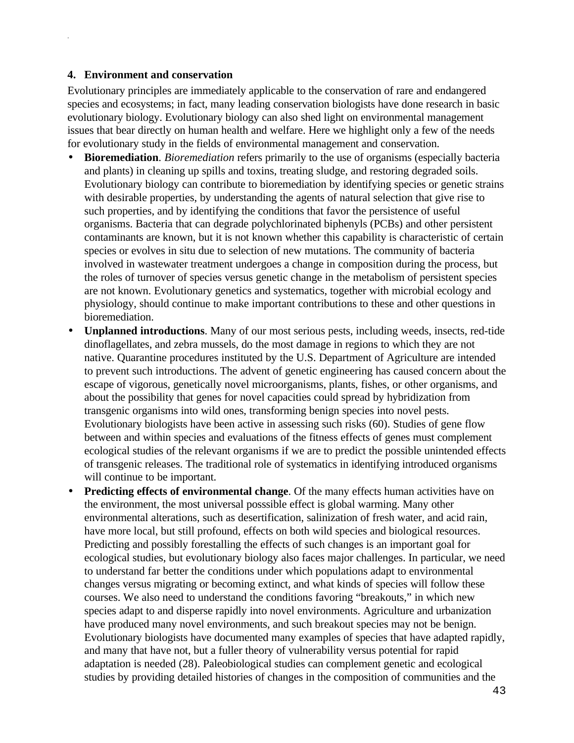## **4. Environment and conservation**

.

Evolutionary principles are immediately applicable to the conservation of rare and endangered species and ecosystems; in fact, many leading conservation biologists have done research in basic evolutionary biology. Evolutionary biology can also shed light on environmental management issues that bear directly on human health and welfare. Here we highlight only a few of the needs for evolutionary study in the fields of environmental management and conservation.

- **Bioremediation**. *Bioremediation* refers primarily to the use of organisms (especially bacteria and plants) in cleaning up spills and toxins, treating sludge, and restoring degraded soils. Evolutionary biology can contribute to bioremediation by identifying species or genetic strains with desirable properties, by understanding the agents of natural selection that give rise to such properties, and by identifying the conditions that favor the persistence of useful organisms. Bacteria that can degrade polychlorinated biphenyls (PCBs) and other persistent contaminants are known, but it is not known whether this capability is characteristic of certain species or evolves in situ due to selection of new mutations. The community of bacteria involved in wastewater treatment undergoes a change in composition during the process, but the roles of turnover of species versus genetic change in the metabolism of persistent species are not known. Evolutionary genetics and systematics, together with microbial ecology and physiology, should continue to make important contributions to these and other questions in bioremediation.
- **Unplanned introductions**. Many of our most serious pests, including weeds, insects, red-tide dinoflagellates, and zebra mussels, do the most damage in regions to which they are not native. Quarantine procedures instituted by the U.S. Department of Agriculture are intended to prevent such introductions. The advent of genetic engineering has caused concern about the escape of vigorous, genetically novel microorganisms, plants, fishes, or other organisms, and about the possibility that genes for novel capacities could spread by hybridization from transgenic organisms into wild ones, transforming benign species into novel pests. Evolutionary biologists have been active in assessing such risks (60). Studies of gene flow between and within species and evaluations of the fitness effects of genes must complement ecological studies of the relevant organisms if we are to predict the possible unintended effects of transgenic releases. The traditional role of systematics in identifying introduced organisms will continue to be important.
- **Predicting effects of environmental change**. Of the many effects human activities have on the environment, the most universal posssible effect is global warming. Many other environmental alterations, such as desertification, salinization of fresh water, and acid rain, have more local, but still profound, effects on both wild species and biological resources. Predicting and possibly forestalling the effects of such changes is an important goal for ecological studies, but evolutionary biology also faces major challenges. In particular, we need to understand far better the conditions under which populations adapt to environmental changes versus migrating or becoming extinct, and what kinds of species will follow these courses. We also need to understand the conditions favoring "breakouts," in which new species adapt to and disperse rapidly into novel environments. Agriculture and urbanization have produced many novel environments, and such breakout species may not be benign. Evolutionary biologists have documented many examples of species that have adapted rapidly, and many that have not, but a fuller theory of vulnerability versus potential for rapid adaptation is needed (28). Paleobiological studies can complement genetic and ecological studies by providing detailed histories of changes in the composition of communities and the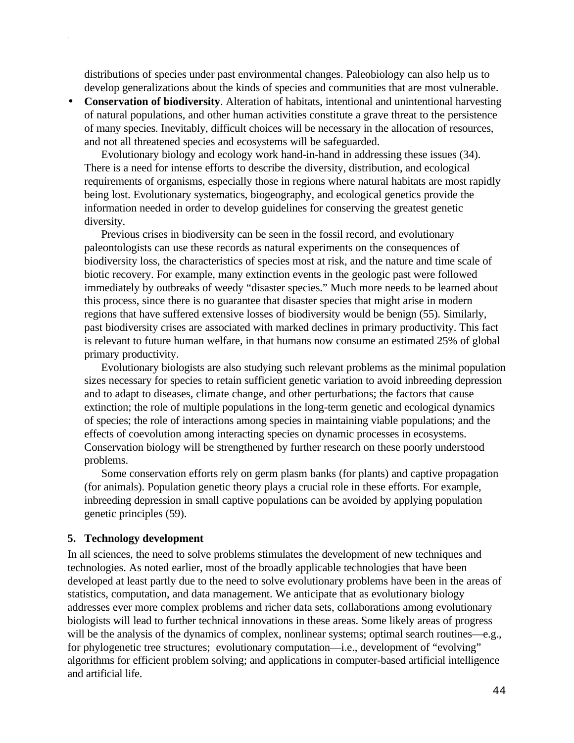distributions of species under past environmental changes. Paleobiology can also help us to develop generalizations about the kinds of species and communities that are most vulnerable.

• **Conservation of biodiversity**. Alteration of habitats, intentional and unintentional harvesting of natural populations, and other human activities constitute a grave threat to the persistence of many species. Inevitably, difficult choices will be necessary in the allocation of resources, and not all threatened species and ecosystems will be safeguarded.

Evolutionary biology and ecology work hand-in-hand in addressing these issues (34). There is a need for intense efforts to describe the diversity, distribution, and ecological requirements of organisms, especially those in regions where natural habitats are most rapidly being lost. Evolutionary systematics, biogeography, and ecological genetics provide the information needed in order to develop guidelines for conserving the greatest genetic diversity.

Previous crises in biodiversity can be seen in the fossil record, and evolutionary paleontologists can use these records as natural experiments on the consequences of biodiversity loss, the characteristics of species most at risk, and the nature and time scale of biotic recovery. For example, many extinction events in the geologic past were followed immediately by outbreaks of weedy "disaster species." Much more needs to be learned about this process, since there is no guarantee that disaster species that might arise in modern regions that have suffered extensive losses of biodiversity would be benign (55). Similarly, past biodiversity crises are associated with marked declines in primary productivity. This fact is relevant to future human welfare, in that humans now consume an estimated 25% of global primary productivity.

Evolutionary biologists are also studying such relevant problems as the minimal population sizes necessary for species to retain sufficient genetic variation to avoid inbreeding depression and to adapt to diseases, climate change, and other perturbations; the factors that cause extinction; the role of multiple populations in the long-term genetic and ecological dynamics of species; the role of interactions among species in maintaining viable populations; and the effects of coevolution among interacting species on dynamic processes in ecosystems. Conservation biology will be strengthened by further research on these poorly understood problems.

Some conservation efforts rely on germ plasm banks (for plants) and captive propagation (for animals). Population genetic theory plays a crucial role in these efforts. For example, inbreeding depression in small captive populations can be avoided by applying population genetic principles (59).

### **5. Technology development**

.

In all sciences, the need to solve problems stimulates the development of new techniques and technologies. As noted earlier, most of the broadly applicable technologies that have been developed at least partly due to the need to solve evolutionary problems have been in the areas of statistics, computation, and data management. We anticipate that as evolutionary biology addresses ever more complex problems and richer data sets, collaborations among evolutionary biologists will lead to further technical innovations in these areas. Some likely areas of progress will be the analysis of the dynamics of complex, nonlinear systems; optimal search routines—e.g., for phylogenetic tree structures; evolutionary computation—i.e., development of "evolving" algorithms for efficient problem solving; and applications in computer-based artificial intelligence and artificial life.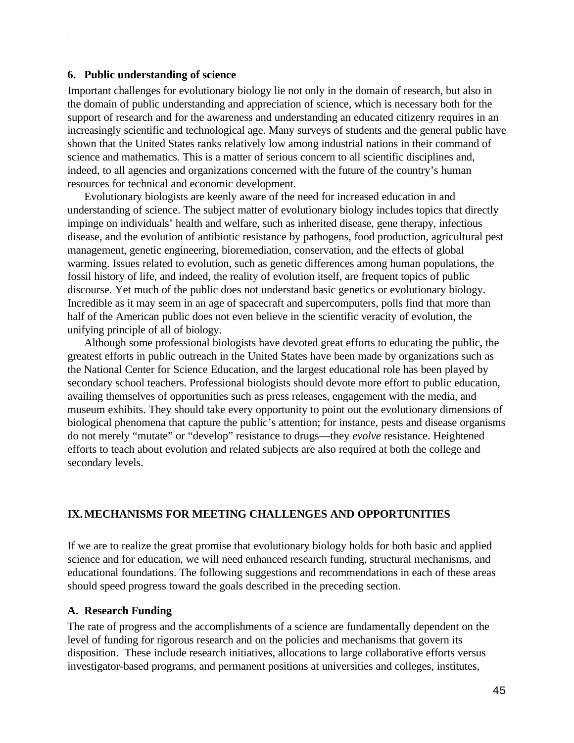### **6. Public understanding of science**

.

Important challenges for evolutionary biology lie not only in the domain of research, but also in the domain of public understanding and appreciation of science, which is necessary both for the support of research and for the awareness and understanding an educated citizenry requires in an increasingly scientific and technological age. Many surveys of students and the general public have shown that the United States ranks relatively low among industrial nations in their command of science and mathematics. This is a matter of serious concern to all scientific disciplines and, indeed, to all agencies and organizations concerned with the future of the country's human resources for technical and economic development.

Evolutionary biologists are keenly aware of the need for increased education in and understanding of science. The subject matter of evolutionary biology includes topics that directly impinge on individuals' health and welfare, such as inherited disease, gene therapy, infectious disease, and the evolution of antibiotic resistance by pathogens, food production, agricultural pest management, genetic engineering, bioremediation, conservation, and the effects of global warming. Issues related to evolution, such as genetic differences among human populations, the fossil history of life, and indeed, the reality of evolution itself, are frequent topics of public discourse. Yet much of the public does not understand basic genetics or evolutionary biology. Incredible as it may seem in an age of spacecraft and supercomputers, polls find that more than half of the American public does not even believe in the scientific veracity of evolution, the unifying principle of all of biology.

Although some professional biologists have devoted great efforts to educating the public, the greatest efforts in public outreach in the United States have been made by organizations such as the National Center for Science Education, and the largest educational role has been played by secondary school teachers. Professional biologists should devote more effort to public education, availing themselves of opportunities such as press releases, engagement with the media, and museum exhibits. They should take every opportunity to point out the evolutionary dimensions of biological phenomena that capture the public's attention; for instance, pests and disease organisms do not merely "mutate" or "develop" resistance to drugs—they *evolve* resistance. Heightened efforts to teach about evolution and related subjects are also required at both the college and secondary levels.

### **IX.MECHANISMS FOR MEETING CHALLENGES AND OPPORTUNITIES**

If we are to realize the great promise that evolutionary biology holds for both basic and applied science and for education, we will need enhanced research funding, structural mechanisms, and educational foundations. The following suggestions and recommendations in each of these areas should speed progress toward the goals described in the preceding section.

### **A. Research Funding**

The rate of progress and the accomplishments of a science are fundamentally dependent on the level of funding for rigorous research and on the policies and mechanisms that govern its disposition. These include research initiatives, allocations to large collaborative efforts versus investigator-based programs, and permanent positions at universities and colleges, institutes,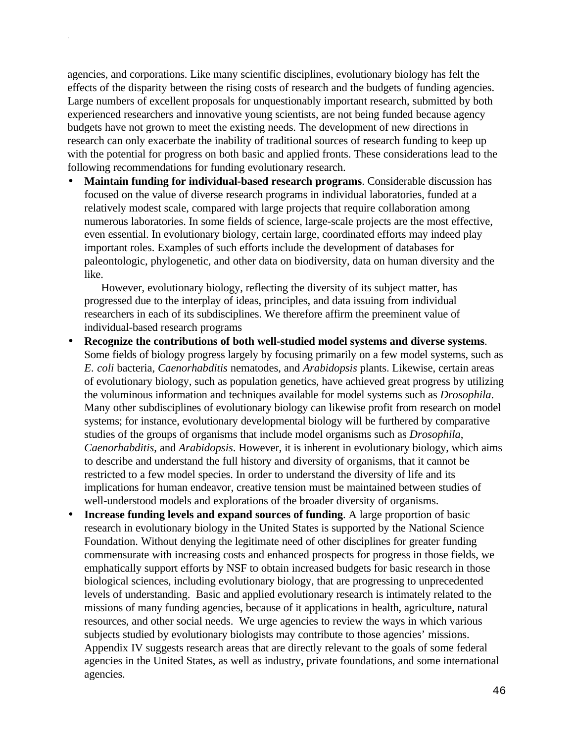agencies, and corporations. Like many scientific disciplines, evolutionary biology has felt the effects of the disparity between the rising costs of research and the budgets of funding agencies. Large numbers of excellent proposals for unquestionably important research, submitted by both experienced researchers and innovative young scientists, are not being funded because agency budgets have not grown to meet the existing needs. The development of new directions in research can only exacerbate the inability of traditional sources of research funding to keep up with the potential for progress on both basic and applied fronts. These considerations lead to the following recommendations for funding evolutionary research.

.

• **Maintain funding for individual-based research programs**. Considerable discussion has focused on the value of diverse research programs in individual laboratories, funded at a relatively modest scale, compared with large projects that require collaboration among numerous laboratories. In some fields of science, large-scale projects are the most effective, even essential. In evolutionary biology, certain large, coordinated efforts may indeed play important roles. Examples of such efforts include the development of databases for paleontologic, phylogenetic, and other data on biodiversity, data on human diversity and the like.

However, evolutionary biology, reflecting the diversity of its subject matter, has progressed due to the interplay of ideas, principles, and data issuing from individual researchers in each of its subdisciplines. We therefore affirm the preeminent value of individual-based research programs

- **Recognize the contributions of both well-studied model systems and diverse systems**. Some fields of biology progress largely by focusing primarily on a few model systems, such as *E. coli* bacteria, *Caenorhabditis* nematodes, and *Arabidopsis* plants. Likewise, certain areas of evolutionary biology, such as population genetics, have achieved great progress by utilizing the voluminous information and techniques available for model systems such as *Drosophila*. Many other subdisciplines of evolutionary biology can likewise profit from research on model systems; for instance, evolutionary developmental biology will be furthered by comparative studies of the groups of organisms that include model organisms such as *Drosophila*, *Caenorhabditis*, and *Arabidopsis*. However, it is inherent in evolutionary biology, which aims to describe and understand the full history and diversity of organisms, that it cannot be restricted to a few model species. In order to understand the diversity of life and its implications for human endeavor, creative tension must be maintained between studies of well-understood models and explorations of the broader diversity of organisms.
- **Increase funding levels and expand sources of funding**. A large proportion of basic research in evolutionary biology in the United States is supported by the National Science Foundation. Without denying the legitimate need of other disciplines for greater funding commensurate with increasing costs and enhanced prospects for progress in those fields, we emphatically support efforts by NSF to obtain increased budgets for basic research in those biological sciences, including evolutionary biology, that are progressing to unprecedented levels of understanding. Basic and applied evolutionary research is intimately related to the missions of many funding agencies, because of it applications in health, agriculture, natural resources, and other social needs. We urge agencies to review the ways in which various subjects studied by evolutionary biologists may contribute to those agencies' missions. Appendix IV suggests research areas that are directly relevant to the goals of some federal agencies in the United States, as well as industry, private foundations, and some international agencies.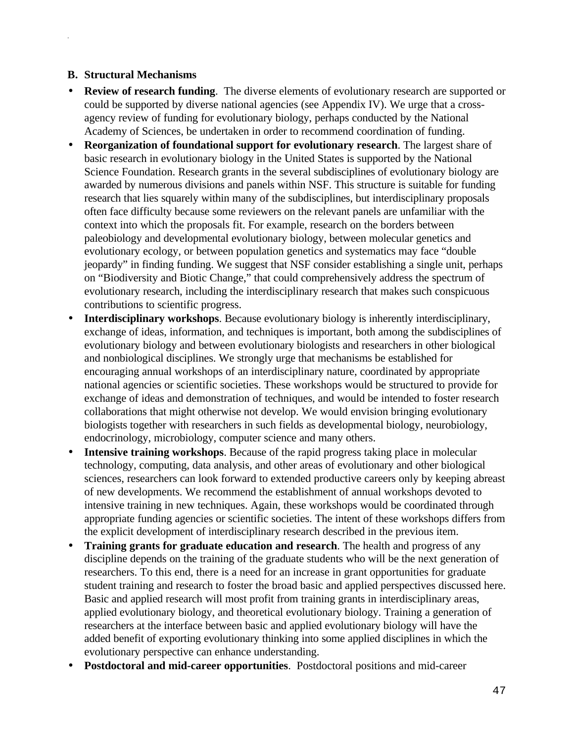## **B. Structural Mechanisms**

.

- **Review of research funding.** The diverse elements of evolutionary research are supported or could be supported by diverse national agencies (see Appendix IV). We urge that a crossagency review of funding for evolutionary biology, perhaps conducted by the National Academy of Sciences, be undertaken in order to recommend coordination of funding.
- **Reorganization of foundational support for evolutionary research**. The largest share of basic research in evolutionary biology in the United States is supported by the National Science Foundation. Research grants in the several subdisciplines of evolutionary biology are awarded by numerous divisions and panels within NSF. This structure is suitable for funding research that lies squarely within many of the subdisciplines, but interdisciplinary proposals often face difficulty because some reviewers on the relevant panels are unfamiliar with the context into which the proposals fit. For example, research on the borders between paleobiology and developmental evolutionary biology, between molecular genetics and evolutionary ecology, or between population genetics and systematics may face "double jeopardy" in finding funding. We suggest that NSF consider establishing a single unit, perhaps on "Biodiversity and Biotic Change," that could comprehensively address the spectrum of evolutionary research, including the interdisciplinary research that makes such conspicuous contributions to scientific progress.
- **Interdisciplinary workshops**. Because evolutionary biology is inherently interdisciplinary, exchange of ideas, information, and techniques is important, both among the subdisciplines of evolutionary biology and between evolutionary biologists and researchers in other biological and nonbiological disciplines. We strongly urge that mechanisms be established for encouraging annual workshops of an interdisciplinary nature, coordinated by appropriate national agencies or scientific societies. These workshops would be structured to provide for exchange of ideas and demonstration of techniques, and would be intended to foster research collaborations that might otherwise not develop. We would envision bringing evolutionary biologists together with researchers in such fields as developmental biology, neurobiology, endocrinology, microbiology, computer science and many others.
- **Intensive training workshops**. Because of the rapid progress taking place in molecular technology, computing, data analysis, and other areas of evolutionary and other biological sciences, researchers can look forward to extended productive careers only by keeping abreast of new developments. We recommend the establishment of annual workshops devoted to intensive training in new techniques. Again, these workshops would be coordinated through appropriate funding agencies or scientific societies. The intent of these workshops differs from the explicit development of interdisciplinary research described in the previous item.
- **Training grants for graduate education and research**. The health and progress of any discipline depends on the training of the graduate students who will be the next generation of researchers. To this end, there is a need for an increase in grant opportunities for graduate student training and research to foster the broad basic and applied perspectives discussed here. Basic and applied research will most profit from training grants in interdisciplinary areas, applied evolutionary biology, and theoretical evolutionary biology. Training a generation of researchers at the interface between basic and applied evolutionary biology will have the added benefit of exporting evolutionary thinking into some applied disciplines in which the evolutionary perspective can enhance understanding.
- **Postdoctoral and mid-career opportunities**. Postdoctoral positions and mid-career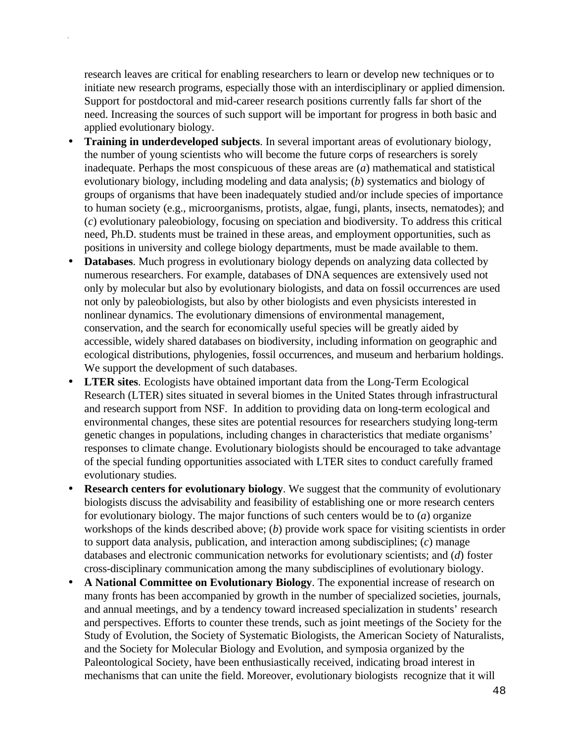research leaves are critical for enabling researchers to learn or develop new techniques or to initiate new research programs, especially those with an interdisciplinary or applied dimension. Support for postdoctoral and mid-career research positions currently falls far short of the need. Increasing the sources of such support will be important for progress in both basic and applied evolutionary biology.

.

- **Training in underdeveloped subjects**. In several important areas of evolutionary biology, the number of young scientists who will become the future corps of researchers is sorely inadequate. Perhaps the most conspicuous of these areas are (*a*) mathematical and statistical evolutionary biology, including modeling and data analysis; (*b*) systematics and biology of groups of organisms that have been inadequately studied and/or include species of importance to human society (e.g., microorganisms, protists, algae, fungi, plants, insects, nematodes); and (*c*) evolutionary paleobiology, focusing on speciation and biodiversity. To address this critical need, Ph.D. students must be trained in these areas, and employment opportunities, such as positions in university and college biology departments, must be made available to them.
- **Databases**. Much progress in evolutionary biology depends on analyzing data collected by numerous researchers. For example, databases of DNA sequences are extensively used not only by molecular but also by evolutionary biologists, and data on fossil occurrences are used not only by paleobiologists, but also by other biologists and even physicists interested in nonlinear dynamics. The evolutionary dimensions of environmental management, conservation, and the search for economically useful species will be greatly aided by accessible, widely shared databases on biodiversity, including information on geographic and ecological distributions, phylogenies, fossil occurrences, and museum and herbarium holdings. We support the development of such databases.
- **LTER sites**. Ecologists have obtained important data from the Long-Term Ecological Research (LTER) sites situated in several biomes in the United States through infrastructural and research support from NSF. In addition to providing data on long-term ecological and environmental changes, these sites are potential resources for researchers studying long-term genetic changes in populations, including changes in characteristics that mediate organisms' responses to climate change. Evolutionary biologists should be encouraged to take advantage of the special funding opportunities associated with LTER sites to conduct carefully framed evolutionary studies.
- **Research centers for evolutionary biology**. We suggest that the community of evolutionary biologists discuss the advisability and feasibility of establishing one or more research centers for evolutionary biology. The major functions of such centers would be to (*a*) organize workshops of the kinds described above; (*b*) provide work space for visiting scientists in order to support data analysis, publication, and interaction among subdisciplines; (*c*) manage databases and electronic communication networks for evolutionary scientists; and (*d*) foster cross-disciplinary communication among the many subdisciplines of evolutionary biology.
- **A National Committee on Evolutionary Biology**. The exponential increase of research on many fronts has been accompanied by growth in the number of specialized societies, journals, and annual meetings, and by a tendency toward increased specialization in students' research and perspectives. Efforts to counter these trends, such as joint meetings of the Society for the Study of Evolution, the Society of Systematic Biologists, the American Society of Naturalists, and the Society for Molecular Biology and Evolution, and symposia organized by the Paleontological Society, have been enthusiastically received, indicating broad interest in mechanisms that can unite the field. Moreover, evolutionary biologists recognize that it will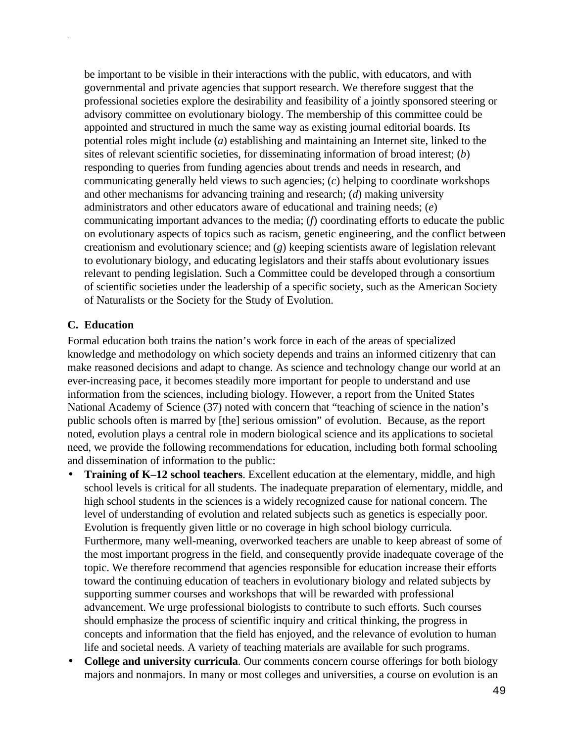be important to be visible in their interactions with the public, with educators, and with governmental and private agencies that support research. We therefore suggest that the professional societies explore the desirability and feasibility of a jointly sponsored steering or advisory committee on evolutionary biology. The membership of this committee could be appointed and structured in much the same way as existing journal editorial boards. Its potential roles might include (*a*) establishing and maintaining an Internet site, linked to the sites of relevant scientific societies, for disseminating information of broad interest; (*b*) responding to queries from funding agencies about trends and needs in research, and communicating generally held views to such agencies; (*c*) helping to coordinate workshops and other mechanisms for advancing training and research; (*d*) making university administrators and other educators aware of educational and training needs; (*e*) communicating important advances to the media; (*f*) coordinating efforts to educate the public on evolutionary aspects of topics such as racism, genetic engineering, and the conflict between creationism and evolutionary science; and (*g*) keeping scientists aware of legislation relevant to evolutionary biology, and educating legislators and their staffs about evolutionary issues relevant to pending legislation. Such a Committee could be developed through a consortium of scientific societies under the leadership of a specific society, such as the American Society of Naturalists or the Society for the Study of Evolution.

## **C. Education**

.

Formal education both trains the nation's work force in each of the areas of specialized knowledge and methodology on which society depends and trains an informed citizenry that can make reasoned decisions and adapt to change. As science and technology change our world at an ever-increasing pace, it becomes steadily more important for people to understand and use information from the sciences, including biology. However, a report from the United States National Academy of Science (37) noted with concern that "teaching of science in the nation's public schools often is marred by [the] serious omission" of evolution. Because, as the report noted, evolution plays a central role in modern biological science and its applications to societal need, we provide the following recommendations for education, including both formal schooling and dissemination of information to the public:

- **Training of K–12 school teachers**. Excellent education at the elementary, middle, and high school levels is critical for all students. The inadequate preparation of elementary, middle, and high school students in the sciences is a widely recognized cause for national concern. The level of understanding of evolution and related subjects such as genetics is especially poor. Evolution is frequently given little or no coverage in high school biology curricula. Furthermore, many well-meaning, overworked teachers are unable to keep abreast of some of the most important progress in the field, and consequently provide inadequate coverage of the topic. We therefore recommend that agencies responsible for education increase their efforts toward the continuing education of teachers in evolutionary biology and related subjects by supporting summer courses and workshops that will be rewarded with professional advancement. We urge professional biologists to contribute to such efforts. Such courses should emphasize the process of scientific inquiry and critical thinking, the progress in concepts and information that the field has enjoyed, and the relevance of evolution to human life and societal needs. A variety of teaching materials are available for such programs.
- **College and university curricula**. Our comments concern course offerings for both biology majors and nonmajors. In many or most colleges and universities, a course on evolution is an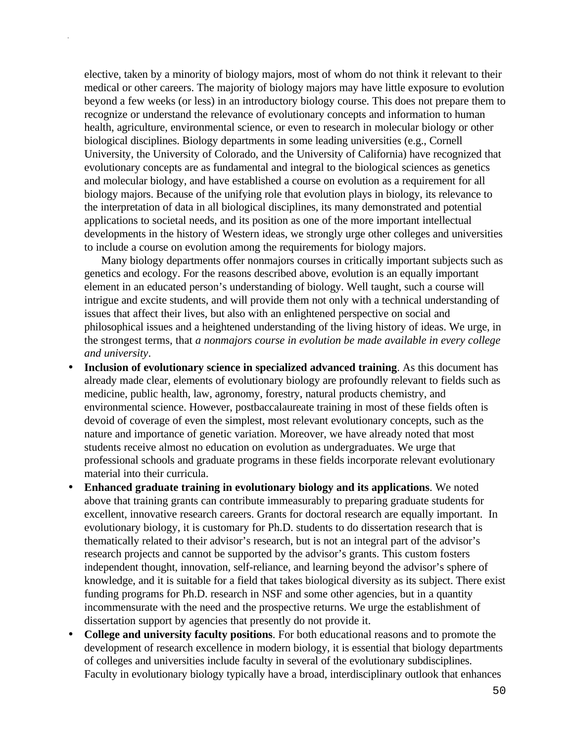elective, taken by a minority of biology majors, most of whom do not think it relevant to their medical or other careers. The majority of biology majors may have little exposure to evolution beyond a few weeks (or less) in an introductory biology course. This does not prepare them to recognize or understand the relevance of evolutionary concepts and information to human health, agriculture, environmental science, or even to research in molecular biology or other biological disciplines. Biology departments in some leading universities (e.g., Cornell University, the University of Colorado, and the University of California) have recognized that evolutionary concepts are as fundamental and integral to the biological sciences as genetics and molecular biology, and have established a course on evolution as a requirement for all biology majors. Because of the unifying role that evolution plays in biology, its relevance to the interpretation of data in all biological disciplines, its many demonstrated and potential applications to societal needs, and its position as one of the more important intellectual developments in the history of Western ideas, we strongly urge other colleges and universities to include a course on evolution among the requirements for biology majors.

.

Many biology departments offer nonmajors courses in critically important subjects such as genetics and ecology. For the reasons described above, evolution is an equally important element in an educated person's understanding of biology. Well taught, such a course will intrigue and excite students, and will provide them not only with a technical understanding of issues that affect their lives, but also with an enlightened perspective on social and philosophical issues and a heightened understanding of the living history of ideas. We urge, in the strongest terms, that *a nonmajors course in evolution be made available in every college and university*.

- **Inclusion of evolutionary science in specialized advanced training**. As this document has already made clear, elements of evolutionary biology are profoundly relevant to fields such as medicine, public health, law, agronomy, forestry, natural products chemistry, and environmental science. However, postbaccalaureate training in most of these fields often is devoid of coverage of even the simplest, most relevant evolutionary concepts, such as the nature and importance of genetic variation. Moreover, we have already noted that most students receive almost no education on evolution as undergraduates. We urge that professional schools and graduate programs in these fields incorporate relevant evolutionary material into their curricula.
- **Enhanced graduate training in evolutionary biology and its applications**. We noted above that training grants can contribute immeasurably to preparing graduate students for excellent, innovative research careers. Grants for doctoral research are equally important. In evolutionary biology, it is customary for Ph.D. students to do dissertation research that is thematically related to their advisor's research, but is not an integral part of the advisor's research projects and cannot be supported by the advisor's grants. This custom fosters independent thought, innovation, self-reliance, and learning beyond the advisor's sphere of knowledge, and it is suitable for a field that takes biological diversity as its subject. There exist funding programs for Ph.D. research in NSF and some other agencies, but in a quantity incommensurate with the need and the prospective returns. We urge the establishment of dissertation support by agencies that presently do not provide it.
- **College and university faculty positions**. For both educational reasons and to promote the development of research excellence in modern biology, it is essential that biology departments of colleges and universities include faculty in several of the evolutionary subdisciplines. Faculty in evolutionary biology typically have a broad, interdisciplinary outlook that enhances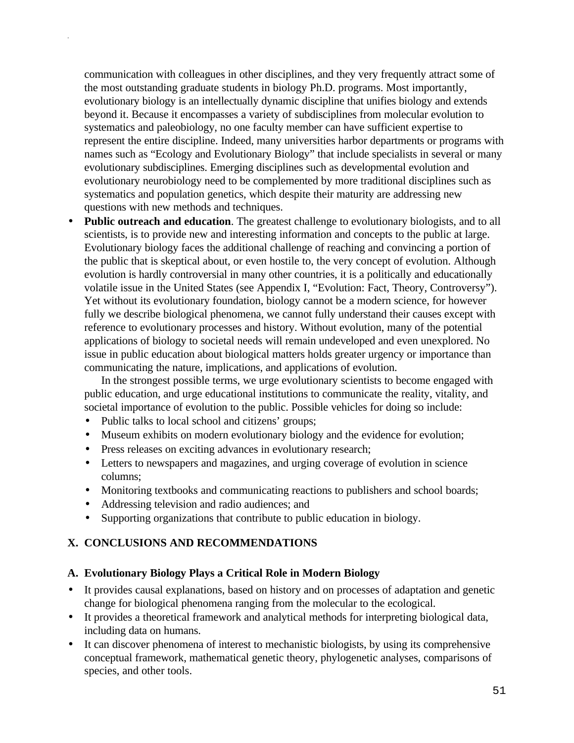communication with colleagues in other disciplines, and they very frequently attract some of the most outstanding graduate students in biology Ph.D. programs. Most importantly, evolutionary biology is an intellectually dynamic discipline that unifies biology and extends beyond it. Because it encompasses a variety of subdisciplines from molecular evolution to systematics and paleobiology, no one faculty member can have sufficient expertise to represent the entire discipline. Indeed, many universities harbor departments or programs with names such as "Ecology and Evolutionary Biology" that include specialists in several or many evolutionary subdisciplines. Emerging disciplines such as developmental evolution and evolutionary neurobiology need to be complemented by more traditional disciplines such as systematics and population genetics, which despite their maturity are addressing new questions with new methods and techniques.

• **Public outreach and education**. The greatest challenge to evolutionary biologists, and to all scientists, is to provide new and interesting information and concepts to the public at large. Evolutionary biology faces the additional challenge of reaching and convincing a portion of the public that is skeptical about, or even hostile to, the very concept of evolution. Although evolution is hardly controversial in many other countries, it is a politically and educationally volatile issue in the United States (see Appendix I, "Evolution: Fact, Theory, Controversy"). Yet without its evolutionary foundation, biology cannot be a modern science, for however fully we describe biological phenomena, we cannot fully understand their causes except with reference to evolutionary processes and history. Without evolution, many of the potential applications of biology to societal needs will remain undeveloped and even unexplored. No issue in public education about biological matters holds greater urgency or importance than communicating the nature, implications, and applications of evolution.

In the strongest possible terms, we urge evolutionary scientists to become engaged with public education, and urge educational institutions to communicate the reality, vitality, and societal importance of evolution to the public. Possible vehicles for doing so include:

• Public talks to local school and citizens' groups;

.

- Museum exhibits on modern evolutionary biology and the evidence for evolution;
- Press releases on exciting advances in evolutionary research;
- Letters to newspapers and magazines, and urging coverage of evolution in science columns;
- Monitoring textbooks and communicating reactions to publishers and school boards;
- Addressing television and radio audiences; and
- Supporting organizations that contribute to public education in biology.

## **X. CONCLUSIONS AND RECOMMENDATIONS**

## **A. Evolutionary Biology Plays a Critical Role in Modern Biology**

- It provides causal explanations, based on history and on processes of adaptation and genetic change for biological phenomena ranging from the molecular to the ecological.
- It provides a theoretical framework and analytical methods for interpreting biological data, including data on humans.
- It can discover phenomena of interest to mechanistic biologists, by using its comprehensive conceptual framework, mathematical genetic theory, phylogenetic analyses, comparisons of species, and other tools.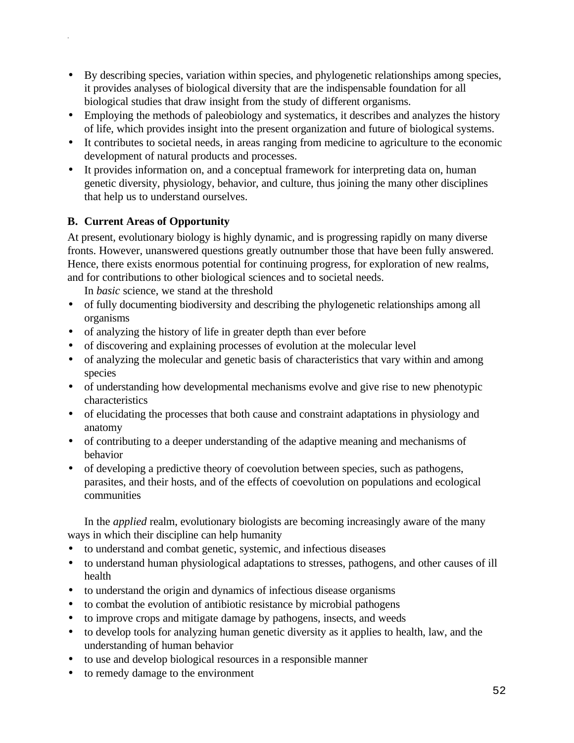- By describing species, variation within species, and phylogenetic relationships among species, it provides analyses of biological diversity that are the indispensable foundation for all biological studies that draw insight from the study of different organisms.
- Employing the methods of paleobiology and systematics, it describes and analyzes the history of life, which provides insight into the present organization and future of biological systems.
- It contributes to societal needs, in areas ranging from medicine to agriculture to the economic development of natural products and processes.
- It provides information on, and a conceptual framework for interpreting data on, human genetic diversity, physiology, behavior, and culture, thus joining the many other disciplines that help us to understand ourselves.

# **B. Current Areas of Opportunity**

.

At present, evolutionary biology is highly dynamic, and is progressing rapidly on many diverse fronts. However, unanswered questions greatly outnumber those that have been fully answered. Hence, there exists enormous potential for continuing progress, for exploration of new realms, and for contributions to other biological sciences and to societal needs.

In *basic* science, we stand at the threshold

- of fully documenting biodiversity and describing the phylogenetic relationships among all organisms
- of analyzing the history of life in greater depth than ever before
- of discovering and explaining processes of evolution at the molecular level
- of analyzing the molecular and genetic basis of characteristics that vary within and among species
- of understanding how developmental mechanisms evolve and give rise to new phenotypic characteristics
- of elucidating the processes that both cause and constraint adaptations in physiology and anatomy
- of contributing to a deeper understanding of the adaptive meaning and mechanisms of behavior
- of developing a predictive theory of coevolution between species, such as pathogens, parasites, and their hosts, and of the effects of coevolution on populations and ecological communities

In the *applied* realm, evolutionary biologists are becoming increasingly aware of the many ways in which their discipline can help humanity

- to understand and combat genetic, systemic, and infectious diseases
- to understand human physiological adaptations to stresses, pathogens, and other causes of ill health
- to understand the origin and dynamics of infectious disease organisms
- to combat the evolution of antibiotic resistance by microbial pathogens
- to improve crops and mitigate damage by pathogens, insects, and weeds
- to develop tools for analyzing human genetic diversity as it applies to health, law, and the understanding of human behavior
- to use and develop biological resources in a responsible manner
- to remedy damage to the environment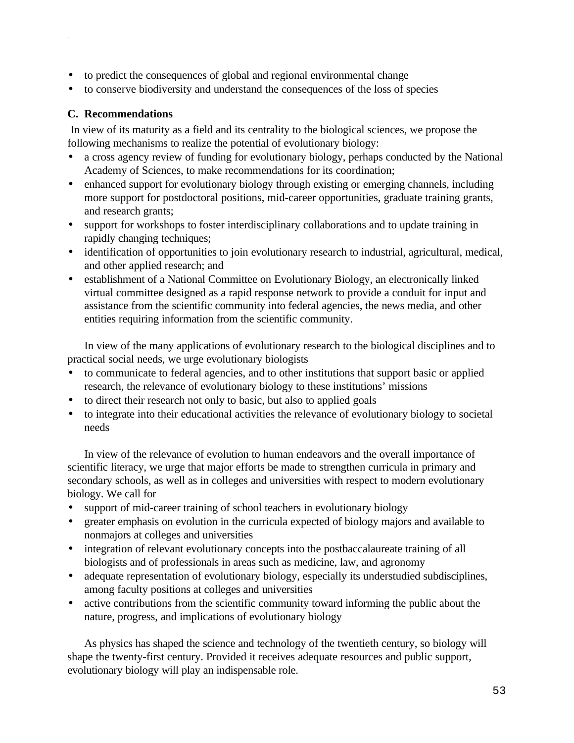- to predict the consequences of global and regional environmental change
- to conserve biodiversity and understand the consequences of the loss of species

## **C. Recommendations**

.

 In view of its maturity as a field and its centrality to the biological sciences, we propose the following mechanisms to realize the potential of evolutionary biology:

- a cross agency review of funding for evolutionary biology, perhaps conducted by the National Academy of Sciences, to make recommendations for its coordination;
- enhanced support for evolutionary biology through existing or emerging channels, including more support for postdoctoral positions, mid-career opportunities, graduate training grants, and research grants;
- support for workshops to foster interdisciplinary collaborations and to update training in rapidly changing techniques;
- identification of opportunities to join evolutionary research to industrial, agricultural, medical, and other applied research; and
- establishment of a National Committee on Evolutionary Biology, an electronically linked virtual committee designed as a rapid response network to provide a conduit for input and assistance from the scientific community into federal agencies, the news media, and other entities requiring information from the scientific community.

In view of the many applications of evolutionary research to the biological disciplines and to practical social needs, we urge evolutionary biologists

- to communicate to federal agencies, and to other institutions that support basic or applied research, the relevance of evolutionary biology to these institutions' missions
- to direct their research not only to basic, but also to applied goals
- to integrate into their educational activities the relevance of evolutionary biology to societal needs

In view of the relevance of evolution to human endeavors and the overall importance of scientific literacy, we urge that major efforts be made to strengthen curricula in primary and secondary schools, as well as in colleges and universities with respect to modern evolutionary biology. We call for

- support of mid-career training of school teachers in evolutionary biology
- greater emphasis on evolution in the curricula expected of biology majors and available to nonmajors at colleges and universities
- integration of relevant evolutionary concepts into the postbaccalaureate training of all biologists and of professionals in areas such as medicine, law, and agronomy
- adequate representation of evolutionary biology, especially its understudied subdisciplines, among faculty positions at colleges and universities
- active contributions from the scientific community toward informing the public about the nature, progress, and implications of evolutionary biology

As physics has shaped the science and technology of the twentieth century, so biology will shape the twenty-first century. Provided it receives adequate resources and public support, evolutionary biology will play an indispensable role.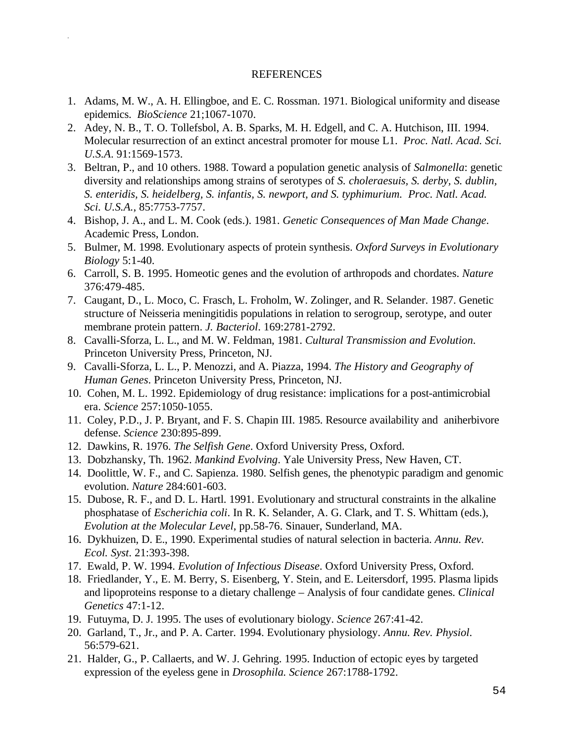#### REFERENCES

.

- 1. Adams, M. W., A. H. Ellingboe, and E. C. Rossman. 1971. Biological uniformity and disease epidemics. *BioScience* 21;1067-1070.
- 2. Adey, N. B., T. O. Tollefsbol, A. B. Sparks, M. H. Edgell, and C. A. Hutchison, III. 1994. Molecular resurrection of an extinct ancestral promoter for mouse L1. *Proc. Natl. Acad. Sci. U.S.A*. 91:1569-1573.
- 3. Beltran, P., and 10 others. 1988. Toward a population genetic analysis of *Salmonella*: genetic diversity and relationships among strains of serotypes of *S. choleraesuis, S. derby, S. dublin, S. enteridis, S. heidelberg, S. infantis, S. newport, and S. typhimurium. Proc. Natl. Acad. Sci. U.S.A.*, 85:7753-7757.
- 4. Bishop, J. A., and L. M. Cook (eds.). 1981. *Genetic Consequences of Man Made Change*. Academic Press, London.
- 5. Bulmer, M. 1998. Evolutionary aspects of protein synthesis. *Oxford Surveys in Evolutionary Biology* 5:1-40.
- 6. Carroll, S. B. 1995. Homeotic genes and the evolution of arthropods and chordates. *Nature* 376:479-485.
- 7. Caugant, D., L. Moco, C. Frasch, L. Froholm, W. Zolinger, and R. Selander. 1987. Genetic structure of Neisseria meningitidis populations in relation to serogroup, serotype, and outer membrane protein pattern. *J. Bacteriol*. 169:2781-2792.
- 8. Cavalli-Sforza, L. L., and M. W. Feldman, 1981. *Cultural Transmission and Evolution*. Princeton University Press, Princeton, NJ.
- 9. Cavalli-Sforza, L. L., P. Menozzi, and A. Piazza, 1994. *The History and Geography of Human Genes*. Princeton University Press, Princeton, NJ.
- 10. Cohen, M. L. 1992. Epidemiology of drug resistance: implications for a post-antimicrobial era. *Science* 257:1050-1055.
- 11. Coley, P.D., J. P. Bryant, and F. S. Chapin III. 1985. Resource availability and aniherbivore defense. *Science* 230:895-899.
- 12. Dawkins, R. 1976. *The Selfish Gene*. Oxford University Press, Oxford.
- 13. Dobzhansky, Th. 1962. *Mankind Evolving*. Yale University Press, New Haven, CT.
- 14. Doolittle, W. F., and C. Sapienza. 1980. Selfish genes, the phenotypic paradigm and genomic evolution. *Nature* 284:601-603.
- 15. Dubose, R. F., and D. L. Hartl. 1991. Evolutionary and structural constraints in the alkaline phosphatase of *Escherichia coli*. In R. K. Selander, A. G. Clark, and T. S. Whittam (eds.), *Evolution at the Molecular Level*, pp.58-76. Sinauer, Sunderland, MA.
- 16. Dykhuizen, D. E., 1990. Experimental studies of natural selection in bacteria. *Annu. Rev. Ecol. Syst*. 21:393-398.
- 17. Ewald, P. W. 1994. *Evolution of Infectious Disease*. Oxford University Press, Oxford.
- 18. Friedlander, Y., E. M. Berry, S. Eisenberg, Y. Stein, and E. Leitersdorf, 1995. Plasma lipids and lipoproteins response to a dietary challenge – Analysis of four candidate genes. *Clinical Genetics* 47:1-12.
- 19. Futuyma, D. J. 1995. The uses of evolutionary biology. *Science* 267:41-42.
- 20. Garland, T., Jr., and P. A. Carter. 1994. Evolutionary physiology. *Annu. Rev. Physiol*. 56:579-621.
- 21. Halder, G., P. Callaerts, and W. J. Gehring. 1995. Induction of ectopic eyes by targeted expression of the eyeless gene in *Drosophila. Science* 267:1788-1792.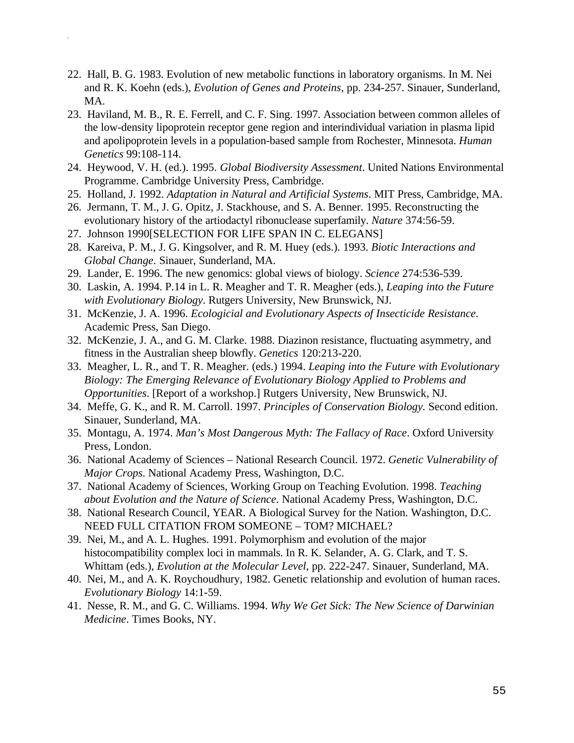- 22. Hall, B. G. 1983. Evolution of new metabolic functions in laboratory organisms. In M. Nei and R. K. Koehn (eds.), *Evolution of Genes and Proteins,* pp. 234-257. Sinauer, Sunderland, MA.
- 23. Haviland, M. B., R. E. Ferrell, and C. F. Sing. 1997. Association between common alleles of the low-density lipoprotein receptor gene region and interindividual variation in plasma lipid and apolipoprotein levels in a population-based sample from Rochester, Minnesota. *Human Genetics* 99:108-114.
- 24. Heywood, V. H. (ed.). 1995. *Global Biodiversity Assessment*. United Nations Environmental Programme. Cambridge University Press, Cambridge.
- 25. Holland, J. 1992. *Adaptation in Natural and Artificial Systems*. MIT Press, Cambridge, MA.
- 26. Jermann, T. M., J. G. Opitz, J. Stackhouse, and S. A. Benner. 1995. Reconstructing the evolutionary history of the artiodactyl ribonuclease superfamily. *Nature* 374:56-59.
- 27. Johnson 1990[SELECTION FOR LIFE SPAN IN C. ELEGANS]

.

- 28. Kareiva, P. M., J. G. Kingsolver, and R. M. Huey (eds.). 1993. *Biotic Interactions and Global Change*. Sinauer, Sunderland, MA.
- 29. Lander, E. 1996. The new genomics: global views of biology. *Science* 274:536-539.
- 30. Laskin, A. 1994. P.14 in L. R. Meagher and T. R. Meagher (eds.), *Leaping into the Future with Evolutionary Biology*. Rutgers University, New Brunswick, NJ.
- 31. McKenzie, J. A. 1996. *Ecologicial and Evolutionary Aspects of Insecticide Resistance*. Academic Press, San Diego.
- 32. McKenzie, J. A., and G. M. Clarke. 1988. Diazinon resistance, fluctuating asymmetry, and fitness in the Australian sheep blowfly. *Genetics* 120:213-220.
- 33. Meagher, L. R., and T. R. Meagher. (eds.) 1994. *Leaping into the Future with Evolutionary Biology: The Emerging Relevance of Evolutionary Biology Applied to Problems and Opportunities*. [Report of a workshop.] Rutgers University, New Brunswick, NJ.
- 34. Meffe, G. K., and R. M. Carroll. 1997. *Principles of Conservation Biology.* Second edition. Sinauer, Sunderland, MA.
- 35. Montagu, A. 1974. *Man's Most Dangerous Myth: The Fallacy of Race*. Oxford University Press, London.
- 36. National Academy of Sciences National Research Council. 1972. *Genetic Vulnerability of Major Crops*. National Academy Press, Washington, D.C.
- 37. National Academy of Sciences, Working Group on Teaching Evolution. 1998. *Teaching about Evolution and the Nature of Science*. National Academy Press, Washington, D.C.
- 38. National Research Council, YEAR. A Biological Survey for the Nation. Washington, D.C. NEED FULL CITATION FROM SOMEONE – TOM? MICHAEL?
- 39. Nei, M., and A. L. Hughes. 1991. Polymorphism and evolution of the major histocompatibility complex loci in mammals. In R. K. Selander, A. G. Clark, and T. S. Whittam (eds.), *Evolution at the Molecular Level*, pp. 222-247. Sinauer, Sunderland, MA.
- 40. Nei, M., and A. K. Roychoudhury, 1982. Genetic relationship and evolution of human races. *Evolutionary Biology* 14:1-59.
- 41. Nesse, R. M., and G. C. Williams. 1994. *Why We Get Sick: The New Science of Darwinian Medicine*. Times Books, NY.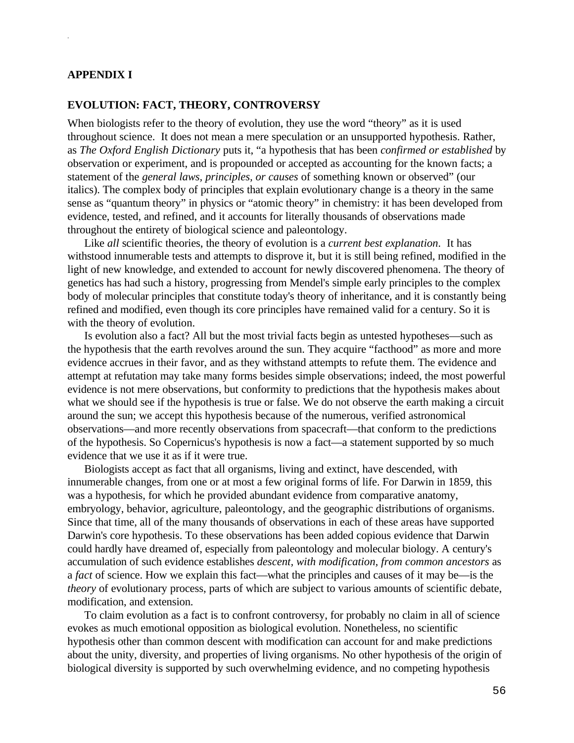### **APPENDIX I**

.

### **EVOLUTION: FACT, THEORY, CONTROVERSY**

When biologists refer to the theory of evolution, they use the word "theory" as it is used throughout science. It does not mean a mere speculation or an unsupported hypothesis. Rather, as *The Oxford English Dictionary* puts it, "a hypothesis that has been *confirmed or established* by observation or experiment, and is propounded or accepted as accounting for the known facts; a statement of the *general laws, principles, or causes* of something known or observed" (our italics). The complex body of principles that explain evolutionary change is a theory in the same sense as "quantum theory" in physics or "atomic theory" in chemistry: it has been developed from evidence, tested, and refined, and it accounts for literally thousands of observations made throughout the entirety of biological science and paleontology.

Like *all* scientific theories, the theory of evolution is a *current best explanation*. It has withstood innumerable tests and attempts to disprove it, but it is still being refined, modified in the light of new knowledge, and extended to account for newly discovered phenomena. The theory of genetics has had such a history, progressing from Mendel's simple early principles to the complex body of molecular principles that constitute today's theory of inheritance, and it is constantly being refined and modified, even though its core principles have remained valid for a century. So it is with the theory of evolution.

Is evolution also a fact? All but the most trivial facts begin as untested hypotheses—such as the hypothesis that the earth revolves around the sun. They acquire "facthood" as more and more evidence accrues in their favor, and as they withstand attempts to refute them. The evidence and attempt at refutation may take many forms besides simple observations; indeed, the most powerful evidence is not mere observations, but conformity to predictions that the hypothesis makes about what we should see if the hypothesis is true or false. We do not observe the earth making a circuit around the sun; we accept this hypothesis because of the numerous, verified astronomical observations—and more recently observations from spacecraft—that conform to the predictions of the hypothesis. So Copernicus's hypothesis is now a fact—a statement supported by so much evidence that we use it as if it were true.

Biologists accept as fact that all organisms, living and extinct, have descended, with innumerable changes, from one or at most a few original forms of life. For Darwin in 1859, this was a hypothesis, for which he provided abundant evidence from comparative anatomy, embryology, behavior, agriculture, paleontology, and the geographic distributions of organisms. Since that time, all of the many thousands of observations in each of these areas have supported Darwin's core hypothesis. To these observations has been added copious evidence that Darwin could hardly have dreamed of, especially from paleontology and molecular biology. A century's accumulation of such evidence establishes *descent, with modification, from common ancestors* as a *fact* of science. How we explain this fact—what the principles and causes of it may be—is the *theory* of evolutionary process, parts of which are subject to various amounts of scientific debate, modification, and extension.

To claim evolution as a fact is to confront controversy, for probably no claim in all of science evokes as much emotional opposition as biological evolution. Nonetheless, no scientific hypothesis other than common descent with modification can account for and make predictions about the unity, diversity, and properties of living organisms. No other hypothesis of the origin of biological diversity is supported by such overwhelming evidence, and no competing hypothesis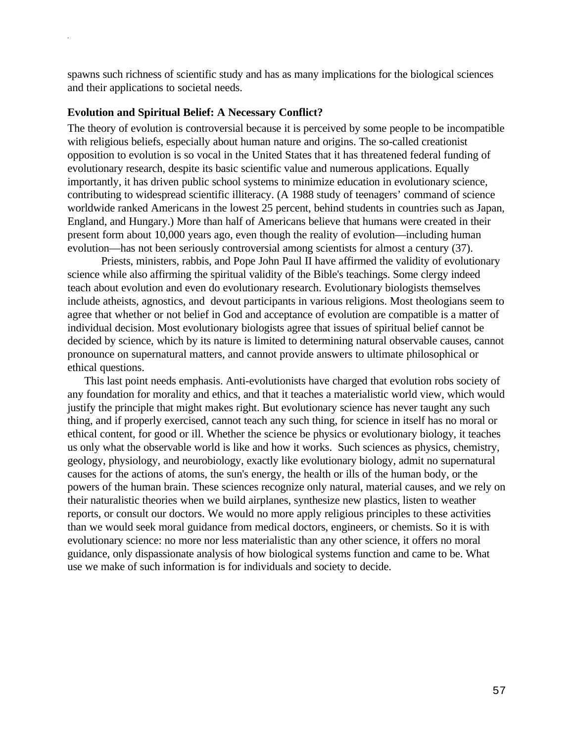spawns such richness of scientific study and has as many implications for the biological sciences and their applications to societal needs.

### **Evolution and Spiritual Belief: A Necessary Conflict?**

.

The theory of evolution is controversial because it is perceived by some people to be incompatible with religious beliefs, especially about human nature and origins. The so-called creationist opposition to evolution is so vocal in the United States that it has threatened federal funding of evolutionary research, despite its basic scientific value and numerous applications. Equally importantly, it has driven public school systems to minimize education in evolutionary science, contributing to widespread scientific illiteracy. (A 1988 study of teenagers' command of science worldwide ranked Americans in the lowest 25 percent, behind students in countries such as Japan, England, and Hungary.) More than half of Americans believe that humans were created in their present form about 10,000 years ago, even though the reality of evolution—including human evolution—has not been seriously controversial among scientists for almost a century (37).

Priests, ministers, rabbis, and Pope John Paul II have affirmed the validity of evolutionary science while also affirming the spiritual validity of the Bible's teachings. Some clergy indeed teach about evolution and even do evolutionary research. Evolutionary biologists themselves include atheists, agnostics, and devout participants in various religions. Most theologians seem to agree that whether or not belief in God and acceptance of evolution are compatible is a matter of individual decision. Most evolutionary biologists agree that issues of spiritual belief cannot be decided by science, which by its nature is limited to determining natural observable causes, cannot pronounce on supernatural matters, and cannot provide answers to ultimate philosophical or ethical questions.

This last point needs emphasis. Anti-evolutionists have charged that evolution robs society of any foundation for morality and ethics, and that it teaches a materialistic world view, which would justify the principle that might makes right. But evolutionary science has never taught any such thing, and if properly exercised, cannot teach any such thing, for science in itself has no moral or ethical content, for good or ill. Whether the science be physics or evolutionary biology, it teaches us only what the observable world is like and how it works. Such sciences as physics, chemistry, geology, physiology, and neurobiology, exactly like evolutionary biology, admit no supernatural causes for the actions of atoms, the sun's energy, the health or ills of the human body, or the powers of the human brain. These sciences recognize only natural, material causes, and we rely on their naturalistic theories when we build airplanes, synthesize new plastics, listen to weather reports, or consult our doctors. We would no more apply religious principles to these activities than we would seek moral guidance from medical doctors, engineers, or chemists. So it is with evolutionary science: no more nor less materialistic than any other science, it offers no moral guidance, only dispassionate analysis of how biological systems function and came to be. What use we make of such information is for individuals and society to decide.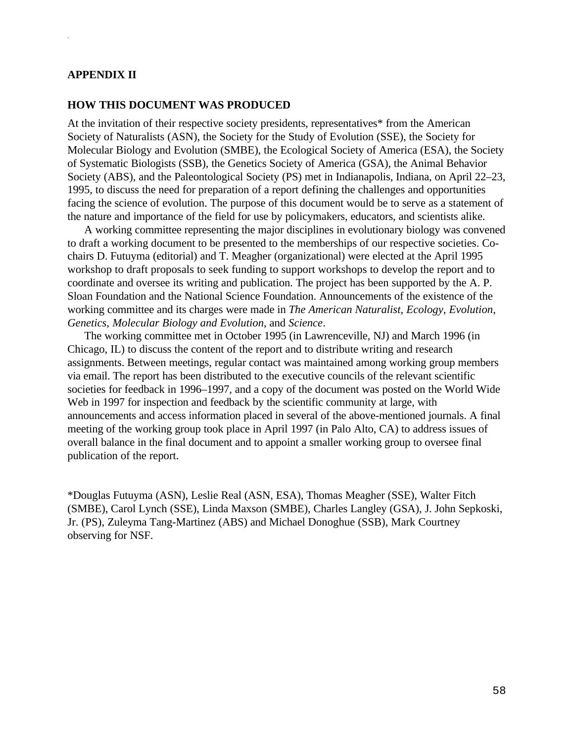## **APPENDIX II**

.

#### **HOW THIS DOCUMENT WAS PRODUCED**

At the invitation of their respective society presidents, representatives\* from the American Society of Naturalists (ASN), the Society for the Study of Evolution (SSE), the Society for Molecular Biology and Evolution (SMBE), the Ecological Society of America (ESA), the Society of Systematic Biologists (SSB), the Genetics Society of America (GSA), the Animal Behavior Society (ABS), and the Paleontological Society (PS) met in Indianapolis, Indiana, on April 22–23, 1995, to discuss the need for preparation of a report defining the challenges and opportunities facing the science of evolution. The purpose of this document would be to serve as a statement of the nature and importance of the field for use by policymakers, educators, and scientists alike.

A working committee representing the major disciplines in evolutionary biology was convened to draft a working document to be presented to the memberships of our respective societies. Cochairs D. Futuyma (editorial) and T. Meagher (organizational) were elected at the April 1995 workshop to draft proposals to seek funding to support workshops to develop the report and to coordinate and oversee its writing and publication. The project has been supported by the A. P. Sloan Foundation and the National Science Foundation. Announcements of the existence of the working committee and its charges were made in *The American Naturalist*, *Ecology*, *Evolution*, *Genetics*, *Molecular Biology and Evolution*, and *Science*.

The working committee met in October 1995 (in Lawrenceville, NJ) and March 1996 (in Chicago, IL) to discuss the content of the report and to distribute writing and research assignments. Between meetings, regular contact was maintained among working group members via email. The report has been distributed to the executive councils of the relevant scientific societies for feedback in 1996–1997, and a copy of the document was posted on the World Wide Web in 1997 for inspection and feedback by the scientific community at large, with announcements and access information placed in several of the above-mentioned journals. A final meeting of the working group took place in April 1997 (in Palo Alto, CA) to address issues of overall balance in the final document and to appoint a smaller working group to oversee final publication of the report.

\*Douglas Futuyma (ASN), Leslie Real (ASN, ESA), Thomas Meagher (SSE), Walter Fitch (SMBE), Carol Lynch (SSE), Linda Maxson (SMBE), Charles Langley (GSA), J. John Sepkoski, Jr. (PS), Zuleyma Tang-Martinez (ABS) and Michael Donoghue (SSB), Mark Courtney observing for NSF.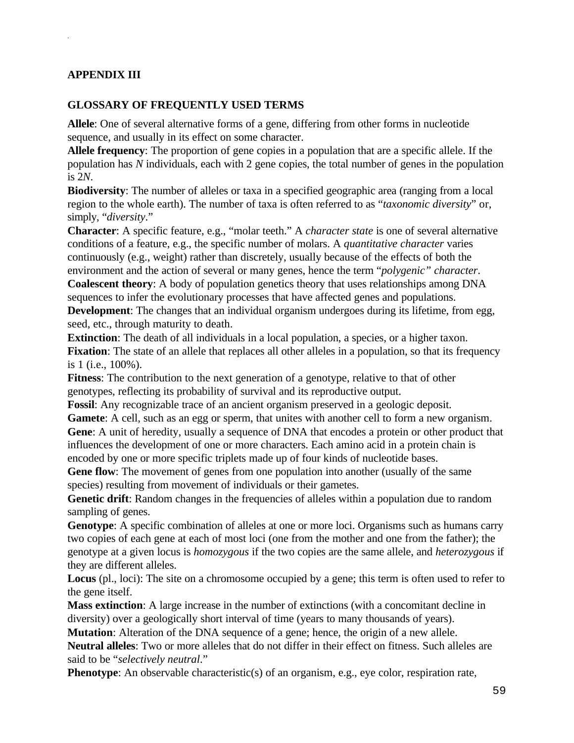## **APPENDIX III**

.

## **GLOSSARY OF FREQUENTLY USED TERMS**

**Allele**: One of several alternative forms of a gene, differing from other forms in nucleotide sequence, and usually in its effect on some character.

**Allele frequency**: The proportion of gene copies in a population that are a specific allele. If the population has *N* individuals, each with 2 gene copies, the total number of genes in the population is 2*N*.

**Biodiversity**: The number of alleles or taxa in a specified geographic area (ranging from a local region to the whole earth). The number of taxa is often referred to as "*taxonomic diversity*" or, simply, "*diversity*."

**Character**: A specific feature, e.g., "molar teeth." A *character state* is one of several alternative conditions of a feature, e.g., the specific number of molars. A *quantitative character* varies continuously (e.g., weight) rather than discretely, usually because of the effects of both the environment and the action of several or many genes, hence the term "*polygenic" character*.

**Coalescent theory**: A body of population genetics theory that uses relationships among DNA sequences to infer the evolutionary processes that have affected genes and populations. **Development**: The changes that an individual organism undergoes during its lifetime, from egg, seed, etc., through maturity to death.

**Extinction**: The death of all individuals in a local population, a species, or a higher taxon. **Fixation**: The state of an allele that replaces all other alleles in a population, so that its frequency is 1 (i.e., 100%).

**Fitness**: The contribution to the next generation of a genotype, relative to that of other genotypes, reflecting its probability of survival and its reproductive output.

**Fossil**: Any recognizable trace of an ancient organism preserved in a geologic deposit.

**Gamete**: A cell, such as an egg or sperm, that unites with another cell to form a new organism. **Gene**: A unit of heredity, usually a sequence of DNA that encodes a protein or other product that influences the development of one or more characters. Each amino acid in a protein chain is encoded by one or more specific triplets made up of four kinds of nucleotide bases.

**Gene flow**: The movement of genes from one population into another (usually of the same species) resulting from movement of individuals or their gametes.

Genetic drift: Random changes in the frequencies of alleles within a population due to random sampling of genes.

**Genotype**: A specific combination of alleles at one or more loci. Organisms such as humans carry two copies of each gene at each of most loci (one from the mother and one from the father); the genotype at a given locus is *homozygous* if the two copies are the same allele, and *heterozygous* if they are different alleles.

**Locus** (pl., loci): The site on a chromosome occupied by a gene; this term is often used to refer to the gene itself.

**Mass extinction**: A large increase in the number of extinctions (with a concomitant decline in diversity) over a geologically short interval of time (years to many thousands of years).

**Mutation**: Alteration of the DNA sequence of a gene; hence, the origin of a new allele. **Neutral alleles**: Two or more alleles that do not differ in their effect on fitness. Such alleles are said to be "*selectively neutral*."

**Phenotype**: An observable characteristic(s) of an organism, e.g., eye color, respiration rate,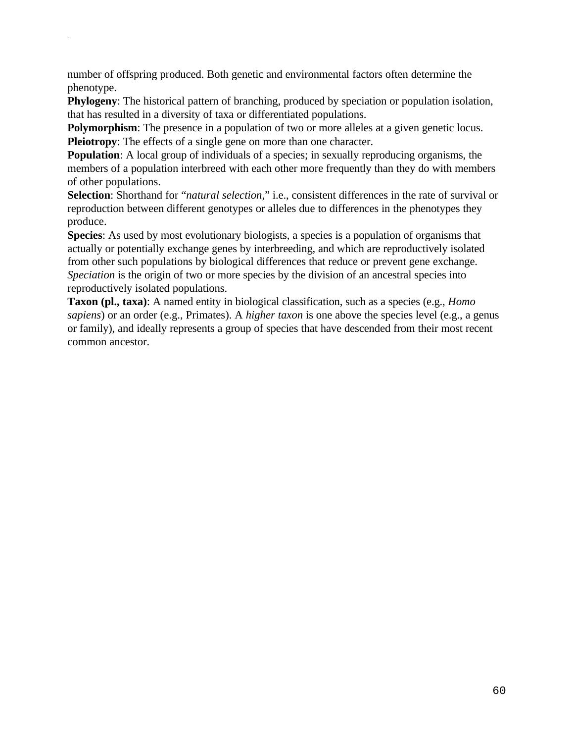number of offspring produced. Both genetic and environmental factors often determine the phenotype.

.

**Phylogeny:** The historical pattern of branching, produced by speciation or population isolation, that has resulted in a diversity of taxa or differentiated populations.

**Polymorphism**: The presence in a population of two or more alleles at a given genetic locus. **Pleiotropy**: The effects of a single gene on more than one character.

**Population:** A local group of individuals of a species; in sexually reproducing organisms, the members of a population interbreed with each other more frequently than they do with members of other populations.

**Selection**: Shorthand for "*natural selection*," i.e., consistent differences in the rate of survival or reproduction between different genotypes or alleles due to differences in the phenotypes they produce.

**Species**: As used by most evolutionary biologists, a species is a population of organisms that actually or potentially exchange genes by interbreeding, and which are reproductively isolated from other such populations by biological differences that reduce or prevent gene exchange. *Speciation* is the origin of two or more species by the division of an ancestral species into reproductively isolated populations.

**Taxon (pl., taxa)**: A named entity in biological classification, such as a species (e.g., *Homo sapiens*) or an order (e.g., Primates). A *higher taxon* is one above the species level (e.g., a genus or family), and ideally represents a group of species that have descended from their most recent common ancestor.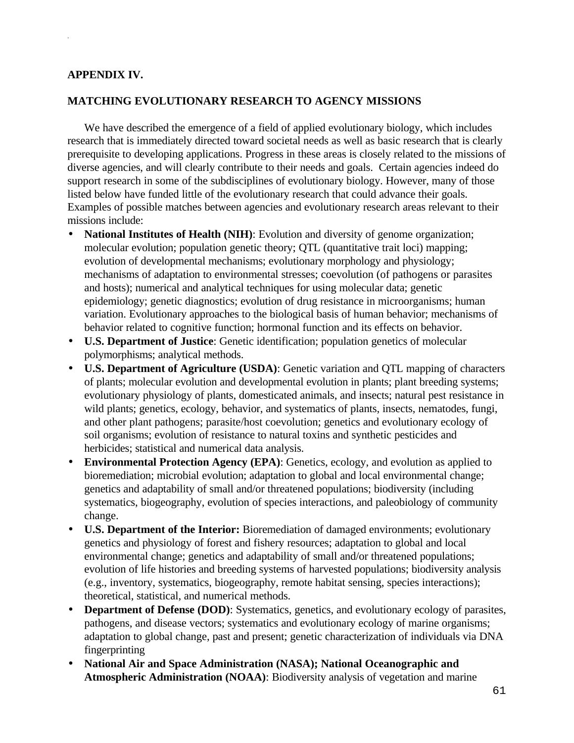## **APPENDIX IV.**

.

## **MATCHING EVOLUTIONARY RESEARCH TO AGENCY MISSIONS**

We have described the emergence of a field of applied evolutionary biology, which includes research that is immediately directed toward societal needs as well as basic research that is clearly prerequisite to developing applications. Progress in these areas is closely related to the missions of diverse agencies, and will clearly contribute to their needs and goals. Certain agencies indeed do support research in some of the subdisciplines of evolutionary biology. However, many of those listed below have funded little of the evolutionary research that could advance their goals. Examples of possible matches between agencies and evolutionary research areas relevant to their missions include:

- **National Institutes of Health (NIH)**: Evolution and diversity of genome organization; molecular evolution; population genetic theory; QTL (quantitative trait loci) mapping; evolution of developmental mechanisms; evolutionary morphology and physiology; mechanisms of adaptation to environmental stresses; coevolution (of pathogens or parasites and hosts); numerical and analytical techniques for using molecular data; genetic epidemiology; genetic diagnostics; evolution of drug resistance in microorganisms; human variation. Evolutionary approaches to the biological basis of human behavior; mechanisms of behavior related to cognitive function; hormonal function and its effects on behavior.
- **U.S. Department of Justice**: Genetic identification; population genetics of molecular polymorphisms; analytical methods.
- **U.S. Department of Agriculture (USDA)**: Genetic variation and QTL mapping of characters of plants; molecular evolution and developmental evolution in plants; plant breeding systems; evolutionary physiology of plants, domesticated animals, and insects; natural pest resistance in wild plants; genetics, ecology, behavior, and systematics of plants, insects, nematodes, fungi, and other plant pathogens; parasite/host coevolution; genetics and evolutionary ecology of soil organisms; evolution of resistance to natural toxins and synthetic pesticides and herbicides; statistical and numerical data analysis.
- **Environmental Protection Agency (EPA)**: Genetics, ecology, and evolution as applied to bioremediation; microbial evolution; adaptation to global and local environmental change; genetics and adaptability of small and/or threatened populations; biodiversity (including systematics, biogeography, evolution of species interactions, and paleobiology of community change.
- **U.S. Department of the Interior:** Bioremediation of damaged environments; evolutionary genetics and physiology of forest and fishery resources; adaptation to global and local environmental change; genetics and adaptability of small and/or threatened populations; evolution of life histories and breeding systems of harvested populations; biodiversity analysis (e.g., inventory, systematics, biogeography, remote habitat sensing, species interactions); theoretical, statistical, and numerical methods.
- **Department of Defense (DOD)**: Systematics, genetics, and evolutionary ecology of parasites, pathogens, and disease vectors; systematics and evolutionary ecology of marine organisms; adaptation to global change, past and present; genetic characterization of individuals via DNA fingerprinting
- **National Air and Space Administration (NASA); National Oceanographic and Atmospheric Administration (NOAA)**: Biodiversity analysis of vegetation and marine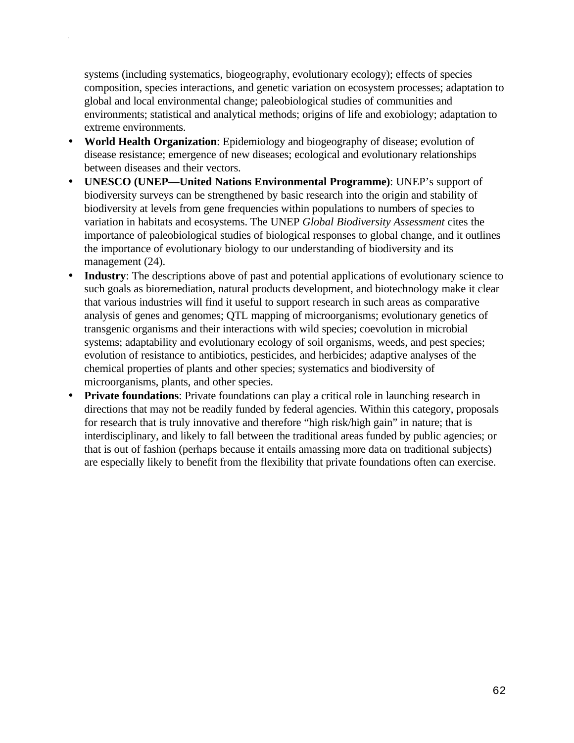systems (including systematics, biogeography, evolutionary ecology); effects of species composition, species interactions, and genetic variation on ecosystem processes; adaptation to global and local environmental change; paleobiological studies of communities and environments; statistical and analytical methods; origins of life and exobiology; adaptation to extreme environments.

• **World Health Organization**: Epidemiology and biogeography of disease; evolution of disease resistance; emergence of new diseases; ecological and evolutionary relationships between diseases and their vectors.

.

- **UNESCO (UNEP—United Nations Environmental Programme)**: UNEP's support of biodiversity surveys can be strengthened by basic research into the origin and stability of biodiversity at levels from gene frequencies within populations to numbers of species to variation in habitats and ecosystems. The UNEP *Global Biodiversity Assessment* cites the importance of paleobiological studies of biological responses to global change, and it outlines the importance of evolutionary biology to our understanding of biodiversity and its management (24).
- **Industry:** The descriptions above of past and potential applications of evolutionary science to such goals as bioremediation, natural products development, and biotechnology make it clear that various industries will find it useful to support research in such areas as comparative analysis of genes and genomes; QTL mapping of microorganisms; evolutionary genetics of transgenic organisms and their interactions with wild species; coevolution in microbial systems; adaptability and evolutionary ecology of soil organisms, weeds, and pest species; evolution of resistance to antibiotics, pesticides, and herbicides; adaptive analyses of the chemical properties of plants and other species; systematics and biodiversity of microorganisms, plants, and other species.
- **Private foundations**: Private foundations can play a critical role in launching research in directions that may not be readily funded by federal agencies. Within this category, proposals for research that is truly innovative and therefore "high risk/high gain" in nature; that is interdisciplinary, and likely to fall between the traditional areas funded by public agencies; or that is out of fashion (perhaps because it entails amassing more data on traditional subjects) are especially likely to benefit from the flexibility that private foundations often can exercise.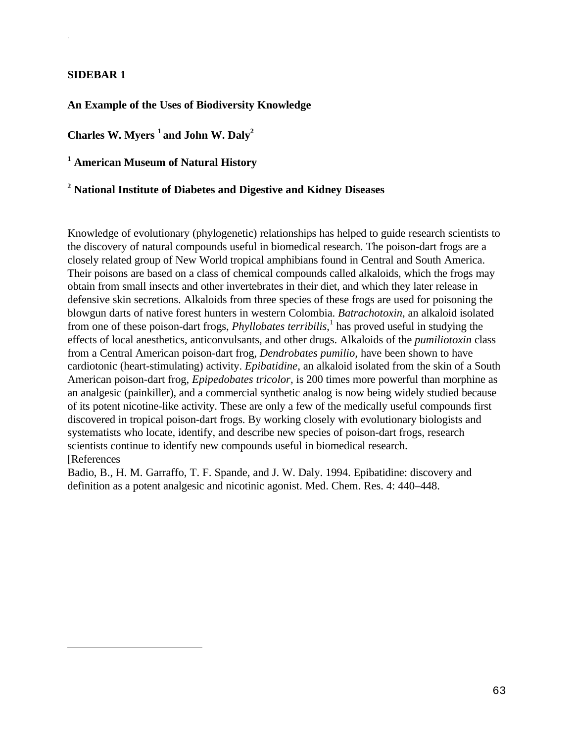.

 $\overline{\phantom{0}}$ 

## **An Example of the Uses of Biodiversity Knowledge**

**Charles W. Myers <sup>1</sup>and John W. Daly<sup>2</sup>**

**1 American Museum of Natural History**

## **2 National Institute of Diabetes and Digestive and Kidney Diseases**

Knowledge of evolutionary (phylogenetic) relationships has helped to guide research scientists to the discovery of natural compounds useful in biomedical research. The poison-dart frogs are a closely related group of New World tropical amphibians found in Central and South America. Their poisons are based on a class of chemical compounds called alkaloids, which the frogs may obtain from small insects and other invertebrates in their diet, and which they later release in defensive skin secretions. Alkaloids from three species of these frogs are used for poisoning the blowgun darts of native forest hunters in western Colombia. *Batrachotoxin*, an alkaloid isolated from one of these poison-dart frogs, *Phyllobates terribilis*, 1 has proved useful in studying the effects of local anesthetics, anticonvulsants, and other drugs. Alkaloids of the *pumiliotoxin* class from a Central American poison-dart frog, *Dendrobates pumilio,* have been shown to have cardiotonic (heart-stimulating) activity. *Epibatidine*, an alkaloid isolated from the skin of a South American poison-dart frog, *Epipedobates tricolor,* is 200 times more powerful than morphine as an analgesic (painkiller), and a commercial synthetic analog is now being widely studied because of its potent nicotine-like activity. These are only a few of the medically useful compounds first discovered in tropical poison-dart frogs. By working closely with evolutionary biologists and systematists who locate, identify, and describe new species of poison-dart frogs, research scientists continue to identify new compounds useful in biomedical research. [References]

Badio, B., H. M. Garraffo, T. F. Spande, and J. W. Daly. 1994. Epibatidine: discovery and definition as a potent analgesic and nicotinic agonist. Med. Chem. Res. 4: 440–448.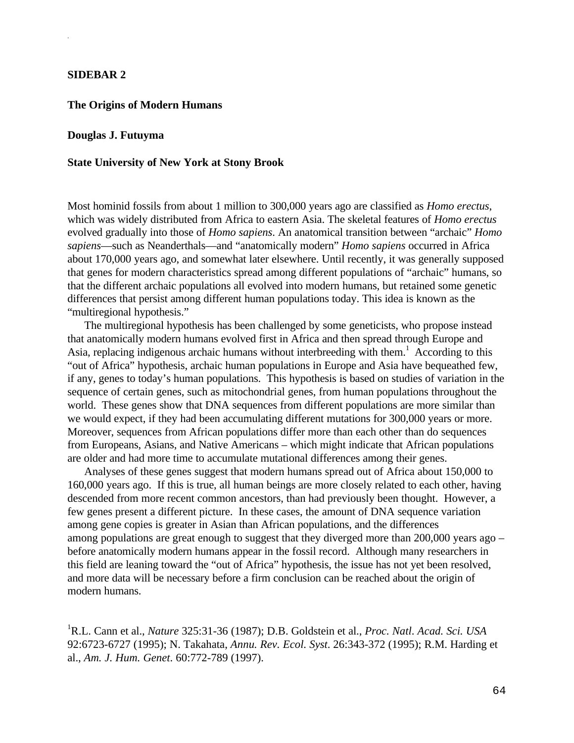.

### **The Origins of Modern Humans**

### **Douglas J. Futuyma**

### **State University of New York at Stony Brook**

Most hominid fossils from about 1 million to 300,000 years ago are classified as *Homo erectus*, which was widely distributed from Africa to eastern Asia. The skeletal features of *Homo erectus* evolved gradually into those of *Homo sapiens*. An anatomical transition between "archaic" *Homo sapiens*—such as Neanderthals—and "anatomically modern" *Homo sapiens* occurred in Africa about 170,000 years ago, and somewhat later elsewhere. Until recently, it was generally supposed that genes for modern characteristics spread among different populations of "archaic" humans, so that the different archaic populations all evolved into modern humans, but retained some genetic differences that persist among different human populations today. This idea is known as the "multiregional hypothesis."

The multiregional hypothesis has been challenged by some geneticists, who propose instead that anatomically modern humans evolved first in Africa and then spread through Europe and Asia, replacing indigenous archaic humans without interbreeding with them.<sup>1</sup> According to this "out of Africa" hypothesis, archaic human populations in Europe and Asia have bequeathed few, if any, genes to today's human populations. This hypothesis is based on studies of variation in the sequence of certain genes, such as mitochondrial genes, from human populations throughout the world. These genes show that DNA sequences from different populations are more similar than we would expect, if they had been accumulating different mutations for 300,000 years or more. Moreover, sequences from African populations differ more than each other than do sequences from Europeans, Asians, and Native Americans – which might indicate that African populations are older and had more time to accumulate mutational differences among their genes.

Analyses of these genes suggest that modern humans spread out of Africa about 150,000 to 160,000 years ago. If this is true, all human beings are more closely related to each other, having descended from more recent common ancestors, than had previously been thought. However, a few genes present a different picture. In these cases, the amount of DNA sequence variation among gene copies is greater in Asian than African populations, and the differences among populations are great enough to suggest that they diverged more than 200,000 years ago – before anatomically modern humans appear in the fossil record. Although many researchers in this field are leaning toward the "out of Africa" hypothesis, the issue has not yet been resolved, and more data will be necessary before a firm conclusion can be reached about the origin of modern humans.

<sup>1</sup>R.L. Cann et al., *Nature* 325:31-36 (1987); D.B. Goldstein et al., *Proc. Natl*. *Acad. Sci. USA* 92:6723-6727 (1995); N. Takahata, *Annu. Rev. Ecol. Syst*. 26:343-372 (1995); R.M. Harding et al., *Am. J. Hum. Genet*. 60:772-789 (1997).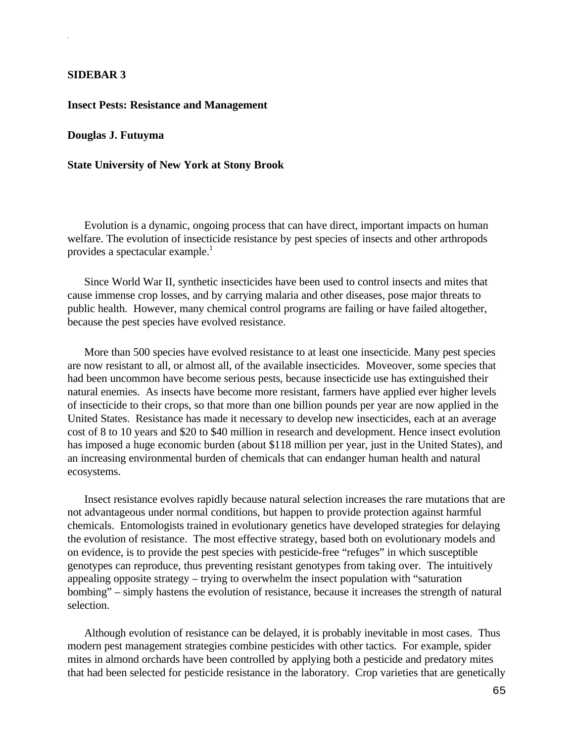.

**Insect Pests: Resistance and Management**

### **Douglas J. Futuyma**

### **State University of New York at Stony Brook**

Evolution is a dynamic, ongoing process that can have direct, important impacts on human welfare. The evolution of insecticide resistance by pest species of insects and other arthropods provides a spectacular example.<sup>1</sup>

Since World War II, synthetic insecticides have been used to control insects and mites that cause immense crop losses, and by carrying malaria and other diseases, pose major threats to public health. However, many chemical control programs are failing or have failed altogether, because the pest species have evolved resistance.

More than 500 species have evolved resistance to at least one insecticide. Many pest species are now resistant to all, or almost all, of the available insecticides. Moveover, some species that had been uncommon have become serious pests, because insecticide use has extinguished their natural enemies. As insects have become more resistant, farmers have applied ever higher levels of insecticide to their crops, so that more than one billion pounds per year are now applied in the United States. Resistance has made it necessary to develop new insecticides, each at an average cost of 8 to 10 years and \$20 to \$40 million in research and development. Hence insect evolution has imposed a huge economic burden (about \$118 million per year, just in the United States), and an increasing environmental burden of chemicals that can endanger human health and natural ecosystems.

Insect resistance evolves rapidly because natural selection increases the rare mutations that are not advantageous under normal conditions, but happen to provide protection against harmful chemicals. Entomologists trained in evolutionary genetics have developed strategies for delaying the evolution of resistance. The most effective strategy, based both on evolutionary models and on evidence, is to provide the pest species with pesticide-free "refuges" in which susceptible genotypes can reproduce, thus preventing resistant genotypes from taking over. The intuitively appealing opposite strategy – trying to overwhelm the insect population with "saturation bombing" – simply hastens the evolution of resistance, because it increases the strength of natural selection.

Although evolution of resistance can be delayed, it is probably inevitable in most cases. Thus modern pest management strategies combine pesticides with other tactics. For example, spider mites in almond orchards have been controlled by applying both a pesticide and predatory mites that had been selected for pesticide resistance in the laboratory. Crop varieties that are genetically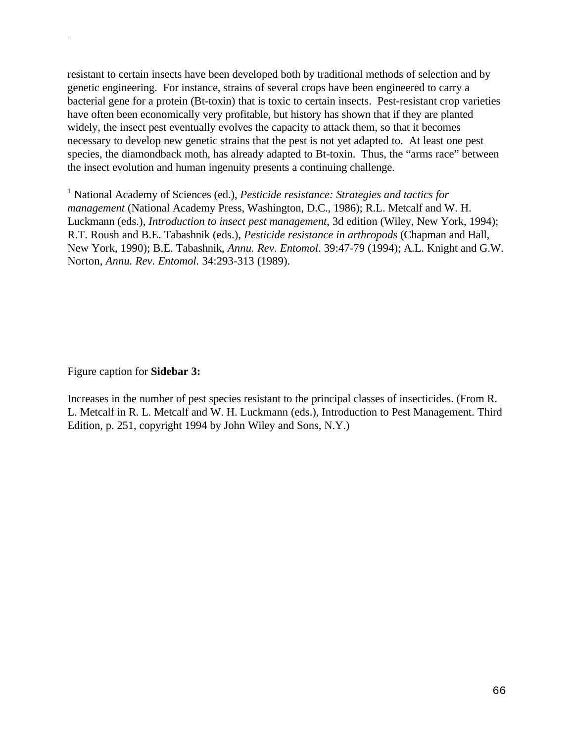resistant to certain insects have been developed both by traditional methods of selection and by genetic engineering. For instance, strains of several crops have been engineered to carry a bacterial gene for a protein (Bt-toxin) that is toxic to certain insects. Pest-resistant crop varieties have often been economically very profitable, but history has shown that if they are planted widely, the insect pest eventually evolves the capacity to attack them, so that it becomes necessary to develop new genetic strains that the pest is not yet adapted to. At least one pest species, the diamondback moth, has already adapted to Bt-toxin. Thus, the "arms race" between the insect evolution and human ingenuity presents a continuing challenge.

<sup>1</sup> National Academy of Sciences (ed.), *Pesticide resistance: Strategies and tactics for management* (National Academy Press, Washington, D.C., 1986); R.L. Metcalf and W. H. Luckmann (eds.), *Introduction to insect pest management*, 3d edition (Wiley, New York, 1994); R.T. Roush and B.E. Tabashnik (eds.), *Pesticide resistance in arthropods* (Chapman and Hall, New York, 1990); B.E. Tabashnik, *Annu. Rev. Entomol*. 39:47-79 (1994); A.L. Knight and G.W. Norton, *Annu. Rev*. *Entomol.* 34:293-313 (1989).

Figure caption for **Sidebar 3:**

.

Increases in the number of pest species resistant to the principal classes of insecticides. (From R. L. Metcalf in R. L. Metcalf and W. H. Luckmann (eds.), Introduction to Pest Management. Third Edition, p. 251, copyright 1994 by John Wiley and Sons, N.Y.)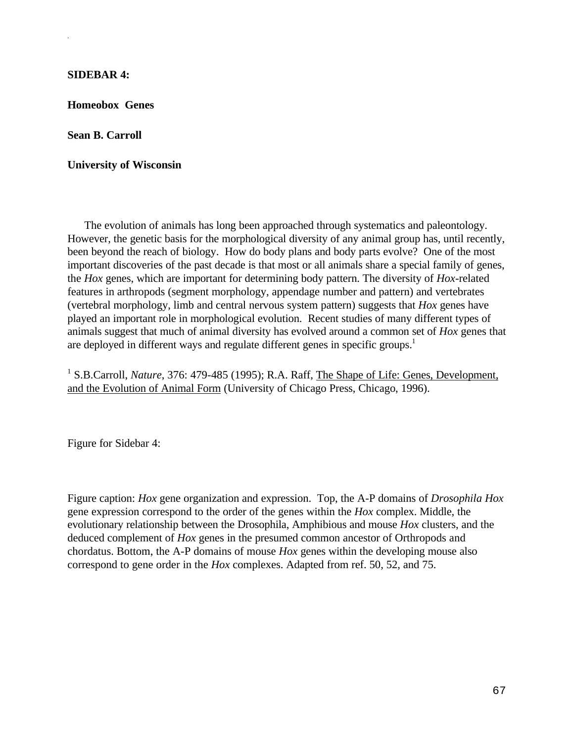### **SIDEBAR 4:**

.

**Homeobox Genes**

**Sean B. Carroll**

**University of Wisconsin**

The evolution of animals has long been approached through systematics and paleontology. However, the genetic basis for the morphological diversity of any animal group has, until recently, been beyond the reach of biology. How do body plans and body parts evolve? One of the most important discoveries of the past decade is that most or all animals share a special family of genes, the *Hox* genes, which are important for determining body pattern. The diversity of *Hox*-related features in arthropods (segment morphology, appendage number and pattern) and vertebrates (vertebral morphology, limb and central nervous system pattern) suggests that *Hox* genes have played an important role in morphological evolution. Recent studies of many different types of animals suggest that much of animal diversity has evolved around a common set of *Hox* genes that are deployed in different ways and regulate different genes in specific groups.<sup>1</sup>

<sup>1</sup> S.B.Carroll, *Nature*, 376: 479-485 (1995); R.A. Raff, *The Shape of Life: Genes, Development,* and the Evolution of Animal Form (University of Chicago Press, Chicago, 1996).

Figure for Sidebar 4:

Figure caption: *Hox* gene organization and expression. Top, the A-P domains of *Drosophila Hox* gene expression correspond to the order of the genes within the *Hox* complex. Middle, the evolutionary relationship between the Drosophila, Amphibious and mouse *Hox* clusters, and the deduced complement of *Hox* genes in the presumed common ancestor of Orthropods and chordatus. Bottom, the A-P domains of mouse *Hox* genes within the developing mouse also correspond to gene order in the *Hox* complexes. Adapted from ref. 50, 52, and 75.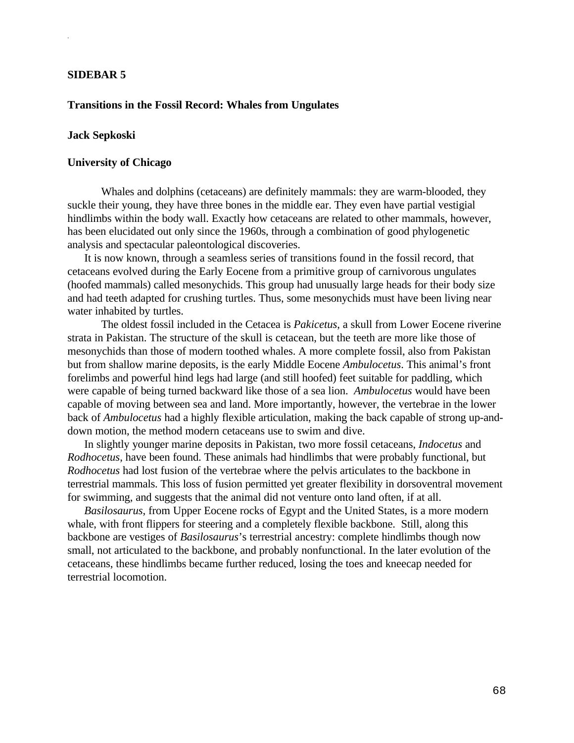.

### **Transitions in the Fossil Record: Whales from Ungulates**

### **Jack Sepkoski**

### **University of Chicago**

Whales and dolphins (cetaceans) are definitely mammals: they are warm-blooded, they suckle their young, they have three bones in the middle ear. They even have partial vestigial hindlimbs within the body wall. Exactly how cetaceans are related to other mammals, however, has been elucidated out only since the 1960s, through a combination of good phylogenetic analysis and spectacular paleontological discoveries.

It is now known, through a seamless series of transitions found in the fossil record, that cetaceans evolved during the Early Eocene from a primitive group of carnivorous ungulates (hoofed mammals) called mesonychids. This group had unusually large heads for their body size and had teeth adapted for crushing turtles. Thus, some mesonychids must have been living near water inhabited by turtles.

The oldest fossil included in the Cetacea is *Pakicetus*, a skull from Lower Eocene riverine strata in Pakistan. The structure of the skull is cetacean, but the teeth are more like those of mesonychids than those of modern toothed whales. A more complete fossil, also from Pakistan but from shallow marine deposits, is the early Middle Eocene *Ambulocetus*. This animal's front forelimbs and powerful hind legs had large (and still hoofed) feet suitable for paddling, which were capable of being turned backward like those of a sea lion. *Ambulocetus* would have been capable of moving between sea and land. More importantly, however, the vertebrae in the lower back of *Ambulocetus* had a highly flexible articulation, making the back capable of strong up-anddown motion, the method modern cetaceans use to swim and dive.

In slightly younger marine deposits in Pakistan, two more fossil cetaceans, *Indocetus* and *Rodhocetus*, have been found. These animals had hindlimbs that were probably functional, but *Rodhocetus* had lost fusion of the vertebrae where the pelvis articulates to the backbone in terrestrial mammals. This loss of fusion permitted yet greater flexibility in dorsoventral movement for swimming, and suggests that the animal did not venture onto land often, if at all.

*Basilosaurus*, from Upper Eocene rocks of Egypt and the United States, is a more modern whale, with front flippers for steering and a completely flexible backbone. Still, along this backbone are vestiges of *Basilosaurus*'s terrestrial ancestry: complete hindlimbs though now small, not articulated to the backbone, and probably nonfunctional. In the later evolution of the cetaceans, these hindlimbs became further reduced, losing the toes and kneecap needed for terrestrial locomotion.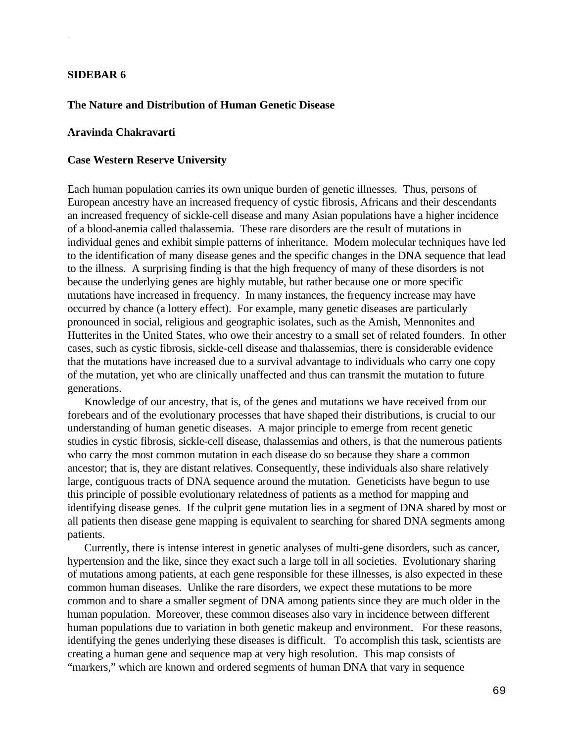.

### **The Nature and Distribution of Human Genetic Disease**

### **Aravinda Chakravarti**

### **Case Western Reserve University**

Each human population carries its own unique burden of genetic illnesses. Thus, persons of European ancestry have an increased frequency of cystic fibrosis, Africans and their descendants an increased frequency of sickle-cell disease and many Asian populations have a higher incidence of a blood-anemia called thalassemia. These rare disorders are the result of mutations in individual genes and exhibit simple patterns of inheritance. Modern molecular techniques have led to the identification of many disease genes and the specific changes in the DNA sequence that lead to the illness. A surprising finding is that the high frequency of many of these disorders is not because the underlying genes are highly mutable, but rather because one or more specific mutations have increased in frequency. In many instances, the frequency increase may have occurred by chance (a lottery effect). For example, many genetic diseases are particularly pronounced in social, religious and geographic isolates, such as the Amish, Mennonites and Hutterites in the United States, who owe their ancestry to a small set of related founders. In other cases, such as cystic fibrosis, sickle-cell disease and thalassemias, there is considerable evidence that the mutations have increased due to a survival advantage to individuals who carry one copy of the mutation, yet who are clinically unaffected and thus can transmit the mutation to future generations.

Knowledge of our ancestry, that is, of the genes and mutations we have received from our forebears and of the evolutionary processes that have shaped their distributions, is crucial to our understanding of human genetic diseases. A major principle to emerge from recent genetic studies in cystic fibrosis, sickle-cell disease, thalassemias and others, is that the numerous patients who carry the most common mutation in each disease do so because they share a common ancestor; that is, they are distant relatives. Consequently, these individuals also share relatively large, contiguous tracts of DNA sequence around the mutation. Geneticists have begun to use this principle of possible evolutionary relatedness of patients as a method for mapping and identifying disease genes. If the culprit gene mutation lies in a segment of DNA shared by most or all patients then disease gene mapping is equivalent to searching for shared DNA segments among patients.

Currently, there is intense interest in genetic analyses of multi-gene disorders, such as cancer, hypertension and the like, since they exact such a large toll in all societies. Evolutionary sharing of mutations among patients, at each gene responsible for these illnesses, is also expected in these common human diseases. Unlike the rare disorders, we expect these mutations to be more common and to share a smaller segment of DNA among patients since they are much older in the human population. Moreover, these common diseases also vary in incidence between different human populations due to variation in both genetic makeup and environment. For these reasons, identifying the genes underlying these diseases is difficult. To accomplish this task, scientists are creating a human gene and sequence map at very high resolution. This map consists of "markers," which are known and ordered segments of human DNA that vary in sequence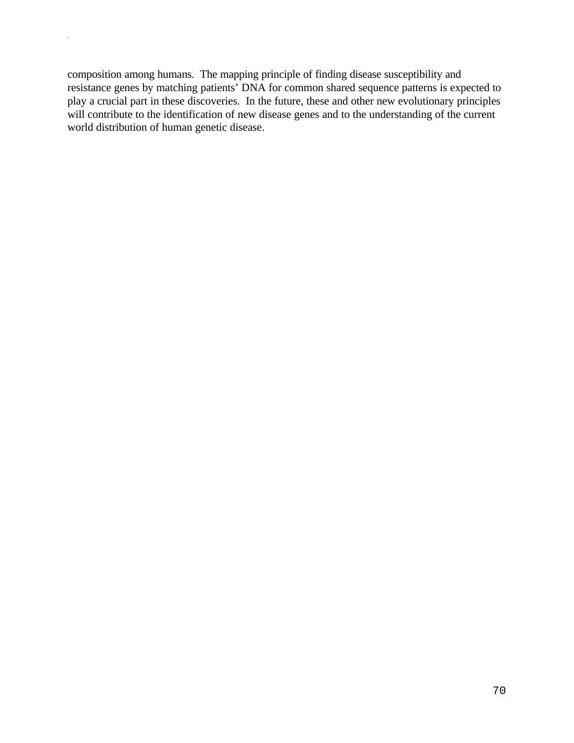composition among humans. The mapping principle of finding disease susceptibility and resistance genes by matching patients' DNA for common shared sequence patterns is expected to play a crucial part in these discoveries. In the future, these and other new evolutionary principles will contribute to the identification of new disease genes and to the understanding of the current world distribution of human genetic disease.

.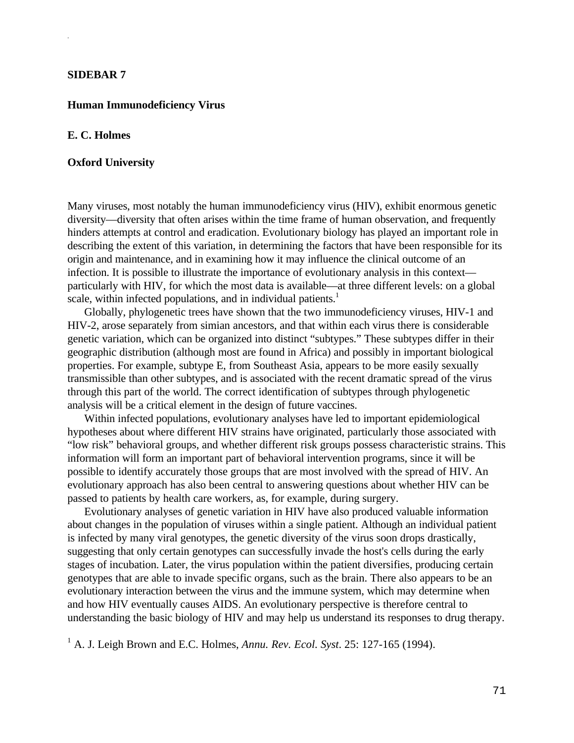.

### **Human Immunodeficiency Virus**

### **E. C. Holmes**

### **Oxford University**

Many viruses, most notably the human immunodeficiency virus (HIV), exhibit enormous genetic diversity—diversity that often arises within the time frame of human observation, and frequently hinders attempts at control and eradication. Evolutionary biology has played an important role in describing the extent of this variation, in determining the factors that have been responsible for its origin and maintenance, and in examining how it may influence the clinical outcome of an infection. It is possible to illustrate the importance of evolutionary analysis in this context particularly with HIV, for which the most data is available—at three different levels: on a global scale, within infected populations, and in individual patients.<sup>1</sup>

Globally, phylogenetic trees have shown that the two immunodeficiency viruses, HIV-1 and HIV-2, arose separately from simian ancestors, and that within each virus there is considerable genetic variation, which can be organized into distinct "subtypes." These subtypes differ in their geographic distribution (although most are found in Africa) and possibly in important biological properties. For example, subtype E, from Southeast Asia, appears to be more easily sexually transmissible than other subtypes, and is associated with the recent dramatic spread of the virus through this part of the world. The correct identification of subtypes through phylogenetic analysis will be a critical element in the design of future vaccines.

Within infected populations, evolutionary analyses have led to important epidemiological hypotheses about where different HIV strains have originated, particularly those associated with "low risk" behavioral groups, and whether different risk groups possess characteristic strains. This information will form an important part of behavioral intervention programs, since it will be possible to identify accurately those groups that are most involved with the spread of HIV. An evolutionary approach has also been central to answering questions about whether HIV can be passed to patients by health care workers, as, for example, during surgery.

Evolutionary analyses of genetic variation in HIV have also produced valuable information about changes in the population of viruses within a single patient. Although an individual patient is infected by many viral genotypes, the genetic diversity of the virus soon drops drastically, suggesting that only certain genotypes can successfully invade the host's cells during the early stages of incubation. Later, the virus population within the patient diversifies, producing certain genotypes that are able to invade specific organs, such as the brain. There also appears to be an evolutionary interaction between the virus and the immune system, which may determine when and how HIV eventually causes AIDS. An evolutionary perspective is therefore central to understanding the basic biology of HIV and may help us understand its responses to drug therapy.

<sup>1</sup> A. J. Leigh Brown and E.C. Holmes, *Annu. Rev. Ecol. Syst.* 25: 127-165 (1994).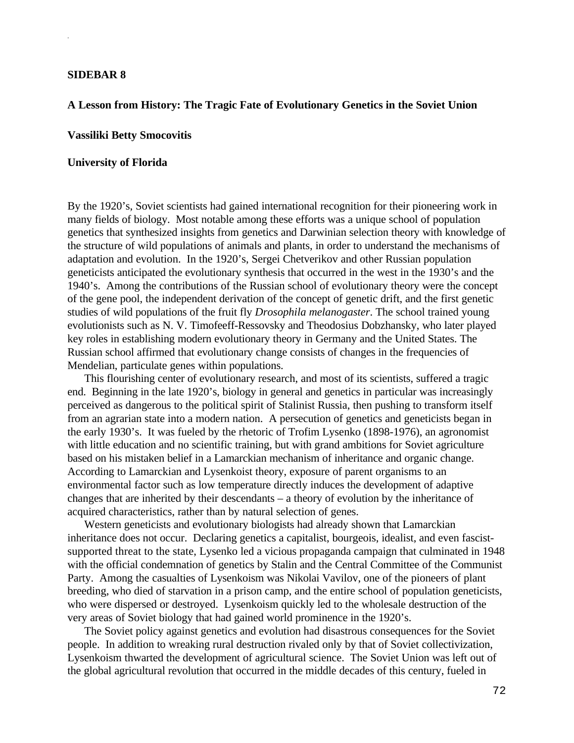.

### **A Lesson from History: The Tragic Fate of Evolutionary Genetics in the Soviet Union**

#### **Vassiliki Betty Smocovitis**

### **University of Florida**

By the 1920's, Soviet scientists had gained international recognition for their pioneering work in many fields of biology. Most notable among these efforts was a unique school of population genetics that synthesized insights from genetics and Darwinian selection theory with knowledge of the structure of wild populations of animals and plants, in order to understand the mechanisms of adaptation and evolution. In the 1920's, Sergei Chetverikov and other Russian population geneticists anticipated the evolutionary synthesis that occurred in the west in the 1930's and the 1940's. Among the contributions of the Russian school of evolutionary theory were the concept of the gene pool, the independent derivation of the concept of genetic drift, and the first genetic studies of wild populations of the fruit fly *Drosophila melanogaster*. The school trained young evolutionists such as N. V. Timofeeff-Ressovsky and Theodosius Dobzhansky, who later played key roles in establishing modern evolutionary theory in Germany and the United States. The Russian school affirmed that evolutionary change consists of changes in the frequencies of Mendelian, particulate genes within populations.

This flourishing center of evolutionary research, and most of its scientists, suffered a tragic end. Beginning in the late 1920's, biology in general and genetics in particular was increasingly perceived as dangerous to the political spirit of Stalinist Russia, then pushing to transform itself from an agrarian state into a modern nation. A persecution of genetics and geneticists began in the early 1930's. It was fueled by the rhetoric of Trofim Lysenko (1898-1976), an agronomist with little education and no scientific training, but with grand ambitions for Soviet agriculture based on his mistaken belief in a Lamarckian mechanism of inheritance and organic change. According to Lamarckian and Lysenkoist theory, exposure of parent organisms to an environmental factor such as low temperature directly induces the development of adaptive changes that are inherited by their descendants – a theory of evolution by the inheritance of acquired characteristics, rather than by natural selection of genes.

Western geneticists and evolutionary biologists had already shown that Lamarckian inheritance does not occur. Declaring genetics a capitalist, bourgeois, idealist, and even fascistsupported threat to the state, Lysenko led a vicious propaganda campaign that culminated in 1948 with the official condemnation of genetics by Stalin and the Central Committee of the Communist Party. Among the casualties of Lysenkoism was Nikolai Vavilov, one of the pioneers of plant breeding, who died of starvation in a prison camp, and the entire school of population geneticists, who were dispersed or destroyed. Lysenkoism quickly led to the wholesale destruction of the very areas of Soviet biology that had gained world prominence in the 1920's.

The Soviet policy against genetics and evolution had disastrous consequences for the Soviet people. In addition to wreaking rural destruction rivaled only by that of Soviet collectivization, Lysenkoism thwarted the development of agricultural science. The Soviet Union was left out of the global agricultural revolution that occurred in the middle decades of this century, fueled in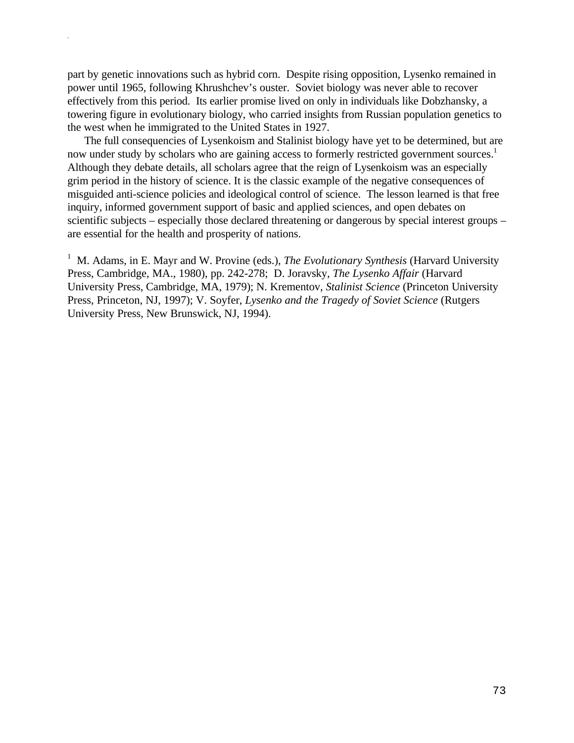part by genetic innovations such as hybrid corn. Despite rising opposition, Lysenko remained in power until 1965, following Khrushchev's ouster. Soviet biology was never able to recover effectively from this period. Its earlier promise lived on only in individuals like Dobzhansky, a towering figure in evolutionary biology, who carried insights from Russian population genetics to the west when he immigrated to the United States in 1927.

.

The full consequencies of Lysenkoism and Stalinist biology have yet to be determined, but are now under study by scholars who are gaining access to formerly restricted government sources.<sup>1</sup> Although they debate details, all scholars agree that the reign of Lysenkoism was an especially grim period in the history of science. It is the classic example of the negative consequences of misguided anti-science policies and ideological control of science. The lesson learned is that free inquiry, informed government support of basic and applied sciences, and open debates on scientific subjects – especially those declared threatening or dangerous by special interest groups – are essential for the health and prosperity of nations.

<sup>1</sup> M. Adams, in E. Mayr and W. Provine (eds.), *The Evolutionary Synthesis* (Harvard University Press, Cambridge, MA., 1980), pp. 242-278; D. Joravsky, *The Lysenko Affair* (Harvard University Press, Cambridge, MA, 1979); N. Krementov, *Stalinist Science* (Princeton University Press, Princeton, NJ, 1997); V. Soyfer, *Lysenko and the Tragedy of Soviet Science* (Rutgers University Press, New Brunswick, NJ, 1994).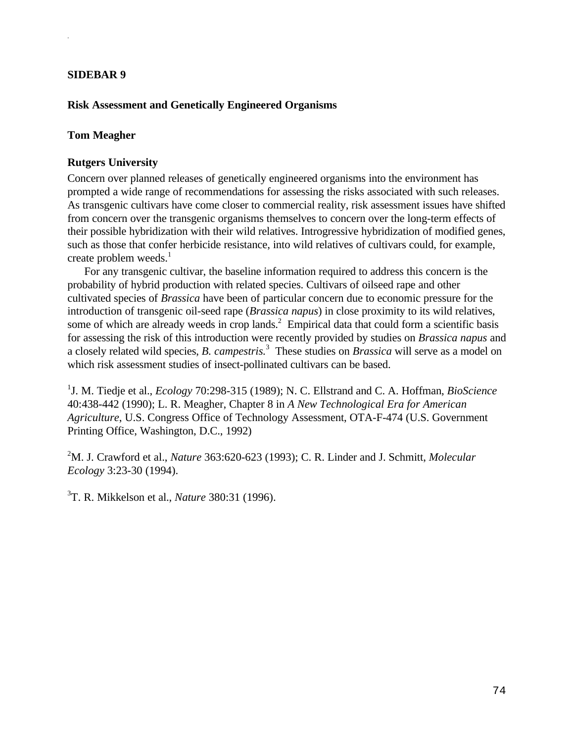## **SIDEBAR 9**

.

## **Risk Assessment and Genetically Engineered Organisms**

## **Tom Meagher**

## **Rutgers University**

Concern over planned releases of genetically engineered organisms into the environment has prompted a wide range of recommendations for assessing the risks associated with such releases. As transgenic cultivars have come closer to commercial reality, risk assessment issues have shifted from concern over the transgenic organisms themselves to concern over the long-term effects of their possible hybridization with their wild relatives. Introgressive hybridization of modified genes, such as those that confer herbicide resistance, into wild relatives of cultivars could, for example, create problem weeds. $<sup>1</sup>$ </sup>

For any transgenic cultivar, the baseline information required to address this concern is the probability of hybrid production with related species. Cultivars of oilseed rape and other cultivated species of *Brassica* have been of particular concern due to economic pressure for the introduction of transgenic oil-seed rape (*Brassica napus*) in close proximity to its wild relatives, some of which are already weeds in crop lands. $^2$  Empirical data that could form a scientific basis for assessing the risk of this introduction were recently provided by studies on *Brassica napus* and a closely related wild species, *B. campestris.*<sup>3</sup> These studies on *Brassica* will serve as a model on which risk assessment studies of insect-pollinated cultivars can be based.

1 J. M. Tiedje et al., *Ecology* 70:298-315 (1989); N. C. Ellstrand and C. A. Hoffman, *BioScience* 40:438-442 (1990); L. R. Meagher, Chapter 8 in *A New Technological Era for American Agriculture*, U.S. Congress Office of Technology Assessment, OTA-F-474 (U.S. Government Printing Office, Washington, D.C., 1992)

<sup>2</sup>M. J. Crawford et al., *Nature* 363:620-623 (1993); C. R. Linder and J. Schmitt, *Molecular Ecology* 3:23-30 (1994).

3 T. R. Mikkelson et al., *Nature* 380:31 (1996).